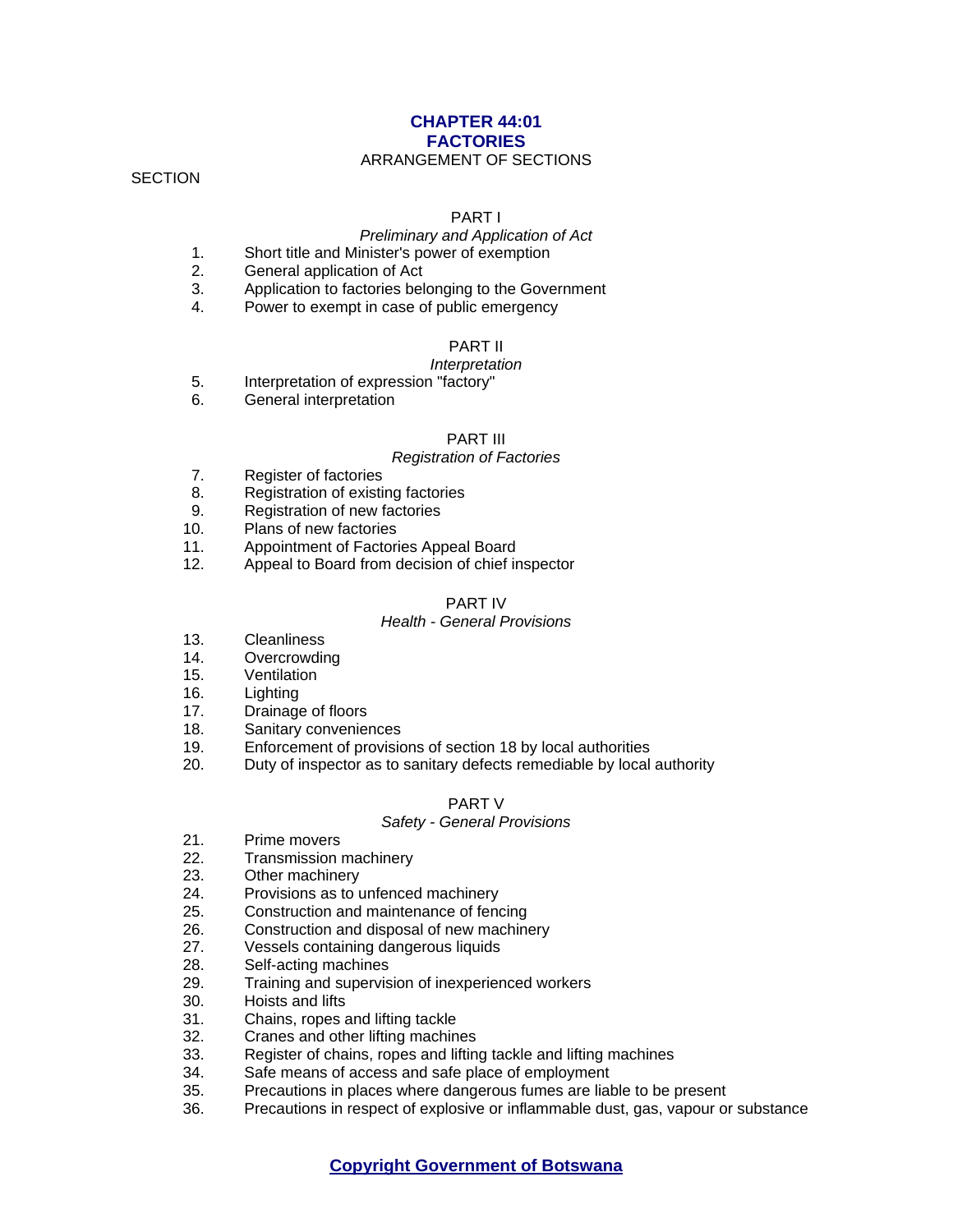#### **CHAPTER 44:01 FACTORIES**  ARRANGEMENT OF SECTIONS

#### **SECTION**

#### PART I

#### *Preliminary and Application of Act*

- 1. Short title and Minister's power of exemption
- 2. General application of Act
- 3. Application to factories belonging to the Government
- 4. Power to exempt in case of public emergency

#### PART II

#### *Interpretation*

- 5. Interpretation of expression "factory"
- 6. General interpretation

#### PART III

#### *Registration of Factories*

- 7. Register of factories
- 8. Registration of existing factories
- 9. Registration of new factories
- 10. Plans of new factories
- 11. Appointment of Factories Appeal Board
- 12. Appeal to Board from decision of chief inspector

#### PART IV

#### *Health - General Provisions*

- 13. Cleanliness
- 14. Overcrowding
- 15. Ventilation
- 16. Lighting
- 17. Drainage of floors
- 18. Sanitary conveniences
- 19. Enforcement of provisions of section 18 by local authorities
- 20. Duty of inspector as to sanitary defects remediable by local authority

#### PART V

#### *Safety - General Provisions*

- 21. Prime movers
- 22. Transmission machinery
- 23. Other machinery
- 24. Provisions as to unfenced machinery
- 25. Construction and maintenance of fencing
- 26. Construction and disposal of new machinery
- 27. Vessels containing dangerous liquids
- 28. Self-acting machines
- 29. Training and supervision of inexperienced workers
- 30. Hoists and lifts
- 31. Chains, ropes and lifting tackle
- 32. Cranes and other lifting machines
- 33. Register of chains, ropes and lifting tackle and lifting machines
- 34. Safe means of access and safe place of employment
- 35. Precautions in places where dangerous fumes are liable to be present
- 36. Precautions in respect of explosive or inflammable dust, gas, vapour or substance

**Copyright Government of Botswana**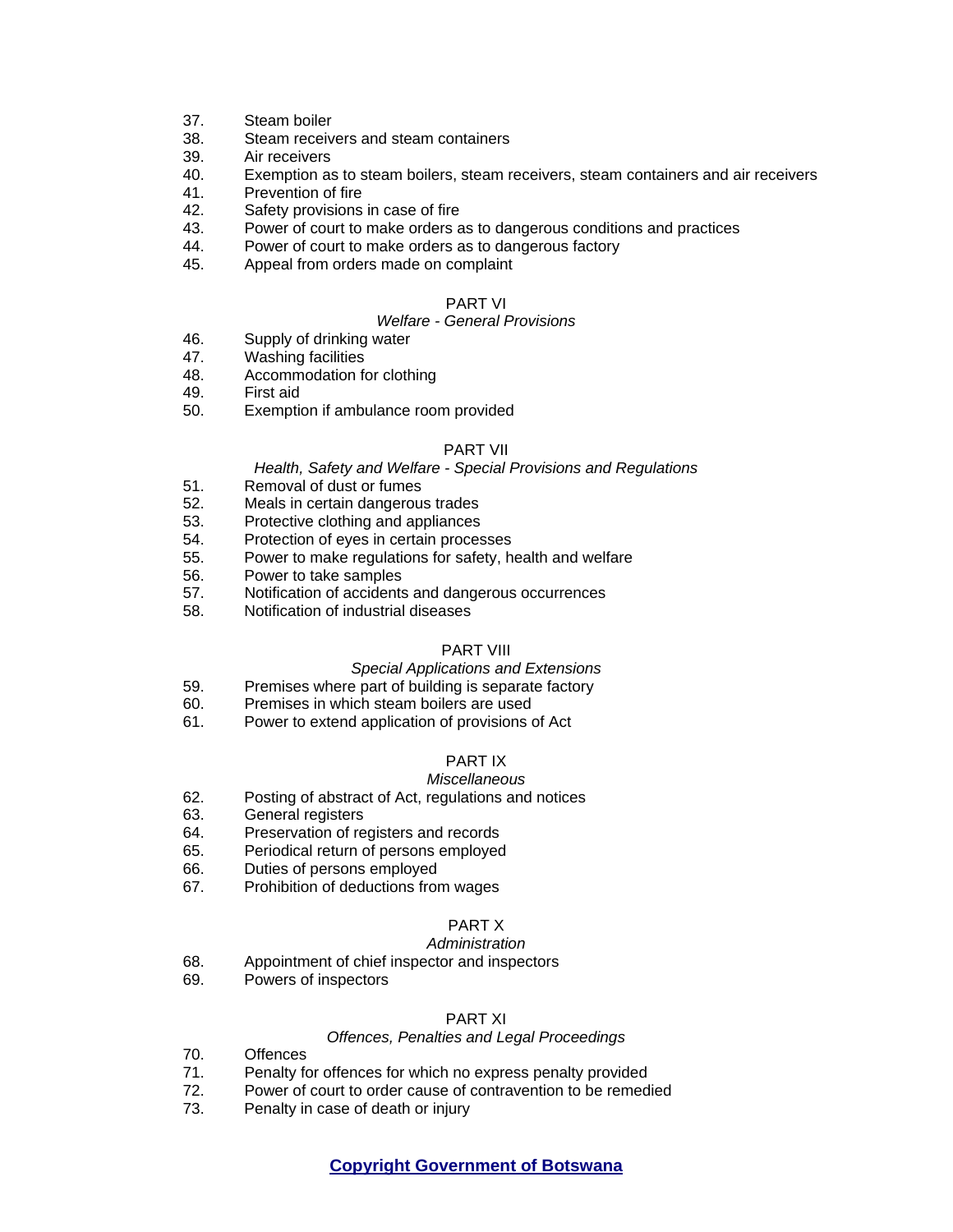- 37. Steam boiler
- 38. Steam receivers and steam containers
- 39. Air receivers
- 40. Exemption as to steam boilers, steam receivers, steam containers and air receivers
- 41. Prevention of fire
- 42. Safety provisions in case of fire
- 43. Power of court to make orders as to dangerous conditions and practices
- 44. Power of court to make orders as to dangerous factory
- 45. Appeal from orders made on complaint

#### PART VI *Welfare - General Provisions*

- 46. Supply of drinking water
- 47. Washing facilities
- 48. Accommodation for clothing
- 49. First aid
- 50. Exemption if ambulance room provided

#### PART VII

#### *Health, Safety and Welfare - Special Provisions and Regulations*

- 51. Removal of dust or fumes
- 52. Meals in certain dangerous trades
- 53. Protective clothing and appliances
- 54. Protection of eyes in certain processes
- 55. Power to make regulations for safety, health and welfare
- 56. Power to take samples
- 57. Notification of accidents and dangerous occurrences
- 58. Notification of industrial diseases

#### PART VIII

#### *Special Applications and Extensions*

- 59. Premises where part of building is separate factory
- 60. Premises in which steam boilers are used
- 61. Power to extend application of provisions of Act

### PART IX

#### *Miscellaneous*

- 62. Posting of abstract of Act, regulations and notices
- 63. General registers
- 64. Preservation of registers and records
- 65. Periodical return of persons employed
- 66. Duties of persons employed
- 67. Prohibition of deductions from wages

### PART X

#### *Administration*

- 68. Appointment of chief inspector and inspectors
- 69. Powers of inspectors

#### PART XI

#### *Offences, Penalties and Legal Proceedings*

- 70. Offences
- 71. Penalty for offences for which no express penalty provided
- 72. Power of court to order cause of contravention to be remedied
- 73. Penalty in case of death or injury

**Copyright Government of Botswana**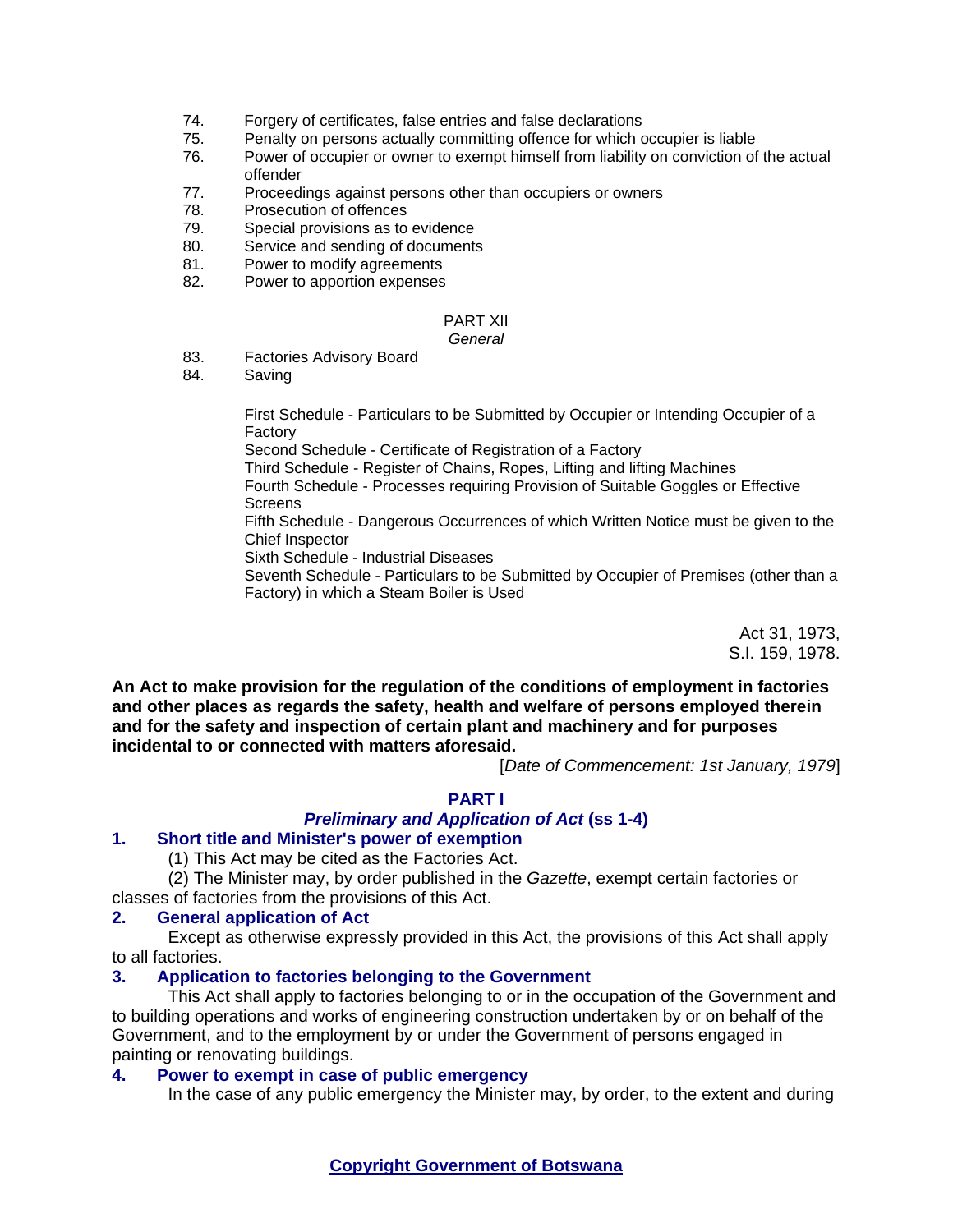- 74. Forgery of certificates, false entries and false declarations
- 75. Penalty on persons actually committing offence for which occupier is liable
- 76. Power of occupier or owner to exempt himself from liability on conviction of the actual offender
- 77. Proceedings against persons other than occupiers or owners
- 78. Prosecution of offences
- 79. Special provisions as to evidence
- 80. Service and sending of documents
- 81. Power to modify agreements
- 82. Power to apportion expenses

## PART XII

- *General*
- 83. Factories Advisory Board

84. Saving

 First Schedule - Particulars to be Submitted by Occupier or Intending Occupier of a Factory

Second Schedule - Certificate of Registration of a Factory

 Third Schedule - Register of Chains, Ropes, Lifting and lifting Machines Fourth Schedule - Processes requiring Provision of Suitable Goggles or Effective **Screens** 

 Fifth Schedule - Dangerous Occurrences of which Written Notice must be given to the Chief Inspector

Sixth Schedule - Industrial Diseases

 Seventh Schedule - Particulars to be Submitted by Occupier of Premises (other than a Factory) in which a Steam Boiler is Used

> Act 31, 1973, S.I. 159, 1978.

**An Act to make provision for the regulation of the conditions of employment in factories and other places as regards the safety, health and welfare of persons employed therein and for the safety and inspection of certain plant and machinery and for purposes incidental to or connected with matters aforesaid.** 

[*Date of Commencement: 1st January, 1979*]

## **PART I**

### *Preliminary and Application of Act* **(ss 1-4)**

### **1. Short title and Minister's power of exemption**

(1) This Act may be cited as the Factories Act.

(2) The Minister may, by order published in the *Gazette*, exempt certain factories or classes of factories from the provisions of this Act.

### **2. General application of Act**

Except as otherwise expressly provided in this Act, the provisions of this Act shall apply to all factories.

## **3. Application to factories belonging to the Government**

This Act shall apply to factories belonging to or in the occupation of the Government and to building operations and works of engineering construction undertaken by or on behalf of the Government, and to the employment by or under the Government of persons engaged in painting or renovating buildings.

### **4. Power to exempt in case of public emergency**

In the case of any public emergency the Minister may, by order, to the extent and during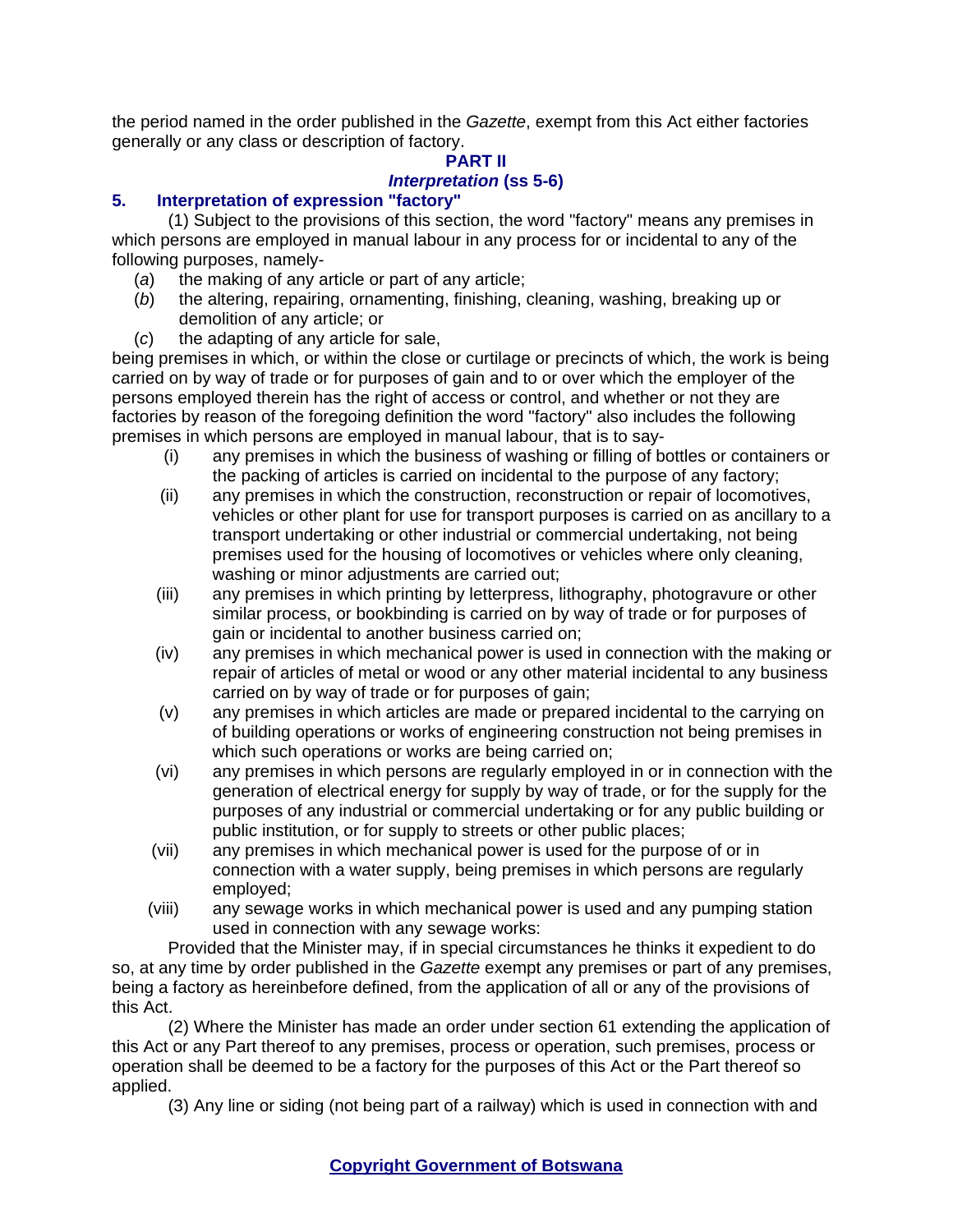the period named in the order published in the *Gazette*, exempt from this Act either factories generally or any class or description of factory.

## **PART II**

## *Interpretation* **(ss 5-6)**

## **5. Interpretation of expression "factory"**

(1) Subject to the provisions of this section, the word "factory" means any premises in which persons are employed in manual labour in any process for or incidental to any of the following purposes, namely-

- (*a*) the making of any article or part of any article;
- (*b*) the altering, repairing, ornamenting, finishing, cleaning, washing, breaking up or demolition of any article; or
- (*c*) the adapting of any article for sale,

being premises in which, or within the close or curtilage or precincts of which, the work is being carried on by way of trade or for purposes of gain and to or over which the employer of the persons employed therein has the right of access or control, and whether or not they are factories by reason of the foregoing definition the word "factory" also includes the following premises in which persons are employed in manual labour, that is to say-

- (i) any premises in which the business of washing or filling of bottles or containers or the packing of articles is carried on incidental to the purpose of any factory;
- (ii) any premises in which the construction, reconstruction or repair of locomotives, vehicles or other plant for use for transport purposes is carried on as ancillary to a transport undertaking or other industrial or commercial undertaking, not being premises used for the housing of locomotives or vehicles where only cleaning, washing or minor adjustments are carried out;
- (iii) any premises in which printing by letterpress, lithography, photogravure or other similar process, or bookbinding is carried on by way of trade or for purposes of gain or incidental to another business carried on;
- (iv) any premises in which mechanical power is used in connection with the making or repair of articles of metal or wood or any other material incidental to any business carried on by way of trade or for purposes of gain;
- (v) any premises in which articles are made or prepared incidental to the carrying on of building operations or works of engineering construction not being premises in which such operations or works are being carried on;
- (vi) any premises in which persons are regularly employed in or in connection with the generation of electrical energy for supply by way of trade, or for the supply for the purposes of any industrial or commercial undertaking or for any public building or public institution, or for supply to streets or other public places;
- (vii) any premises in which mechanical power is used for the purpose of or in connection with a water supply, being premises in which persons are regularly employed;
- (viii) any sewage works in which mechanical power is used and any pumping station used in connection with any sewage works:

Provided that the Minister may, if in special circumstances he thinks it expedient to do so, at any time by order published in the *Gazette* exempt any premises or part of any premises, being a factory as hereinbefore defined, from the application of all or any of the provisions of this Act.

(2) Where the Minister has made an order under section 61 extending the application of this Act or any Part thereof to any premises, process or operation, such premises, process or operation shall be deemed to be a factory for the purposes of this Act or the Part thereof so applied.

(3) Any line or siding (not being part of a railway) which is used in connection with and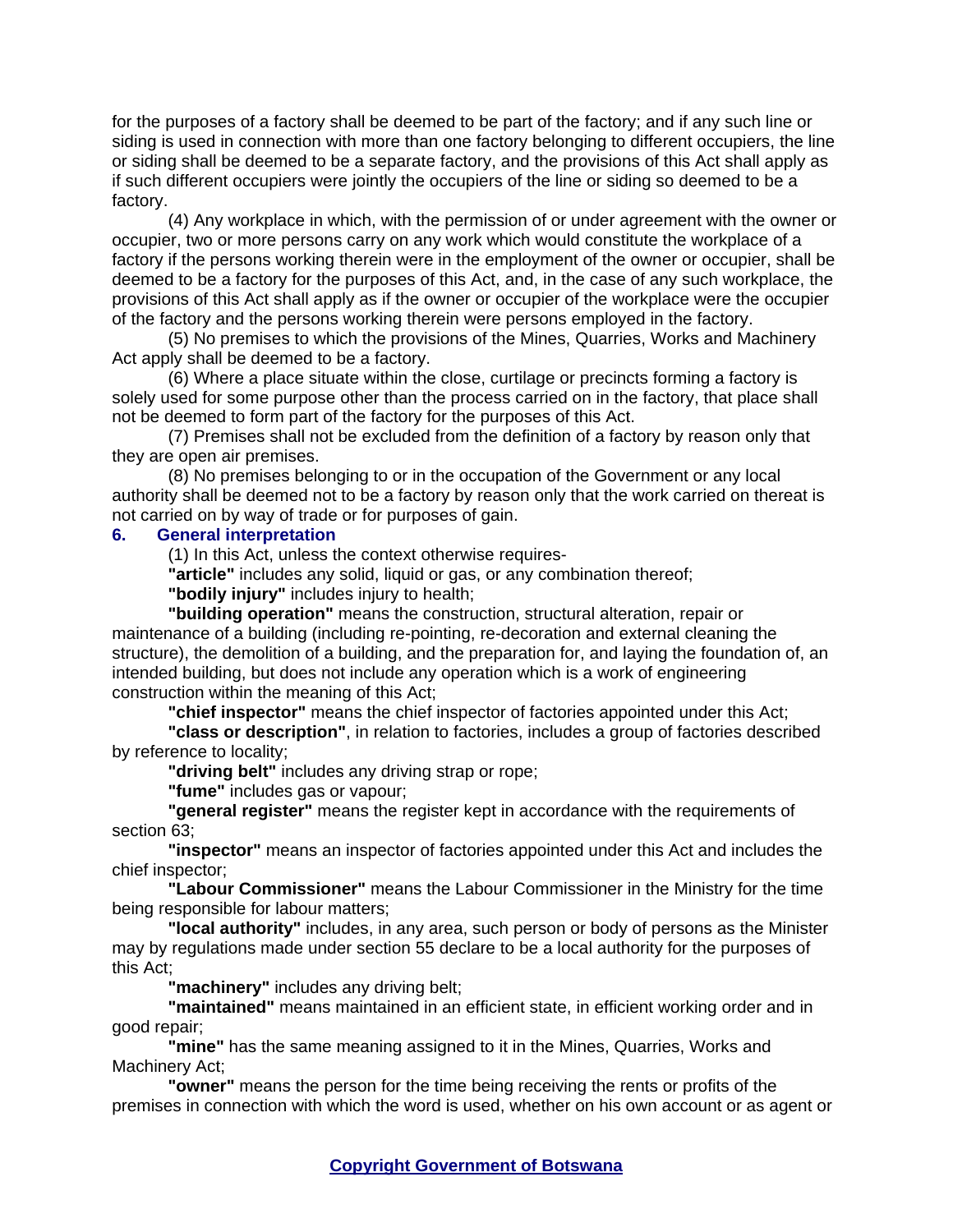for the purposes of a factory shall be deemed to be part of the factory; and if any such line or siding is used in connection with more than one factory belonging to different occupiers, the line or siding shall be deemed to be a separate factory, and the provisions of this Act shall apply as if such different occupiers were jointly the occupiers of the line or siding so deemed to be a factory.

(4) Any workplace in which, with the permission of or under agreement with the owner or occupier, two or more persons carry on any work which would constitute the workplace of a factory if the persons working therein were in the employment of the owner or occupier, shall be deemed to be a factory for the purposes of this Act, and, in the case of any such workplace, the provisions of this Act shall apply as if the owner or occupier of the workplace were the occupier of the factory and the persons working therein were persons employed in the factory.

(5) No premises to which the provisions of the Mines, Quarries, Works and Machinery Act apply shall be deemed to be a factory.

(6) Where a place situate within the close, curtilage or precincts forming a factory is solely used for some purpose other than the process carried on in the factory, that place shall not be deemed to form part of the factory for the purposes of this Act.

(7) Premises shall not be excluded from the definition of a factory by reason only that they are open air premises.

(8) No premises belonging to or in the occupation of the Government or any local authority shall be deemed not to be a factory by reason only that the work carried on thereat is not carried on by way of trade or for purposes of gain.

### **6. General interpretation**

(1) In this Act, unless the context otherwise requires-

**"article"** includes any solid, liquid or gas, or any combination thereof;

**"bodily injury"** includes injury to health;

**"building operation"** means the construction, structural alteration, repair or maintenance of a building (including re-pointing, re-decoration and external cleaning the structure), the demolition of a building, and the preparation for, and laying the foundation of, an intended building, but does not include any operation which is a work of engineering construction within the meaning of this Act;

**"chief inspector"** means the chief inspector of factories appointed under this Act;

**"class or description"**, in relation to factories, includes a group of factories described by reference to locality;

**"driving belt"** includes any driving strap or rope;

**"fume"** includes gas or vapour;

**"general register"** means the register kept in accordance with the requirements of section 63;

**"inspector"** means an inspector of factories appointed under this Act and includes the chief inspector;

**"Labour Commissioner"** means the Labour Commissioner in the Ministry for the time being responsible for labour matters;

**"local authority"** includes, in any area, such person or body of persons as the Minister may by regulations made under section 55 declare to be a local authority for the purposes of this Act;

**"machinery"** includes any driving belt;

**"maintained"** means maintained in an efficient state, in efficient working order and in good repair;

**"mine"** has the same meaning assigned to it in the Mines, Quarries, Works and Machinery Act;

**"owner"** means the person for the time being receiving the rents or profits of the premises in connection with which the word is used, whether on his own account or as agent or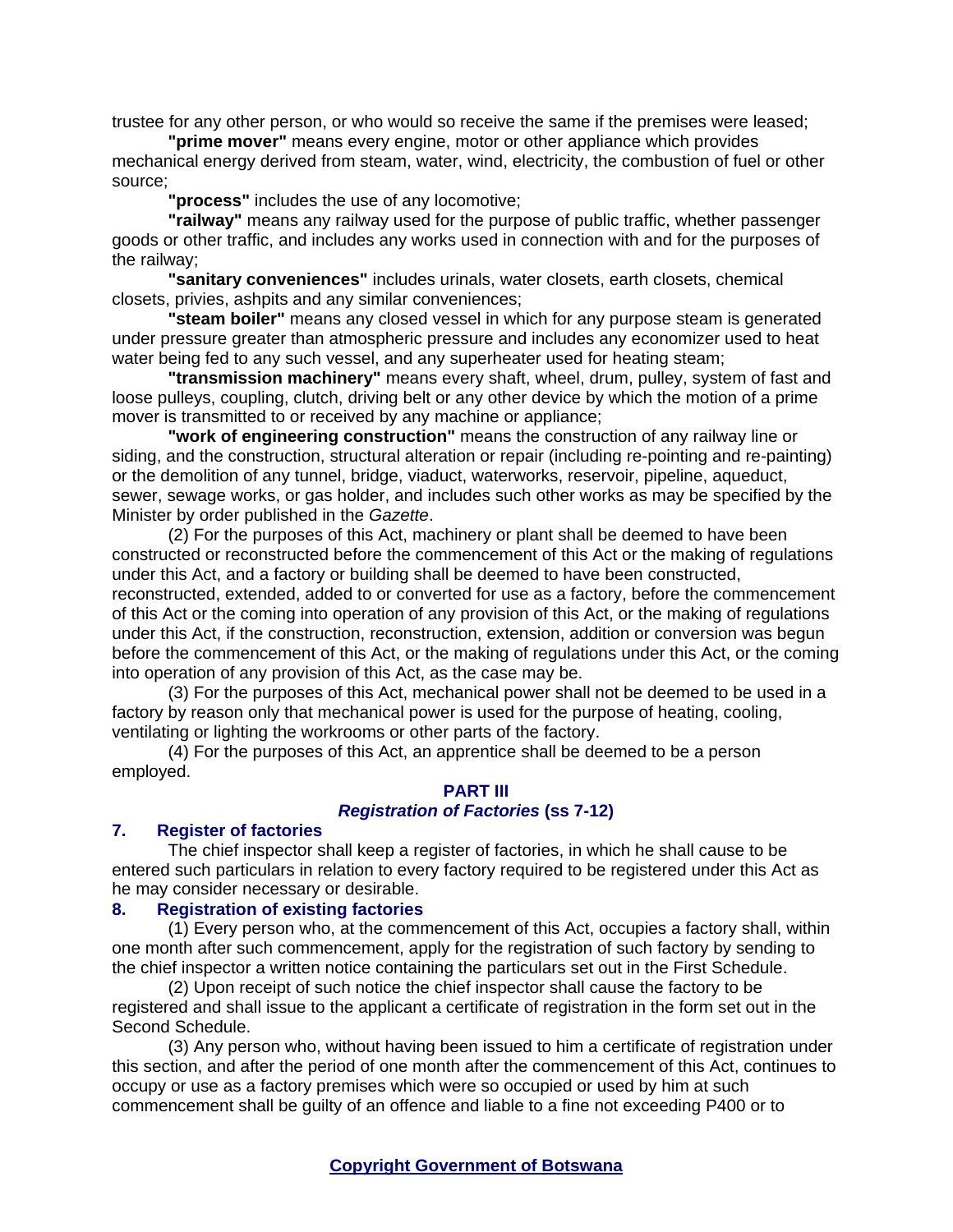trustee for any other person, or who would so receive the same if the premises were leased;

**"prime mover"** means every engine, motor or other appliance which provides mechanical energy derived from steam, water, wind, electricity, the combustion of fuel or other source;

**"process"** includes the use of any locomotive;

**"railway"** means any railway used for the purpose of public traffic, whether passenger goods or other traffic, and includes any works used in connection with and for the purposes of the railway;

**"sanitary conveniences"** includes urinals, water closets, earth closets, chemical closets, privies, ashpits and any similar conveniences;

**"steam boiler"** means any closed vessel in which for any purpose steam is generated under pressure greater than atmospheric pressure and includes any economizer used to heat water being fed to any such vessel, and any superheater used for heating steam;

**"transmission machinery"** means every shaft, wheel, drum, pulley, system of fast and loose pulleys, coupling, clutch, driving belt or any other device by which the motion of a prime mover is transmitted to or received by any machine or appliance;

**"work of engineering construction"** means the construction of any railway line or siding, and the construction, structural alteration or repair (including re-pointing and re-painting) or the demolition of any tunnel, bridge, viaduct, waterworks, reservoir, pipeline, aqueduct, sewer, sewage works, or gas holder, and includes such other works as may be specified by the Minister by order published in the *Gazette*.

(2) For the purposes of this Act, machinery or plant shall be deemed to have been constructed or reconstructed before the commencement of this Act or the making of regulations under this Act, and a factory or building shall be deemed to have been constructed, reconstructed, extended, added to or converted for use as a factory, before the commencement of this Act or the coming into operation of any provision of this Act, or the making of regulations under this Act, if the construction, reconstruction, extension, addition or conversion was begun before the commencement of this Act, or the making of regulations under this Act, or the coming into operation of any provision of this Act, as the case may be.

(3) For the purposes of this Act, mechanical power shall not be deemed to be used in a factory by reason only that mechanical power is used for the purpose of heating, cooling, ventilating or lighting the workrooms or other parts of the factory.

(4) For the purposes of this Act, an apprentice shall be deemed to be a person employed.

## **PART III**

## *Registration of Factories* **(ss 7-12)**

## **7. Register of factories**

The chief inspector shall keep a register of factories, in which he shall cause to be entered such particulars in relation to every factory required to be registered under this Act as he may consider necessary or desirable.

### **8. Registration of existing factories**

(1) Every person who, at the commencement of this Act, occupies a factory shall, within one month after such commencement, apply for the registration of such factory by sending to the chief inspector a written notice containing the particulars set out in the First Schedule.

(2) Upon receipt of such notice the chief inspector shall cause the factory to be registered and shall issue to the applicant a certificate of registration in the form set out in the Second Schedule.

(3) Any person who, without having been issued to him a certificate of registration under this section, and after the period of one month after the commencement of this Act, continues to occupy or use as a factory premises which were so occupied or used by him at such commencement shall be guilty of an offence and liable to a fine not exceeding P400 or to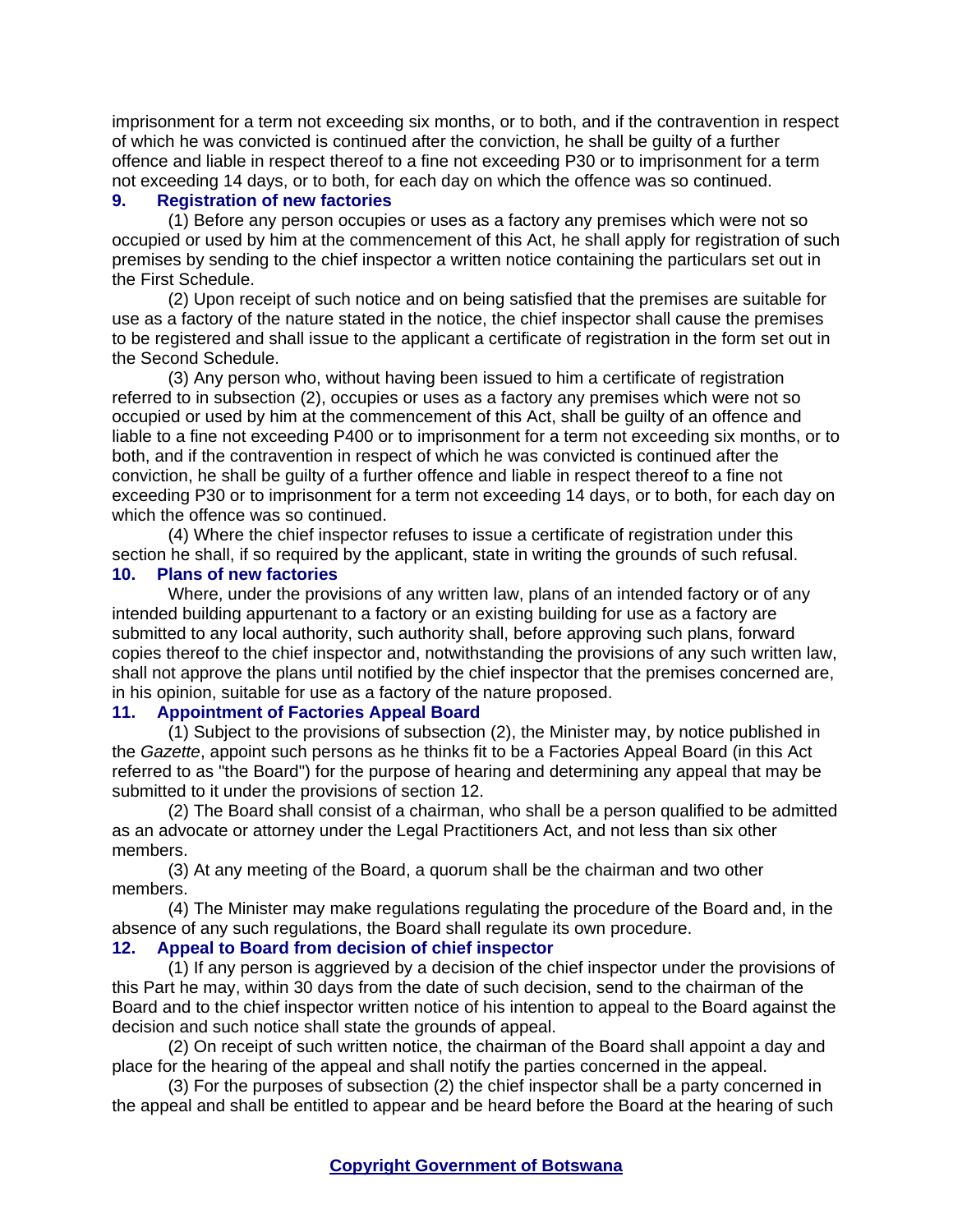imprisonment for a term not exceeding six months, or to both, and if the contravention in respect of which he was convicted is continued after the conviction, he shall be guilty of a further offence and liable in respect thereof to a fine not exceeding P30 or to imprisonment for a term not exceeding 14 days, or to both, for each day on which the offence was so continued.

### **9. Registration of new factories**

(1) Before any person occupies or uses as a factory any premises which were not so occupied or used by him at the commencement of this Act, he shall apply for registration of such premises by sending to the chief inspector a written notice containing the particulars set out in the First Schedule.

(2) Upon receipt of such notice and on being satisfied that the premises are suitable for use as a factory of the nature stated in the notice, the chief inspector shall cause the premises to be registered and shall issue to the applicant a certificate of registration in the form set out in the Second Schedule.

(3) Any person who, without having been issued to him a certificate of registration referred to in subsection (2), occupies or uses as a factory any premises which were not so occupied or used by him at the commencement of this Act, shall be guilty of an offence and liable to a fine not exceeding P400 or to imprisonment for a term not exceeding six months, or to both, and if the contravention in respect of which he was convicted is continued after the conviction, he shall be guilty of a further offence and liable in respect thereof to a fine not exceeding P30 or to imprisonment for a term not exceeding 14 days, or to both, for each day on which the offence was so continued.

(4) Where the chief inspector refuses to issue a certificate of registration under this section he shall, if so required by the applicant, state in writing the grounds of such refusal.

### **10. Plans of new factories**

Where, under the provisions of any written law, plans of an intended factory or of any intended building appurtenant to a factory or an existing building for use as a factory are submitted to any local authority, such authority shall, before approving such plans, forward copies thereof to the chief inspector and, notwithstanding the provisions of any such written law, shall not approve the plans until notified by the chief inspector that the premises concerned are, in his opinion, suitable for use as a factory of the nature proposed.

## **11. Appointment of Factories Appeal Board**

(1) Subject to the provisions of subsection (2), the Minister may, by notice published in the *Gazette*, appoint such persons as he thinks fit to be a Factories Appeal Board (in this Act referred to as "the Board") for the purpose of hearing and determining any appeal that may be submitted to it under the provisions of section 12.

(2) The Board shall consist of a chairman, who shall be a person qualified to be admitted as an advocate or attorney under the Legal Practitioners Act, and not less than six other members.

(3) At any meeting of the Board, a quorum shall be the chairman and two other members.

(4) The Minister may make regulations regulating the procedure of the Board and, in the absence of any such regulations, the Board shall regulate its own procedure.

## **12. Appeal to Board from decision of chief inspector**

(1) If any person is aggrieved by a decision of the chief inspector under the provisions of this Part he may, within 30 days from the date of such decision, send to the chairman of the Board and to the chief inspector written notice of his intention to appeal to the Board against the decision and such notice shall state the grounds of appeal.

(2) On receipt of such written notice, the chairman of the Board shall appoint a day and place for the hearing of the appeal and shall notify the parties concerned in the appeal.

(3) For the purposes of subsection (2) the chief inspector shall be a party concerned in the appeal and shall be entitled to appear and be heard before the Board at the hearing of such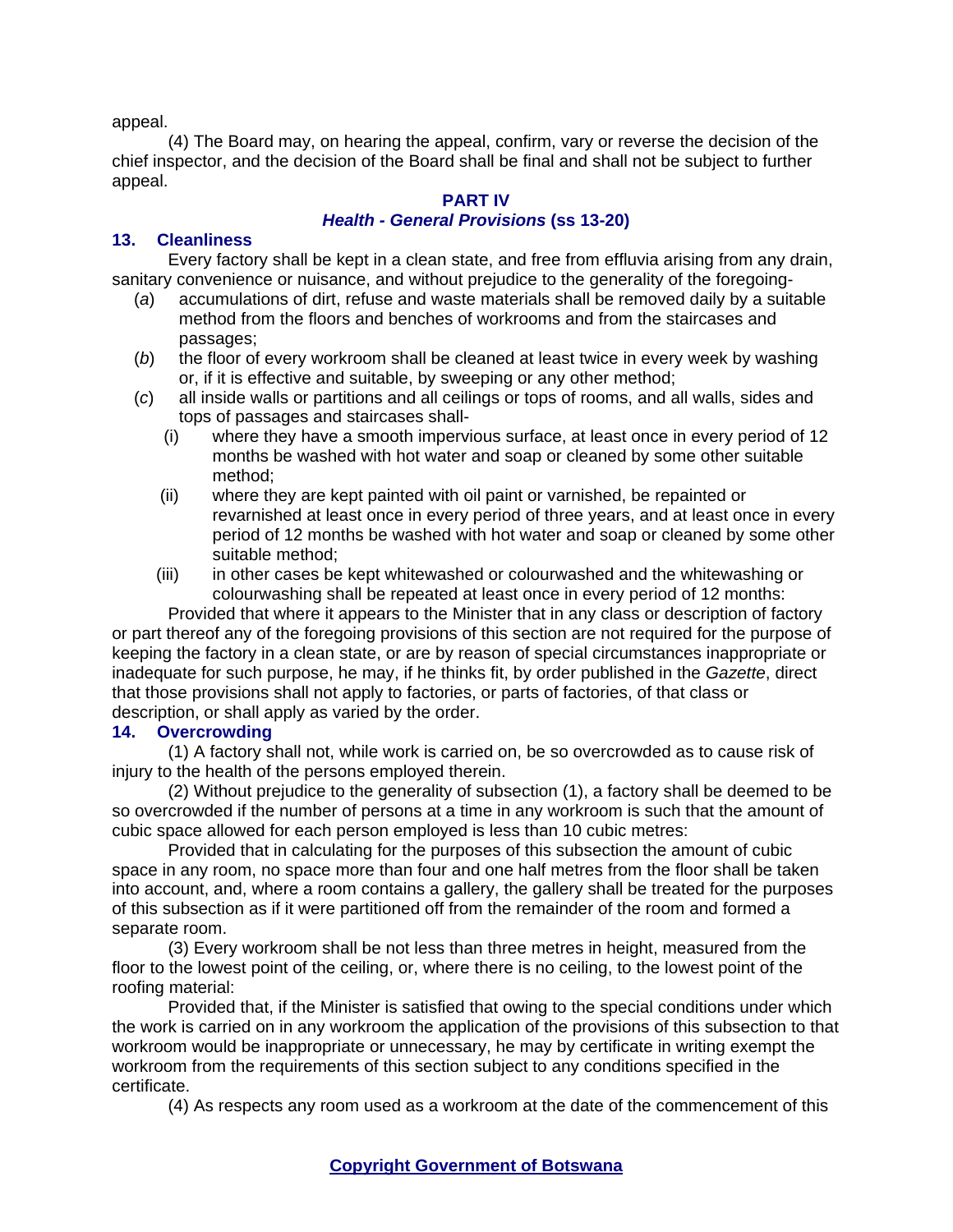appeal.

(4) The Board may, on hearing the appeal, confirm, vary or reverse the decision of the chief inspector, and the decision of the Board shall be final and shall not be subject to further appeal.

### **PART IV**

### *Health - General Provisions* **(ss 13-20)**

### **13. Cleanliness**

Every factory shall be kept in a clean state, and free from effluvia arising from any drain, sanitary convenience or nuisance, and without prejudice to the generality of the foregoing-

- (*a*) accumulations of dirt, refuse and waste materials shall be removed daily by a suitable method from the floors and benches of workrooms and from the staircases and passages;
- (*b*) the floor of every workroom shall be cleaned at least twice in every week by washing or, if it is effective and suitable, by sweeping or any other method;
- (*c*) all inside walls or partitions and all ceilings or tops of rooms, and all walls, sides and tops of passages and staircases shall-
	- (i) where they have a smooth impervious surface, at least once in every period of 12 months be washed with hot water and soap or cleaned by some other suitable method;
	- (ii) where they are kept painted with oil paint or varnished, be repainted or revarnished at least once in every period of three years, and at least once in every period of 12 months be washed with hot water and soap or cleaned by some other suitable method;
	- (iii) in other cases be kept whitewashed or colourwashed and the whitewashing or colourwashing shall be repeated at least once in every period of 12 months:

Provided that where it appears to the Minister that in any class or description of factory or part thereof any of the foregoing provisions of this section are not required for the purpose of keeping the factory in a clean state, or are by reason of special circumstances inappropriate or inadequate for such purpose, he may, if he thinks fit, by order published in the *Gazette*, direct that those provisions shall not apply to factories, or parts of factories, of that class or description, or shall apply as varied by the order.

### **14. Overcrowding**

(1) A factory shall not, while work is carried on, be so overcrowded as to cause risk of injury to the health of the persons employed therein.

(2) Without prejudice to the generality of subsection (1), a factory shall be deemed to be so overcrowded if the number of persons at a time in any workroom is such that the amount of cubic space allowed for each person employed is less than 10 cubic metres:

Provided that in calculating for the purposes of this subsection the amount of cubic space in any room, no space more than four and one half metres from the floor shall be taken into account, and, where a room contains a gallery, the gallery shall be treated for the purposes of this subsection as if it were partitioned off from the remainder of the room and formed a separate room.

(3) Every workroom shall be not less than three metres in height, measured from the floor to the lowest point of the ceiling, or, where there is no ceiling, to the lowest point of the roofing material:

Provided that, if the Minister is satisfied that owing to the special conditions under which the work is carried on in any workroom the application of the provisions of this subsection to that workroom would be inappropriate or unnecessary, he may by certificate in writing exempt the workroom from the requirements of this section subject to any conditions specified in the certificate.

(4) As respects any room used as a workroom at the date of the commencement of this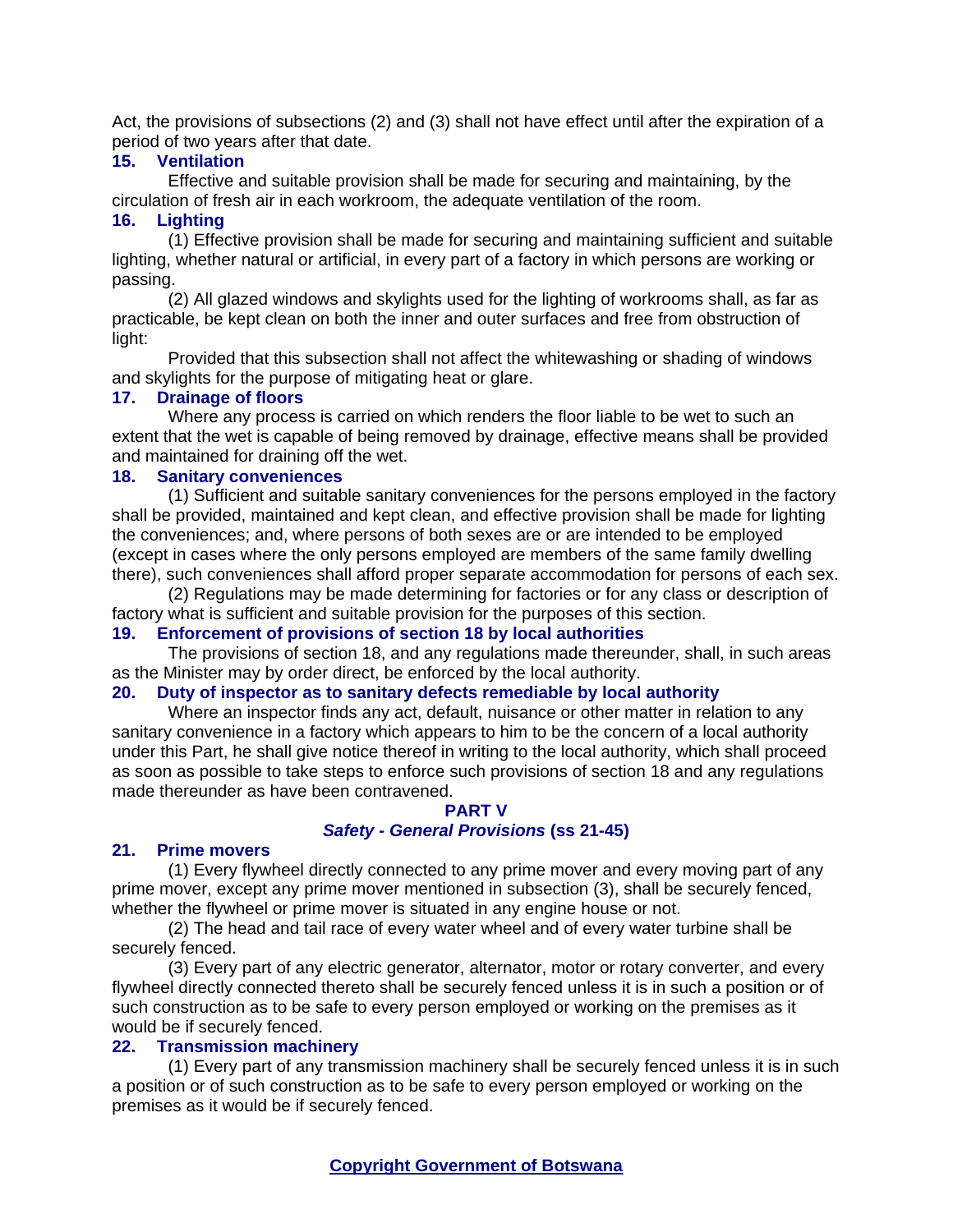Act, the provisions of subsections (2) and (3) shall not have effect until after the expiration of a period of two years after that date.

### **15. Ventilation**

Effective and suitable provision shall be made for securing and maintaining, by the circulation of fresh air in each workroom, the adequate ventilation of the room.

### **16. Lighting**

(1) Effective provision shall be made for securing and maintaining sufficient and suitable lighting, whether natural or artificial, in every part of a factory in which persons are working or passing.

(2) All glazed windows and skylights used for the lighting of workrooms shall, as far as practicable, be kept clean on both the inner and outer surfaces and free from obstruction of light:

Provided that this subsection shall not affect the whitewashing or shading of windows and skylights for the purpose of mitigating heat or glare.

### **17. Drainage of floors**

Where any process is carried on which renders the floor liable to be wet to such an extent that the wet is capable of being removed by drainage, effective means shall be provided and maintained for draining off the wet.

### **18. Sanitary conveniences**

(1) Sufficient and suitable sanitary conveniences for the persons employed in the factory shall be provided, maintained and kept clean, and effective provision shall be made for lighting the conveniences; and, where persons of both sexes are or are intended to be employed (except in cases where the only persons employed are members of the same family dwelling there), such conveniences shall afford proper separate accommodation for persons of each sex.

(2) Regulations may be made determining for factories or for any class or description of factory what is sufficient and suitable provision for the purposes of this section.

## **19. Enforcement of provisions of section 18 by local authorities**

The provisions of section 18, and any regulations made thereunder, shall, in such areas as the Minister may by order direct, be enforced by the local authority.

### **20. Duty of inspector as to sanitary defects remediable by local authority**

Where an inspector finds any act, default, nuisance or other matter in relation to any sanitary convenience in a factory which appears to him to be the concern of a local authority under this Part, he shall give notice thereof in writing to the local authority, which shall proceed as soon as possible to take steps to enforce such provisions of section 18 and any regulations made thereunder as have been contravened.

## **PART V**

## *Safety - General Provisions* **(ss 21-45)**

### **21. Prime movers**

(1) Every flywheel directly connected to any prime mover and every moving part of any prime mover, except any prime mover mentioned in subsection (3), shall be securely fenced, whether the flywheel or prime mover is situated in any engine house or not.

(2) The head and tail race of every water wheel and of every water turbine shall be securely fenced.

(3) Every part of any electric generator, alternator, motor or rotary converter, and every flywheel directly connected thereto shall be securely fenced unless it is in such a position or of such construction as to be safe to every person employed or working on the premises as it would be if securely fenced.

## **22. Transmission machinery**

(1) Every part of any transmission machinery shall be securely fenced unless it is in such a position or of such construction as to be safe to every person employed or working on the premises as it would be if securely fenced.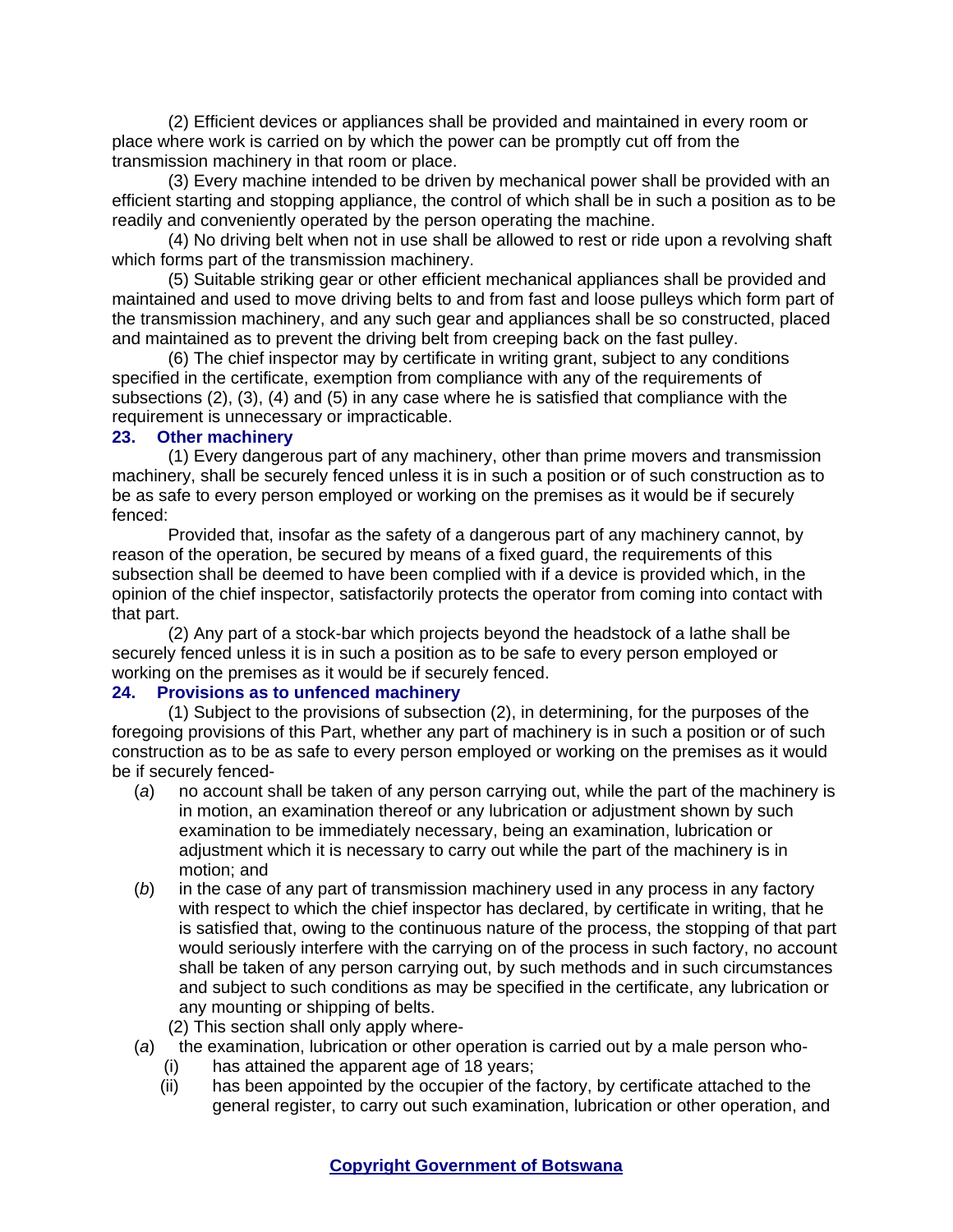(2) Efficient devices or appliances shall be provided and maintained in every room or place where work is carried on by which the power can be promptly cut off from the transmission machinery in that room or place.

(3) Every machine intended to be driven by mechanical power shall be provided with an efficient starting and stopping appliance, the control of which shall be in such a position as to be readily and conveniently operated by the person operating the machine.

(4) No driving belt when not in use shall be allowed to rest or ride upon a revolving shaft which forms part of the transmission machinery.

(5) Suitable striking gear or other efficient mechanical appliances shall be provided and maintained and used to move driving belts to and from fast and loose pulleys which form part of the transmission machinery, and any such gear and appliances shall be so constructed, placed and maintained as to prevent the driving belt from creeping back on the fast pulley.

(6) The chief inspector may by certificate in writing grant, subject to any conditions specified in the certificate, exemption from compliance with any of the requirements of subsections (2), (3), (4) and (5) in any case where he is satisfied that compliance with the requirement is unnecessary or impracticable.

### **23. Other machinery**

(1) Every dangerous part of any machinery, other than prime movers and transmission machinery, shall be securely fenced unless it is in such a position or of such construction as to be as safe to every person employed or working on the premises as it would be if securely fenced:

Provided that, insofar as the safety of a dangerous part of any machinery cannot, by reason of the operation, be secured by means of a fixed guard, the requirements of this subsection shall be deemed to have been complied with if a device is provided which, in the opinion of the chief inspector, satisfactorily protects the operator from coming into contact with that part.

(2) Any part of a stock-bar which projects beyond the headstock of a lathe shall be securely fenced unless it is in such a position as to be safe to every person employed or working on the premises as it would be if securely fenced.

## **24. Provisions as to unfenced machinery**

(1) Subject to the provisions of subsection (2), in determining, for the purposes of the foregoing provisions of this Part, whether any part of machinery is in such a position or of such construction as to be as safe to every person employed or working on the premises as it would be if securely fenced-

- (*a*) no account shall be taken of any person carrying out, while the part of the machinery is in motion, an examination thereof or any lubrication or adjustment shown by such examination to be immediately necessary, being an examination, lubrication or adjustment which it is necessary to carry out while the part of the machinery is in motion; and
- (*b*) in the case of any part of transmission machinery used in any process in any factory with respect to which the chief inspector has declared, by certificate in writing, that he is satisfied that, owing to the continuous nature of the process, the stopping of that part would seriously interfere with the carrying on of the process in such factory, no account shall be taken of any person carrying out, by such methods and in such circumstances and subject to such conditions as may be specified in the certificate, any lubrication or any mounting or shipping of belts.

(2) This section shall only apply where-

- (*a*) the examination, lubrication or other operation is carried out by a male person who-
	- (i) has attained the apparent age of 18 years;
	- (ii) has been appointed by the occupier of the factory, by certificate attached to the general register, to carry out such examination, lubrication or other operation, and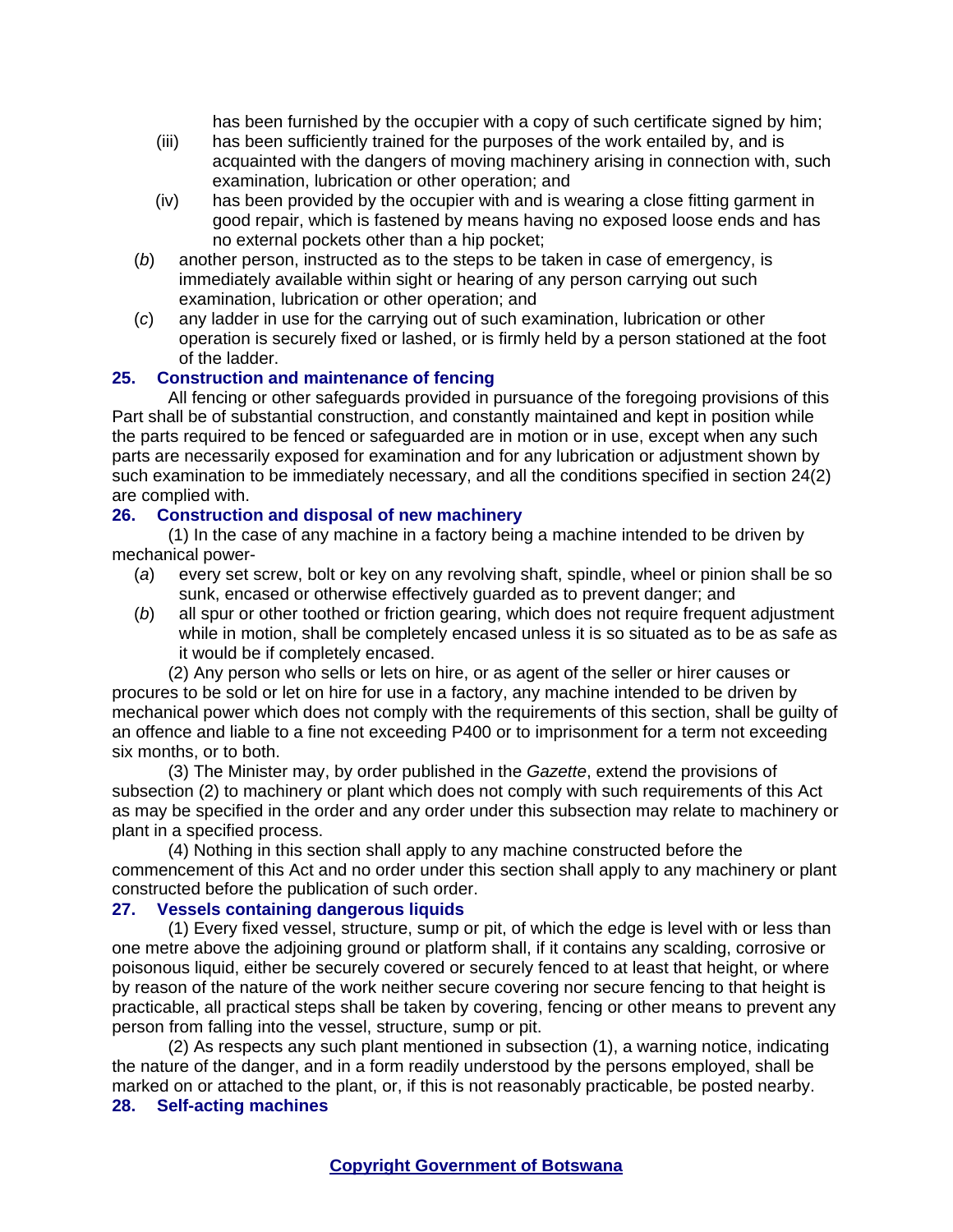has been furnished by the occupier with a copy of such certificate signed by him;

- (iii) has been sufficiently trained for the purposes of the work entailed by, and is acquainted with the dangers of moving machinery arising in connection with, such examination, lubrication or other operation; and
- (iv) has been provided by the occupier with and is wearing a close fitting garment in good repair, which is fastened by means having no exposed loose ends and has no external pockets other than a hip pocket;
- (*b*) another person, instructed as to the steps to be taken in case of emergency, is immediately available within sight or hearing of any person carrying out such examination, lubrication or other operation; and
- (*c*) any ladder in use for the carrying out of such examination, lubrication or other operation is securely fixed or lashed, or is firmly held by a person stationed at the foot of the ladder.

### **25. Construction and maintenance of fencing**

All fencing or other safeguards provided in pursuance of the foregoing provisions of this Part shall be of substantial construction, and constantly maintained and kept in position while the parts required to be fenced or safeguarded are in motion or in use, except when any such parts are necessarily exposed for examination and for any lubrication or adjustment shown by such examination to be immediately necessary, and all the conditions specified in section 24(2) are complied with.

### **26. Construction and disposal of new machinery**

(1) In the case of any machine in a factory being a machine intended to be driven by mechanical power-

- (*a*) every set screw, bolt or key on any revolving shaft, spindle, wheel or pinion shall be so sunk, encased or otherwise effectively guarded as to prevent danger; and
- (*b*) all spur or other toothed or friction gearing, which does not require frequent adjustment while in motion, shall be completely encased unless it is so situated as to be as safe as it would be if completely encased.

(2) Any person who sells or lets on hire, or as agent of the seller or hirer causes or procures to be sold or let on hire for use in a factory, any machine intended to be driven by mechanical power which does not comply with the requirements of this section, shall be guilty of an offence and liable to a fine not exceeding P400 or to imprisonment for a term not exceeding six months, or to both.

(3) The Minister may, by order published in the *Gazette*, extend the provisions of subsection (2) to machinery or plant which does not comply with such requirements of this Act as may be specified in the order and any order under this subsection may relate to machinery or plant in a specified process.

(4) Nothing in this section shall apply to any machine constructed before the commencement of this Act and no order under this section shall apply to any machinery or plant constructed before the publication of such order.

### **27. Vessels containing dangerous liquids**

(1) Every fixed vessel, structure, sump or pit, of which the edge is level with or less than one metre above the adjoining ground or platform shall, if it contains any scalding, corrosive or poisonous liquid, either be securely covered or securely fenced to at least that height, or where by reason of the nature of the work neither secure covering nor secure fencing to that height is practicable, all practical steps shall be taken by covering, fencing or other means to prevent any person from falling into the vessel, structure, sump or pit.

(2) As respects any such plant mentioned in subsection (1), a warning notice, indicating the nature of the danger, and in a form readily understood by the persons employed, shall be marked on or attached to the plant, or, if this is not reasonably practicable, be posted nearby. **28. Self-acting machines**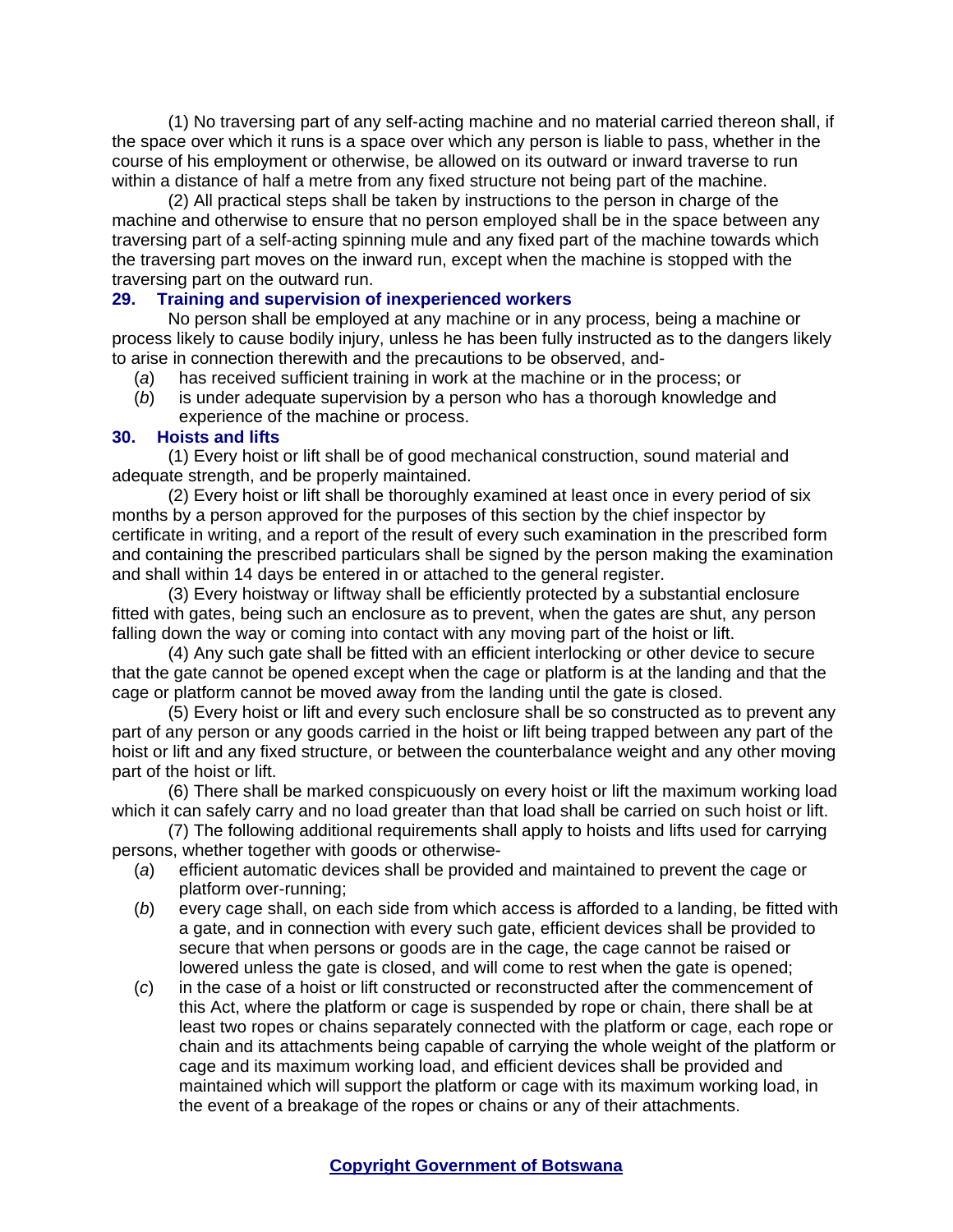(1) No traversing part of any self-acting machine and no material carried thereon shall, if the space over which it runs is a space over which any person is liable to pass, whether in the course of his employment or otherwise, be allowed on its outward or inward traverse to run within a distance of half a metre from any fixed structure not being part of the machine.

(2) All practical steps shall be taken by instructions to the person in charge of the machine and otherwise to ensure that no person employed shall be in the space between any traversing part of a self-acting spinning mule and any fixed part of the machine towards which the traversing part moves on the inward run, except when the machine is stopped with the traversing part on the outward run.

### **29. Training and supervision of inexperienced workers**

No person shall be employed at any machine or in any process, being a machine or process likely to cause bodily injury, unless he has been fully instructed as to the dangers likely to arise in connection therewith and the precautions to be observed, and-

- (*a*) has received sufficient training in work at the machine or in the process; or
- (*b*) is under adequate supervision by a person who has a thorough knowledge and experience of the machine or process.

#### **30. Hoists and lifts**

(1) Every hoist or lift shall be of good mechanical construction, sound material and adequate strength, and be properly maintained.

(2) Every hoist or lift shall be thoroughly examined at least once in every period of six months by a person approved for the purposes of this section by the chief inspector by certificate in writing, and a report of the result of every such examination in the prescribed form and containing the prescribed particulars shall be signed by the person making the examination and shall within 14 days be entered in or attached to the general register.

(3) Every hoistway or liftway shall be efficiently protected by a substantial enclosure fitted with gates, being such an enclosure as to prevent, when the gates are shut, any person falling down the way or coming into contact with any moving part of the hoist or lift.

(4) Any such gate shall be fitted with an efficient interlocking or other device to secure that the gate cannot be opened except when the cage or platform is at the landing and that the cage or platform cannot be moved away from the landing until the gate is closed.

(5) Every hoist or lift and every such enclosure shall be so constructed as to prevent any part of any person or any goods carried in the hoist or lift being trapped between any part of the hoist or lift and any fixed structure, or between the counterbalance weight and any other moving part of the hoist or lift.

(6) There shall be marked conspicuously on every hoist or lift the maximum working load which it can safely carry and no load greater than that load shall be carried on such hoist or lift.

(7) The following additional requirements shall apply to hoists and lifts used for carrying persons, whether together with goods or otherwise-

- (*a*) efficient automatic devices shall be provided and maintained to prevent the cage or platform over-running;
- (*b*) every cage shall, on each side from which access is afforded to a landing, be fitted with a gate, and in connection with every such gate, efficient devices shall be provided to secure that when persons or goods are in the cage, the cage cannot be raised or lowered unless the gate is closed, and will come to rest when the gate is opened;
- (*c*) in the case of a hoist or lift constructed or reconstructed after the commencement of this Act, where the platform or cage is suspended by rope or chain, there shall be at least two ropes or chains separately connected with the platform or cage, each rope or chain and its attachments being capable of carrying the whole weight of the platform or cage and its maximum working load, and efficient devices shall be provided and maintained which will support the platform or cage with its maximum working load, in the event of a breakage of the ropes or chains or any of their attachments.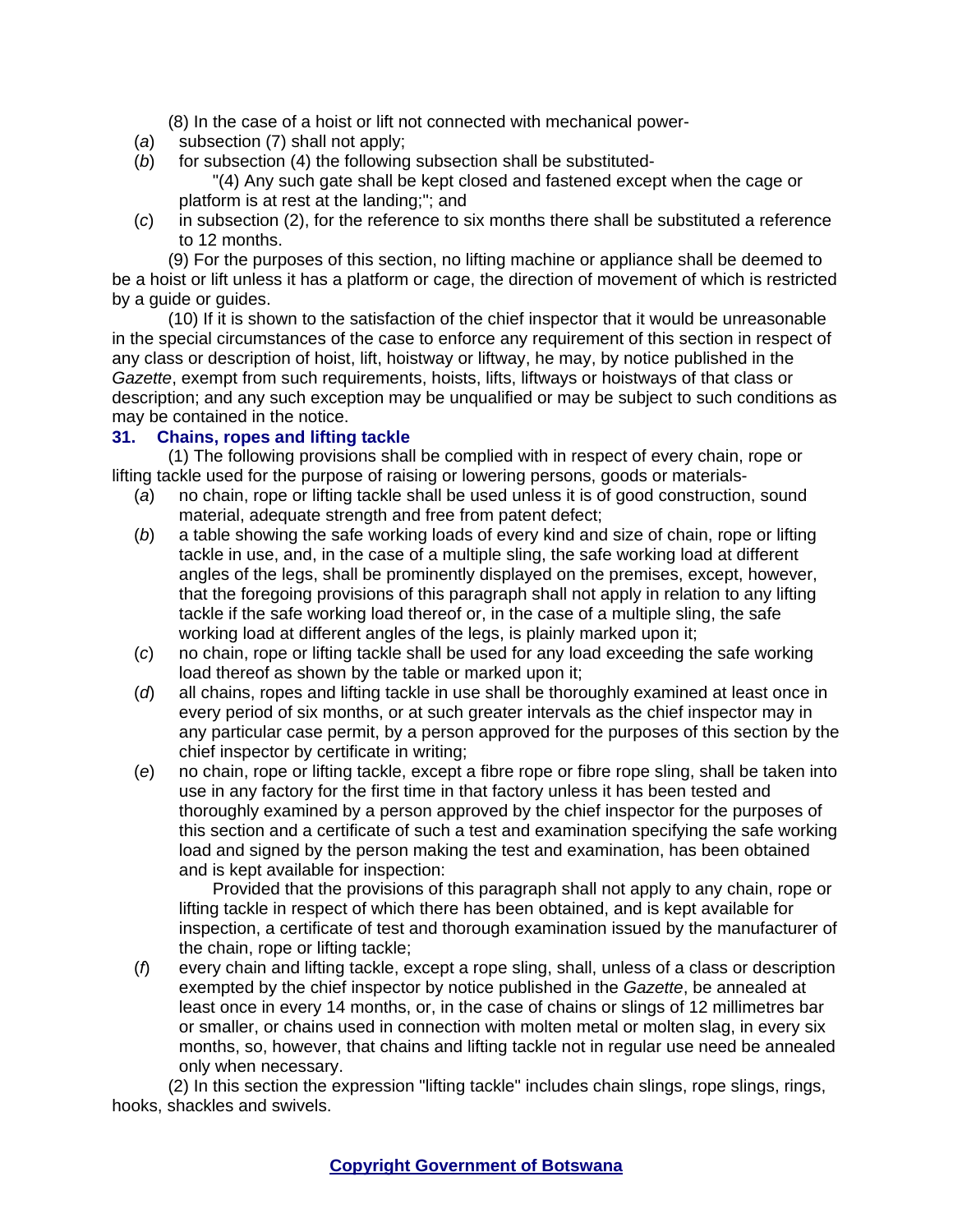(8) In the case of a hoist or lift not connected with mechanical power-

- (*a*) subsection (7) shall not apply;
- (*b*) for subsection (4) the following subsection shall be substituted-

 "(4) Any such gate shall be kept closed and fastened except when the cage or platform is at rest at the landing;"; and

(*c*) in subsection (2), for the reference to six months there shall be substituted a reference to 12 months.

(9) For the purposes of this section, no lifting machine or appliance shall be deemed to be a hoist or lift unless it has a platform or cage, the direction of movement of which is restricted by a guide or guides.

(10) If it is shown to the satisfaction of the chief inspector that it would be unreasonable in the special circumstances of the case to enforce any requirement of this section in respect of any class or description of hoist, lift, hoistway or liftway, he may, by notice published in the *Gazette*, exempt from such requirements, hoists, lifts, liftways or hoistways of that class or description; and any such exception may be unqualified or may be subject to such conditions as may be contained in the notice.

## **31. Chains, ropes and lifting tackle**

(1) The following provisions shall be complied with in respect of every chain, rope or lifting tackle used for the purpose of raising or lowering persons, goods or materials-

- (*a*) no chain, rope or lifting tackle shall be used unless it is of good construction, sound material, adequate strength and free from patent defect:
- (*b*) a table showing the safe working loads of every kind and size of chain, rope or lifting tackle in use, and, in the case of a multiple sling, the safe working load at different angles of the legs, shall be prominently displayed on the premises, except, however, that the foregoing provisions of this paragraph shall not apply in relation to any lifting tackle if the safe working load thereof or, in the case of a multiple sling, the safe working load at different angles of the legs, is plainly marked upon it;
- (*c*) no chain, rope or lifting tackle shall be used for any load exceeding the safe working load thereof as shown by the table or marked upon it;
- (*d*) all chains, ropes and lifting tackle in use shall be thoroughly examined at least once in every period of six months, or at such greater intervals as the chief inspector may in any particular case permit, by a person approved for the purposes of this section by the chief inspector by certificate in writing;
- (*e*) no chain, rope or lifting tackle, except a fibre rope or fibre rope sling, shall be taken into use in any factory for the first time in that factory unless it has been tested and thoroughly examined by a person approved by the chief inspector for the purposes of this section and a certificate of such a test and examination specifying the safe working load and signed by the person making the test and examination, has been obtained and is kept available for inspection:

 Provided that the provisions of this paragraph shall not apply to any chain, rope or lifting tackle in respect of which there has been obtained, and is kept available for inspection, a certificate of test and thorough examination issued by the manufacturer of the chain, rope or lifting tackle;

(*f*) every chain and lifting tackle, except a rope sling, shall, unless of a class or description exempted by the chief inspector by notice published in the *Gazette*, be annealed at least once in every 14 months, or, in the case of chains or slings of 12 millimetres bar or smaller, or chains used in connection with molten metal or molten slag, in every six months, so, however, that chains and lifting tackle not in regular use need be annealed only when necessary.

(2) In this section the expression "lifting tackle" includes chain slings, rope slings, rings, hooks, shackles and swivels.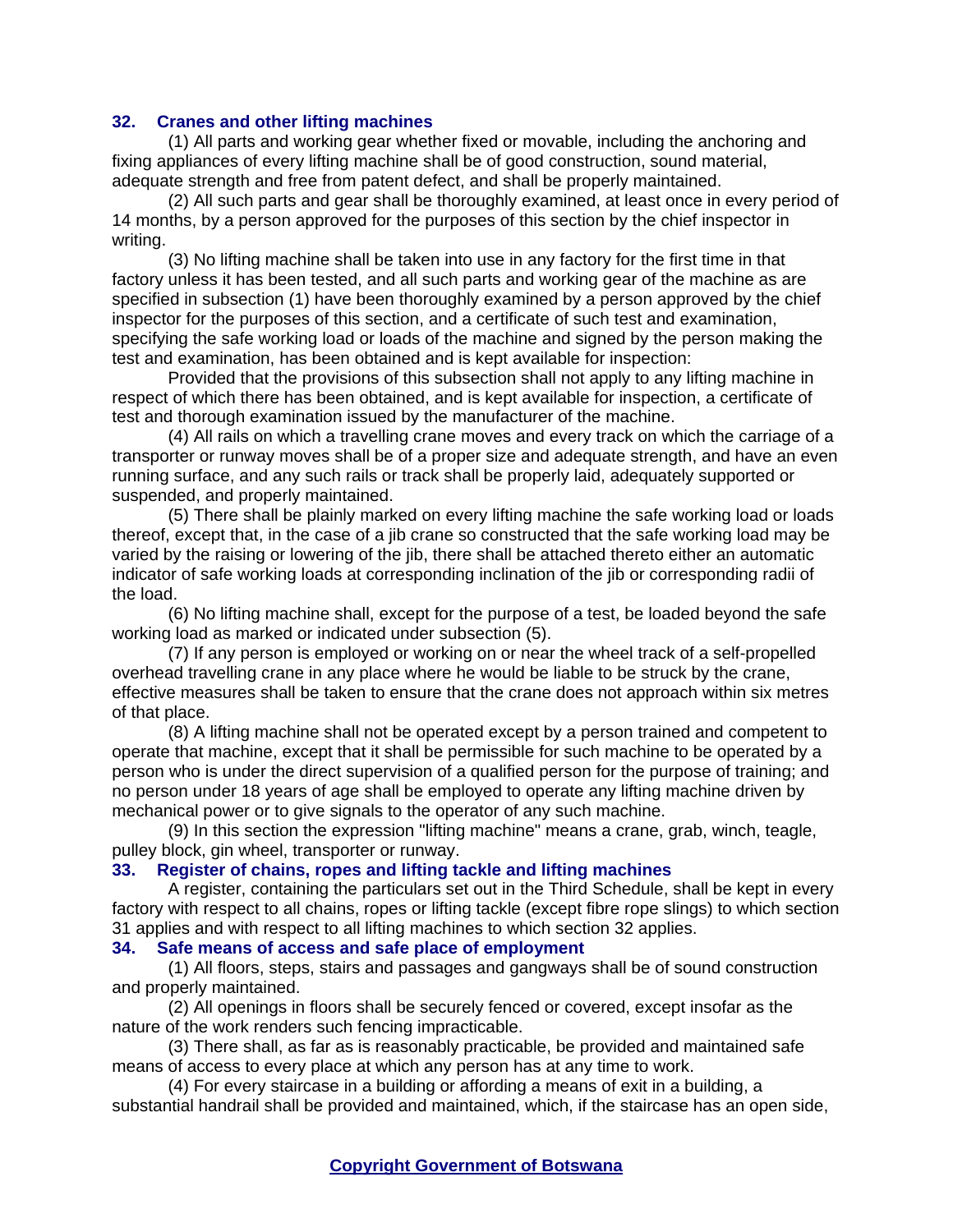### **32. Cranes and other lifting machines**

(1) All parts and working gear whether fixed or movable, including the anchoring and fixing appliances of every lifting machine shall be of good construction, sound material, adequate strength and free from patent defect, and shall be properly maintained.

(2) All such parts and gear shall be thoroughly examined, at least once in every period of 14 months, by a person approved for the purposes of this section by the chief inspector in writing.

(3) No lifting machine shall be taken into use in any factory for the first time in that factory unless it has been tested, and all such parts and working gear of the machine as are specified in subsection (1) have been thoroughly examined by a person approved by the chief inspector for the purposes of this section, and a certificate of such test and examination, specifying the safe working load or loads of the machine and signed by the person making the test and examination, has been obtained and is kept available for inspection:

Provided that the provisions of this subsection shall not apply to any lifting machine in respect of which there has been obtained, and is kept available for inspection, a certificate of test and thorough examination issued by the manufacturer of the machine.

(4) All rails on which a travelling crane moves and every track on which the carriage of a transporter or runway moves shall be of a proper size and adequate strength, and have an even running surface, and any such rails or track shall be properly laid, adequately supported or suspended, and properly maintained.

(5) There shall be plainly marked on every lifting machine the safe working load or loads thereof, except that, in the case of a jib crane so constructed that the safe working load may be varied by the raising or lowering of the jib, there shall be attached thereto either an automatic indicator of safe working loads at corresponding inclination of the jib or corresponding radii of the load.

(6) No lifting machine shall, except for the purpose of a test, be loaded beyond the safe working load as marked or indicated under subsection (5).

(7) If any person is employed or working on or near the wheel track of a self-propelled overhead travelling crane in any place where he would be liable to be struck by the crane, effective measures shall be taken to ensure that the crane does not approach within six metres of that place.

(8) A lifting machine shall not be operated except by a person trained and competent to operate that machine, except that it shall be permissible for such machine to be operated by a person who is under the direct supervision of a qualified person for the purpose of training; and no person under 18 years of age shall be employed to operate any lifting machine driven by mechanical power or to give signals to the operator of any such machine.

(9) In this section the expression "lifting machine" means a crane, grab, winch, teagle, pulley block, gin wheel, transporter or runway.

## **33. Register of chains, ropes and lifting tackle and lifting machines**

A register, containing the particulars set out in the Third Schedule, shall be kept in every factory with respect to all chains, ropes or lifting tackle (except fibre rope slings) to which section 31 applies and with respect to all lifting machines to which section 32 applies.

### **34. Safe means of access and safe place of employment**

(1) All floors, steps, stairs and passages and gangways shall be of sound construction and properly maintained.

(2) All openings in floors shall be securely fenced or covered, except insofar as the nature of the work renders such fencing impracticable.

(3) There shall, as far as is reasonably practicable, be provided and maintained safe means of access to every place at which any person has at any time to work.

(4) For every staircase in a building or affording a means of exit in a building, a substantial handrail shall be provided and maintained, which, if the staircase has an open side,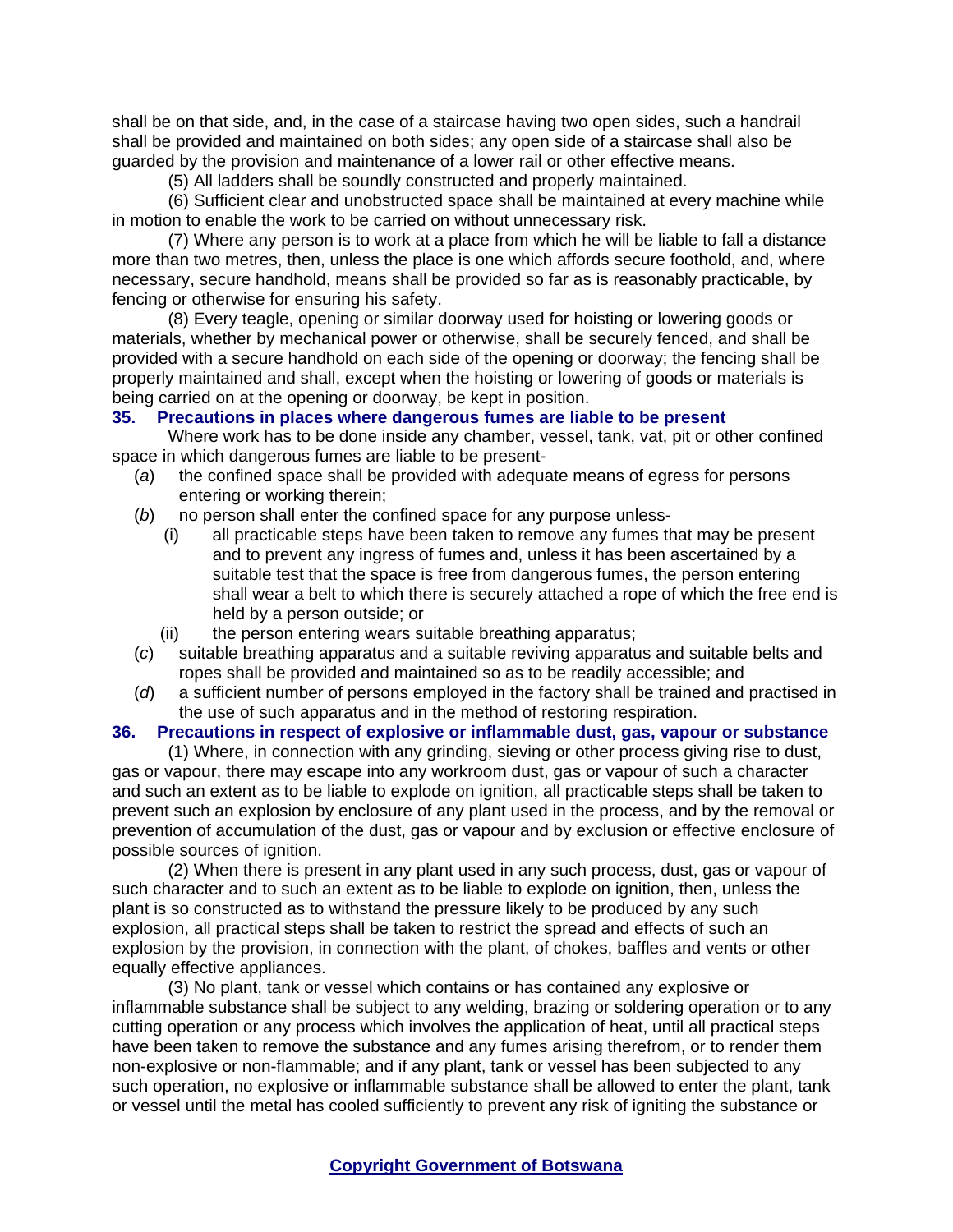shall be on that side, and, in the case of a staircase having two open sides, such a handrail shall be provided and maintained on both sides; any open side of a staircase shall also be guarded by the provision and maintenance of a lower rail or other effective means.

(5) All ladders shall be soundly constructed and properly maintained.

(6) Sufficient clear and unobstructed space shall be maintained at every machine while in motion to enable the work to be carried on without unnecessary risk.

(7) Where any person is to work at a place from which he will be liable to fall a distance more than two metres, then, unless the place is one which affords secure foothold, and, where necessary, secure handhold, means shall be provided so far as is reasonably practicable, by fencing or otherwise for ensuring his safety.

(8) Every teagle, opening or similar doorway used for hoisting or lowering goods or materials, whether by mechanical power or otherwise, shall be securely fenced, and shall be provided with a secure handhold on each side of the opening or doorway; the fencing shall be properly maintained and shall, except when the hoisting or lowering of goods or materials is being carried on at the opening or doorway, be kept in position.

### **35. Precautions in places where dangerous fumes are liable to be present**

Where work has to be done inside any chamber, vessel, tank, vat, pit or other confined space in which dangerous fumes are liable to be present-

- (*a*) the confined space shall be provided with adequate means of egress for persons entering or working therein;
- (*b*) no person shall enter the confined space for any purpose unless-
	- (i) all practicable steps have been taken to remove any fumes that may be present and to prevent any ingress of fumes and, unless it has been ascertained by a suitable test that the space is free from dangerous fumes, the person entering shall wear a belt to which there is securely attached a rope of which the free end is held by a person outside; or
	- (ii) the person entering wears suitable breathing apparatus;
- (*c*) suitable breathing apparatus and a suitable reviving apparatus and suitable belts and ropes shall be provided and maintained so as to be readily accessible; and
- (*d*) a sufficient number of persons employed in the factory shall be trained and practised in the use of such apparatus and in the method of restoring respiration.

## **36. Precautions in respect of explosive or inflammable dust, gas, vapour or substance**

(1) Where, in connection with any grinding, sieving or other process giving rise to dust, gas or vapour, there may escape into any workroom dust, gas or vapour of such a character and such an extent as to be liable to explode on ignition, all practicable steps shall be taken to prevent such an explosion by enclosure of any plant used in the process, and by the removal or prevention of accumulation of the dust, gas or vapour and by exclusion or effective enclosure of possible sources of ignition.

(2) When there is present in any plant used in any such process, dust, gas or vapour of such character and to such an extent as to be liable to explode on ignition, then, unless the plant is so constructed as to withstand the pressure likely to be produced by any such explosion, all practical steps shall be taken to restrict the spread and effects of such an explosion by the provision, in connection with the plant, of chokes, baffles and vents or other equally effective appliances.

(3) No plant, tank or vessel which contains or has contained any explosive or inflammable substance shall be subject to any welding, brazing or soldering operation or to any cutting operation or any process which involves the application of heat, until all practical steps have been taken to remove the substance and any fumes arising therefrom, or to render them non-explosive or non-flammable; and if any plant, tank or vessel has been subjected to any such operation, no explosive or inflammable substance shall be allowed to enter the plant, tank or vessel until the metal has cooled sufficiently to prevent any risk of igniting the substance or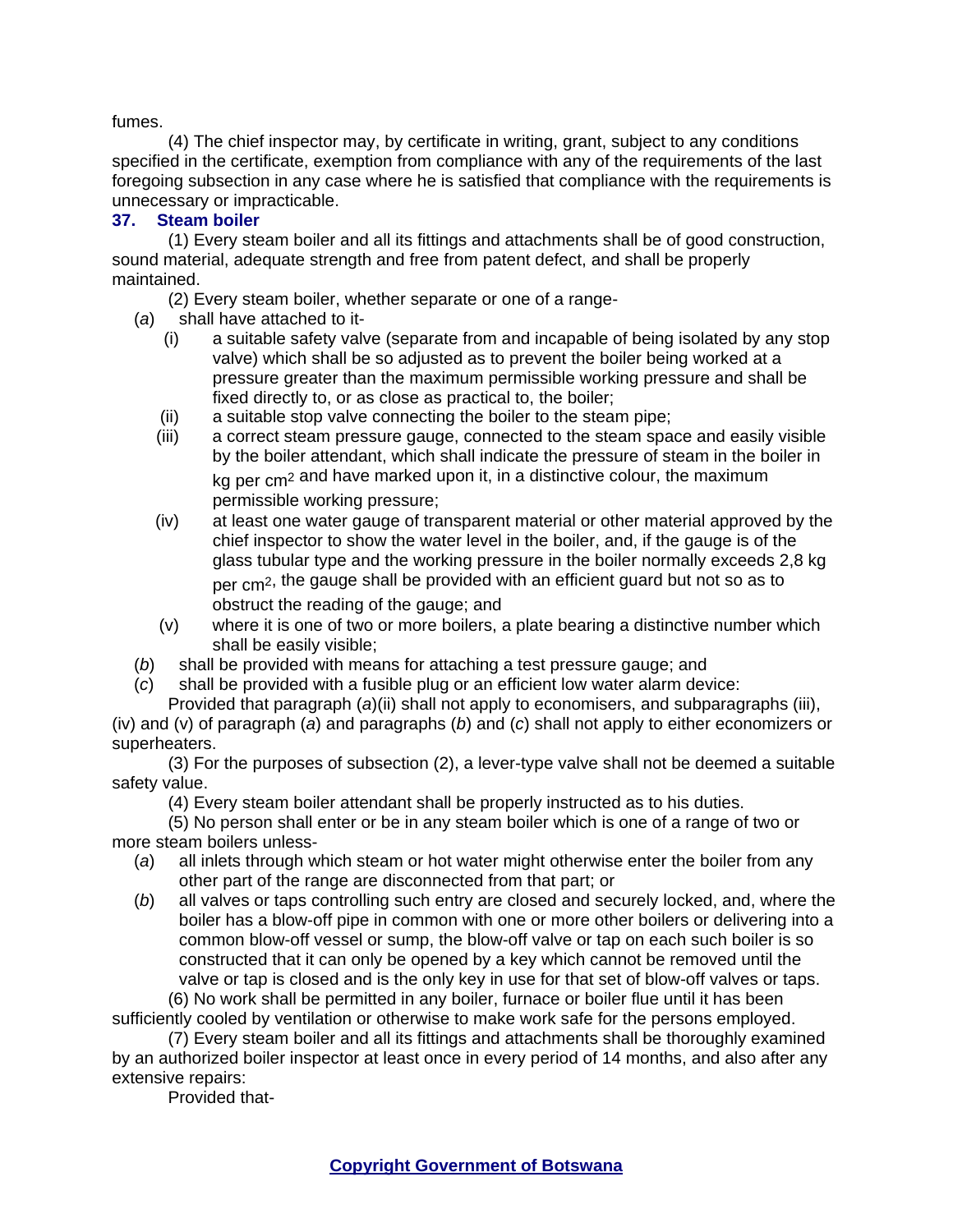fumes.

(4) The chief inspector may, by certificate in writing, grant, subject to any conditions specified in the certificate, exemption from compliance with any of the requirements of the last foregoing subsection in any case where he is satisfied that compliance with the requirements is unnecessary or impracticable.

## **37. Steam boiler**

(1) Every steam boiler and all its fittings and attachments shall be of good construction, sound material, adequate strength and free from patent defect, and shall be properly maintained.

(2) Every steam boiler, whether separate or one of a range-

- (*a*) shall have attached to it-
	- (i) a suitable safety valve (separate from and incapable of being isolated by any stop valve) which shall be so adjusted as to prevent the boiler being worked at a pressure greater than the maximum permissible working pressure and shall be fixed directly to, or as close as practical to, the boiler;
	- (ii) a suitable stop valve connecting the boiler to the steam pipe;
	- (iii) a correct steam pressure gauge, connected to the steam space and easily visible by the boiler attendant, which shall indicate the pressure of steam in the boiler in kg per cm<sup>2</sup> and have marked upon it, in a distinctive colour, the maximum permissible working pressure;
	- (iv) at least one water gauge of transparent material or other material approved by the chief inspector to show the water level in the boiler, and, if the gauge is of the glass tubular type and the working pressure in the boiler normally exceeds 2,8 kg per cm<sup>2</sup>, the gauge shall be provided with an efficient guard but not so as to obstruct the reading of the gauge; and
	- (v) where it is one of two or more boilers, a plate bearing a distinctive number which shall be easily visible;
- (*b*) shall be provided with means for attaching a test pressure gauge; and
- (*c*) shall be provided with a fusible plug or an efficient low water alarm device: Provided that paragraph (*a*)(ii) shall not apply to economisers, and subparagraphs (iii),
- (iv) and (v) of paragraph (*a*) and paragraphs (*b*) and (*c*) shall not apply to either economizers or superheaters.

(3) For the purposes of subsection (2), a lever-type valve shall not be deemed a suitable safety value.

(4) Every steam boiler attendant shall be properly instructed as to his duties.

(5) No person shall enter or be in any steam boiler which is one of a range of two or more steam boilers unless-

- (*a*) all inlets through which steam or hot water might otherwise enter the boiler from any other part of the range are disconnected from that part; or
- (*b*) all valves or taps controlling such entry are closed and securely locked, and, where the boiler has a blow-off pipe in common with one or more other boilers or delivering into a common blow-off vessel or sump, the blow-off valve or tap on each such boiler is so constructed that it can only be opened by a key which cannot be removed until the valve or tap is closed and is the only key in use for that set of blow-off valves or taps.

(6) No work shall be permitted in any boiler, furnace or boiler flue until it has been sufficiently cooled by ventilation or otherwise to make work safe for the persons employed.

(7) Every steam boiler and all its fittings and attachments shall be thoroughly examined by an authorized boiler inspector at least once in every period of 14 months, and also after any extensive repairs:

Provided that-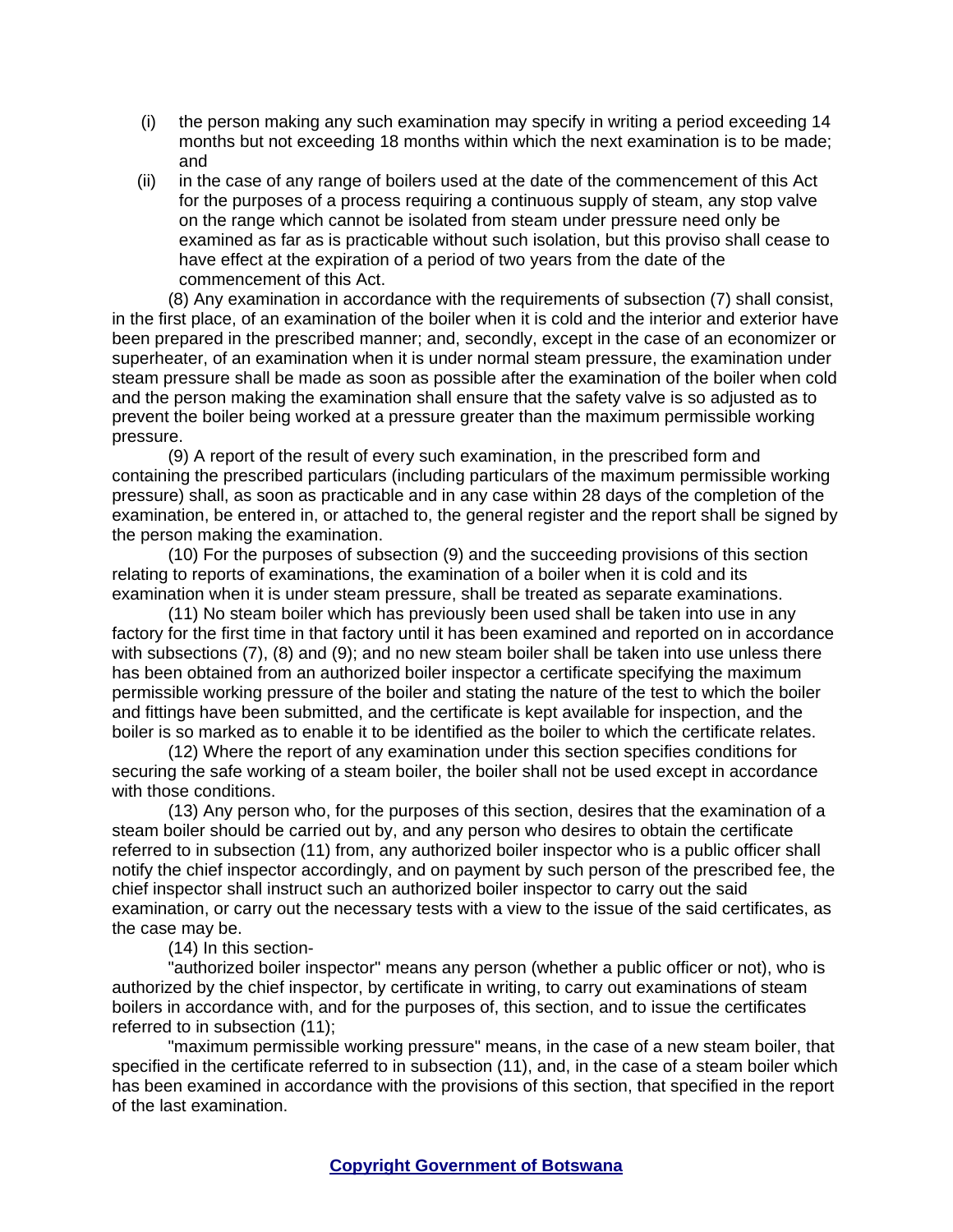- (i) the person making any such examination may specify in writing a period exceeding 14 months but not exceeding 18 months within which the next examination is to be made; and
- (ii) in the case of any range of boilers used at the date of the commencement of this Act for the purposes of a process requiring a continuous supply of steam, any stop valve on the range which cannot be isolated from steam under pressure need only be examined as far as is practicable without such isolation, but this proviso shall cease to have effect at the expiration of a period of two years from the date of the commencement of this Act.

(8) Any examination in accordance with the requirements of subsection (7) shall consist, in the first place, of an examination of the boiler when it is cold and the interior and exterior have been prepared in the prescribed manner; and, secondly, except in the case of an economizer or superheater, of an examination when it is under normal steam pressure, the examination under steam pressure shall be made as soon as possible after the examination of the boiler when cold and the person making the examination shall ensure that the safety valve is so adjusted as to prevent the boiler being worked at a pressure greater than the maximum permissible working pressure.

(9) A report of the result of every such examination, in the prescribed form and containing the prescribed particulars (including particulars of the maximum permissible working pressure) shall, as soon as practicable and in any case within 28 days of the completion of the examination, be entered in, or attached to, the general register and the report shall be signed by the person making the examination.

(10) For the purposes of subsection (9) and the succeeding provisions of this section relating to reports of examinations, the examination of a boiler when it is cold and its examination when it is under steam pressure, shall be treated as separate examinations.

(11) No steam boiler which has previously been used shall be taken into use in any factory for the first time in that factory until it has been examined and reported on in accordance with subsections (7), (8) and (9); and no new steam boiler shall be taken into use unless there has been obtained from an authorized boiler inspector a certificate specifying the maximum permissible working pressure of the boiler and stating the nature of the test to which the boiler and fittings have been submitted, and the certificate is kept available for inspection, and the boiler is so marked as to enable it to be identified as the boiler to which the certificate relates.

(12) Where the report of any examination under this section specifies conditions for securing the safe working of a steam boiler, the boiler shall not be used except in accordance with those conditions.

(13) Any person who, for the purposes of this section, desires that the examination of a steam boiler should be carried out by, and any person who desires to obtain the certificate referred to in subsection (11) from, any authorized boiler inspector who is a public officer shall notify the chief inspector accordingly, and on payment by such person of the prescribed fee, the chief inspector shall instruct such an authorized boiler inspector to carry out the said examination, or carry out the necessary tests with a view to the issue of the said certificates, as the case may be.

(14) In this section-

"authorized boiler inspector" means any person (whether a public officer or not), who is authorized by the chief inspector, by certificate in writing, to carry out examinations of steam boilers in accordance with, and for the purposes of, this section, and to issue the certificates referred to in subsection (11);

"maximum permissible working pressure" means, in the case of a new steam boiler, that specified in the certificate referred to in subsection (11), and, in the case of a steam boiler which has been examined in accordance with the provisions of this section, that specified in the report of the last examination.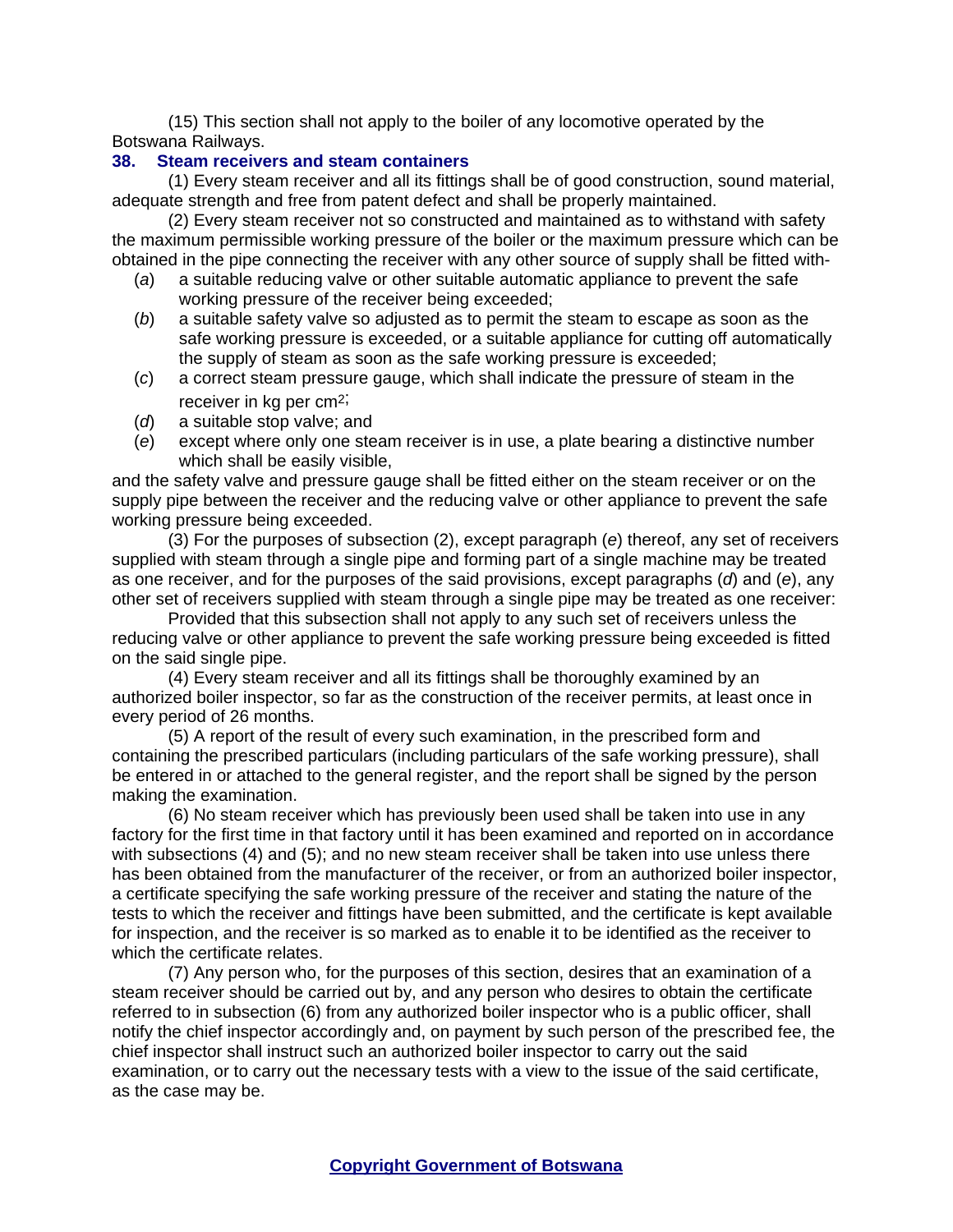(15) This section shall not apply to the boiler of any locomotive operated by the Botswana Railways.

### **38. Steam receivers and steam containers**

(1) Every steam receiver and all its fittings shall be of good construction, sound material, adequate strength and free from patent defect and shall be properly maintained.

(2) Every steam receiver not so constructed and maintained as to withstand with safety the maximum permissible working pressure of the boiler or the maximum pressure which can be obtained in the pipe connecting the receiver with any other source of supply shall be fitted with-

- (*a*) a suitable reducing valve or other suitable automatic appliance to prevent the safe working pressure of the receiver being exceeded;
- (*b*) a suitable safety valve so adjusted as to permit the steam to escape as soon as the safe working pressure is exceeded, or a suitable appliance for cutting off automatically the supply of steam as soon as the safe working pressure is exceeded;
- (*c*) a correct steam pressure gauge, which shall indicate the pressure of steam in the receiver in kg per cm2;
- (*d*) a suitable stop valve; and
- (*e*) except where only one steam receiver is in use, a plate bearing a distinctive number which shall be easily visible,

and the safety valve and pressure gauge shall be fitted either on the steam receiver or on the supply pipe between the receiver and the reducing valve or other appliance to prevent the safe working pressure being exceeded.

(3) For the purposes of subsection (2), except paragraph (*e*) thereof, any set of receivers supplied with steam through a single pipe and forming part of a single machine may be treated as one receiver, and for the purposes of the said provisions, except paragraphs (*d*) and (*e*), any other set of receivers supplied with steam through a single pipe may be treated as one receiver:

Provided that this subsection shall not apply to any such set of receivers unless the reducing valve or other appliance to prevent the safe working pressure being exceeded is fitted on the said single pipe.

(4) Every steam receiver and all its fittings shall be thoroughly examined by an authorized boiler inspector, so far as the construction of the receiver permits, at least once in every period of 26 months.

(5) A report of the result of every such examination, in the prescribed form and containing the prescribed particulars (including particulars of the safe working pressure), shall be entered in or attached to the general register, and the report shall be signed by the person making the examination.

(6) No steam receiver which has previously been used shall be taken into use in any factory for the first time in that factory until it has been examined and reported on in accordance with subsections (4) and (5); and no new steam receiver shall be taken into use unless there has been obtained from the manufacturer of the receiver, or from an authorized boiler inspector, a certificate specifying the safe working pressure of the receiver and stating the nature of the tests to which the receiver and fittings have been submitted, and the certificate is kept available for inspection, and the receiver is so marked as to enable it to be identified as the receiver to which the certificate relates.

(7) Any person who, for the purposes of this section, desires that an examination of a steam receiver should be carried out by, and any person who desires to obtain the certificate referred to in subsection (6) from any authorized boiler inspector who is a public officer, shall notify the chief inspector accordingly and, on payment by such person of the prescribed fee, the chief inspector shall instruct such an authorized boiler inspector to carry out the said examination, or to carry out the necessary tests with a view to the issue of the said certificate, as the case may be.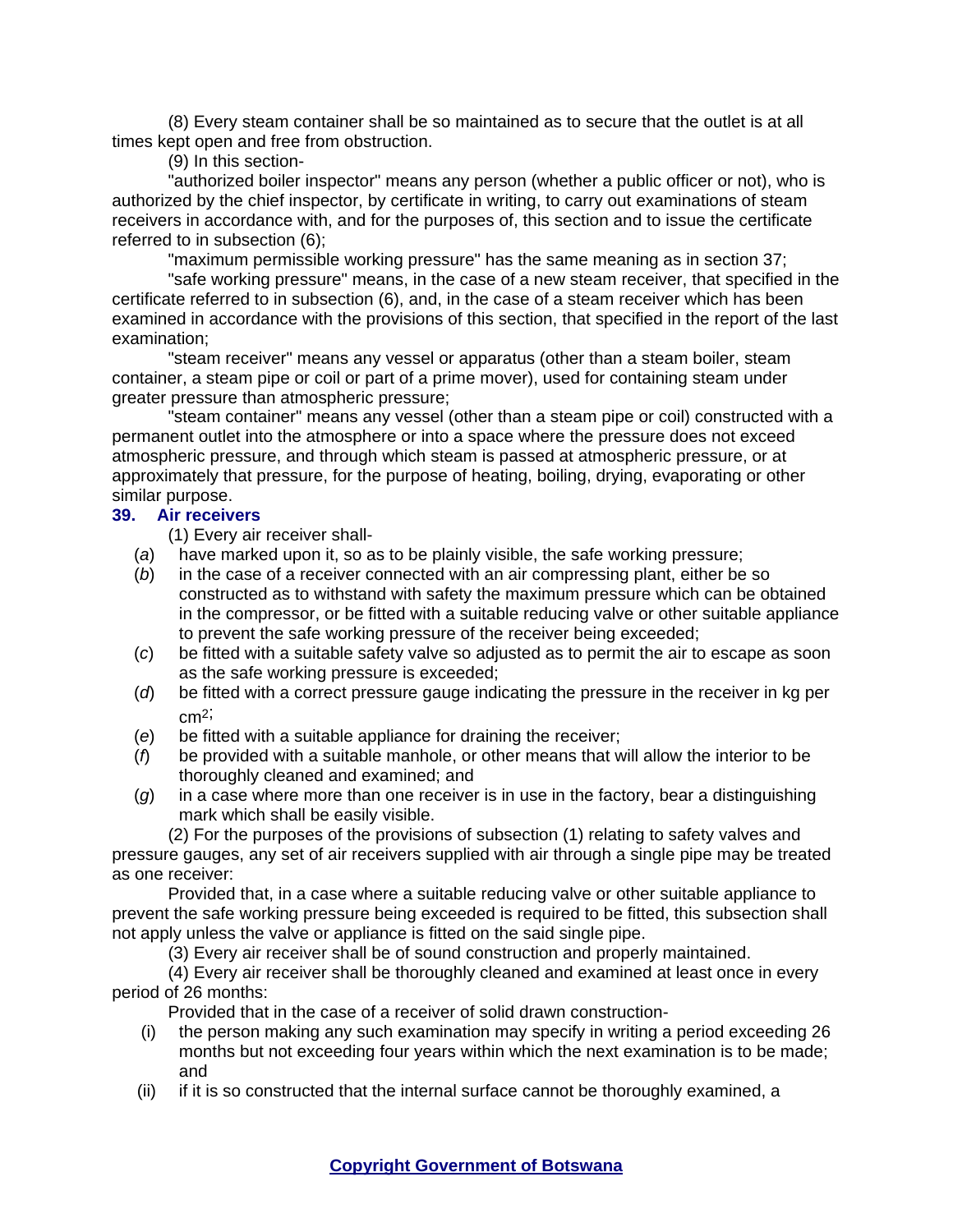(8) Every steam container shall be so maintained as to secure that the outlet is at all times kept open and free from obstruction.

(9) In this section-

"authorized boiler inspector" means any person (whether a public officer or not), who is authorized by the chief inspector, by certificate in writing, to carry out examinations of steam receivers in accordance with, and for the purposes of, this section and to issue the certificate referred to in subsection (6);

"maximum permissible working pressure" has the same meaning as in section 37;

"safe working pressure" means, in the case of a new steam receiver, that specified in the certificate referred to in subsection (6), and, in the case of a steam receiver which has been examined in accordance with the provisions of this section, that specified in the report of the last examination;

"steam receiver" means any vessel or apparatus (other than a steam boiler, steam container, a steam pipe or coil or part of a prime mover), used for containing steam under greater pressure than atmospheric pressure;

"steam container" means any vessel (other than a steam pipe or coil) constructed with a permanent outlet into the atmosphere or into a space where the pressure does not exceed atmospheric pressure, and through which steam is passed at atmospheric pressure, or at approximately that pressure, for the purpose of heating, boiling, drying, evaporating or other similar purpose.

## **39. Air receivers**

(1) Every air receiver shall-

- (*a*) have marked upon it, so as to be plainly visible, the safe working pressure;
- (*b*) in the case of a receiver connected with an air compressing plant, either be so constructed as to withstand with safety the maximum pressure which can be obtained in the compressor, or be fitted with a suitable reducing valve or other suitable appliance to prevent the safe working pressure of the receiver being exceeded;
- (*c*) be fitted with a suitable safety valve so adjusted as to permit the air to escape as soon as the safe working pressure is exceeded;
- (*d*) be fitted with a correct pressure gauge indicating the pressure in the receiver in kg per cm2;
- (*e*) be fitted with a suitable appliance for draining the receiver;
- (*f*) be provided with a suitable manhole, or other means that will allow the interior to be thoroughly cleaned and examined; and
- (*g*) in a case where more than one receiver is in use in the factory, bear a distinguishing mark which shall be easily visible.

(2) For the purposes of the provisions of subsection (1) relating to safety valves and pressure gauges, any set of air receivers supplied with air through a single pipe may be treated as one receiver:

Provided that, in a case where a suitable reducing valve or other suitable appliance to prevent the safe working pressure being exceeded is required to be fitted, this subsection shall not apply unless the valve or appliance is fitted on the said single pipe.

(3) Every air receiver shall be of sound construction and properly maintained.

(4) Every air receiver shall be thoroughly cleaned and examined at least once in every period of 26 months:

- Provided that in the case of a receiver of solid drawn construction-
- (i) the person making any such examination may specify in writing a period exceeding 26 months but not exceeding four years within which the next examination is to be made; and
- (ii) if it is so constructed that the internal surface cannot be thoroughly examined, a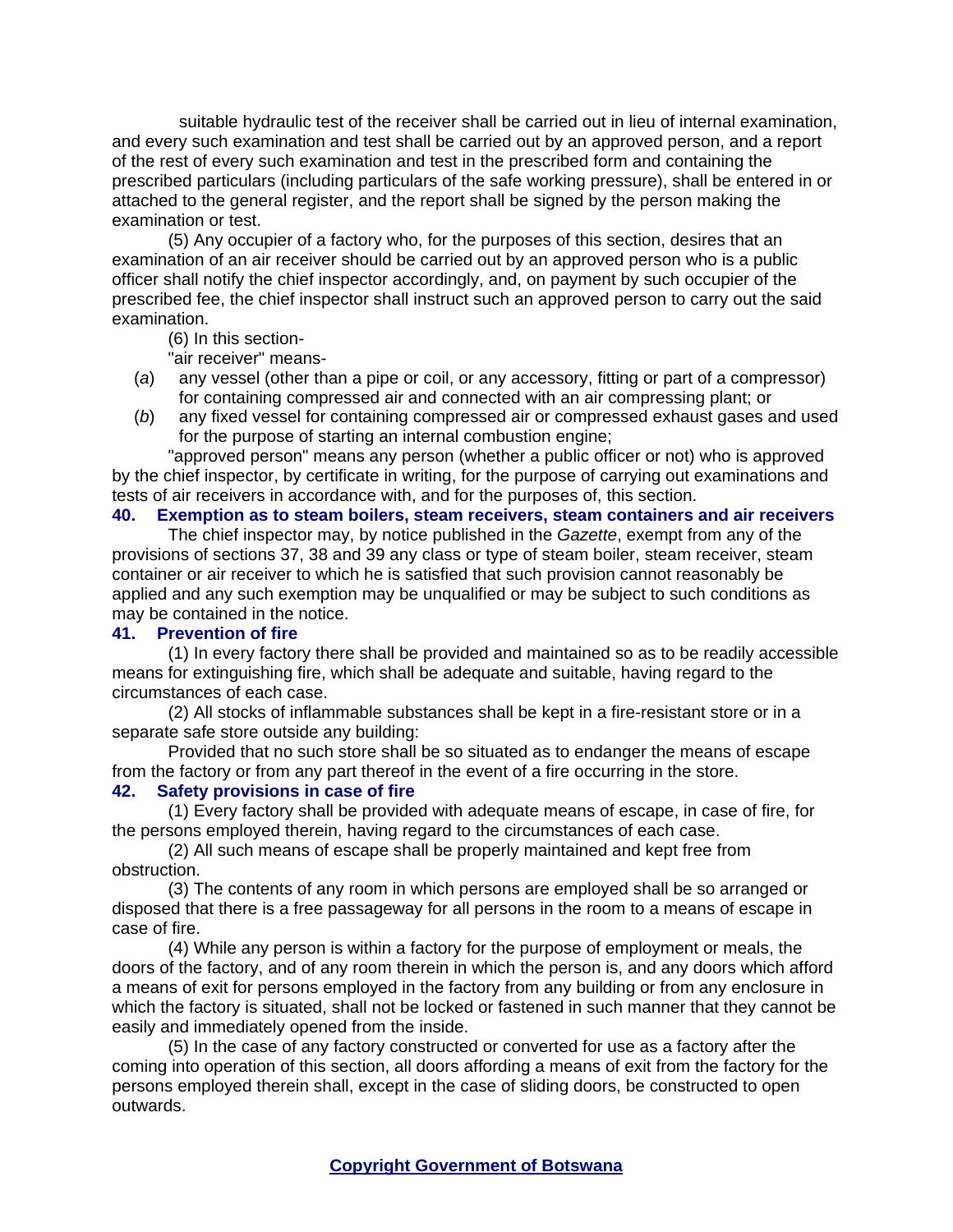suitable hydraulic test of the receiver shall be carried out in lieu of internal examination, and every such examination and test shall be carried out by an approved person, and a report of the rest of every such examination and test in the prescribed form and containing the prescribed particulars (including particulars of the safe working pressure), shall be entered in or attached to the general register, and the report shall be signed by the person making the examination or test.

(5) Any occupier of a factory who, for the purposes of this section, desires that an examination of an air receiver should be carried out by an approved person who is a public officer shall notify the chief inspector accordingly, and, on payment by such occupier of the prescribed fee, the chief inspector shall instruct such an approved person to carry out the said examination.

### (6) In this section-

"air receiver" means-

- (*a*) any vessel (other than a pipe or coil, or any accessory, fitting or part of a compressor) for containing compressed air and connected with an air compressing plant; or
- (*b*) any fixed vessel for containing compressed air or compressed exhaust gases and used for the purpose of starting an internal combustion engine;

"approved person" means any person (whether a public officer or not) who is approved by the chief inspector, by certificate in writing, for the purpose of carrying out examinations and tests of air receivers in accordance with, and for the purposes of, this section.

### **40. Exemption as to steam boilers, steam receivers, steam containers and air receivers**

The chief inspector may, by notice published in the *Gazette*, exempt from any of the provisions of sections 37, 38 and 39 any class or type of steam boiler, steam receiver, steam container or air receiver to which he is satisfied that such provision cannot reasonably be applied and any such exemption may be unqualified or may be subject to such conditions as may be contained in the notice.

## **41. Prevention of fire**

(1) In every factory there shall be provided and maintained so as to be readily accessible means for extinguishing fire, which shall be adequate and suitable, having regard to the circumstances of each case.

(2) All stocks of inflammable substances shall be kept in a fire-resistant store or in a separate safe store outside any building:

Provided that no such store shall be so situated as to endanger the means of escape from the factory or from any part thereof in the event of a fire occurring in the store.

## **42. Safety provisions in case of fire**

(1) Every factory shall be provided with adequate means of escape, in case of fire, for the persons employed therein, having regard to the circumstances of each case.

(2) All such means of escape shall be properly maintained and kept free from obstruction.

(3) The contents of any room in which persons are employed shall be so arranged or disposed that there is a free passageway for all persons in the room to a means of escape in case of fire.

(4) While any person is within a factory for the purpose of employment or meals, the doors of the factory, and of any room therein in which the person is, and any doors which afford a means of exit for persons employed in the factory from any building or from any enclosure in which the factory is situated, shall not be locked or fastened in such manner that they cannot be easily and immediately opened from the inside.

(5) In the case of any factory constructed or converted for use as a factory after the coming into operation of this section, all doors affording a means of exit from the factory for the persons employed therein shall, except in the case of sliding doors, be constructed to open outwards.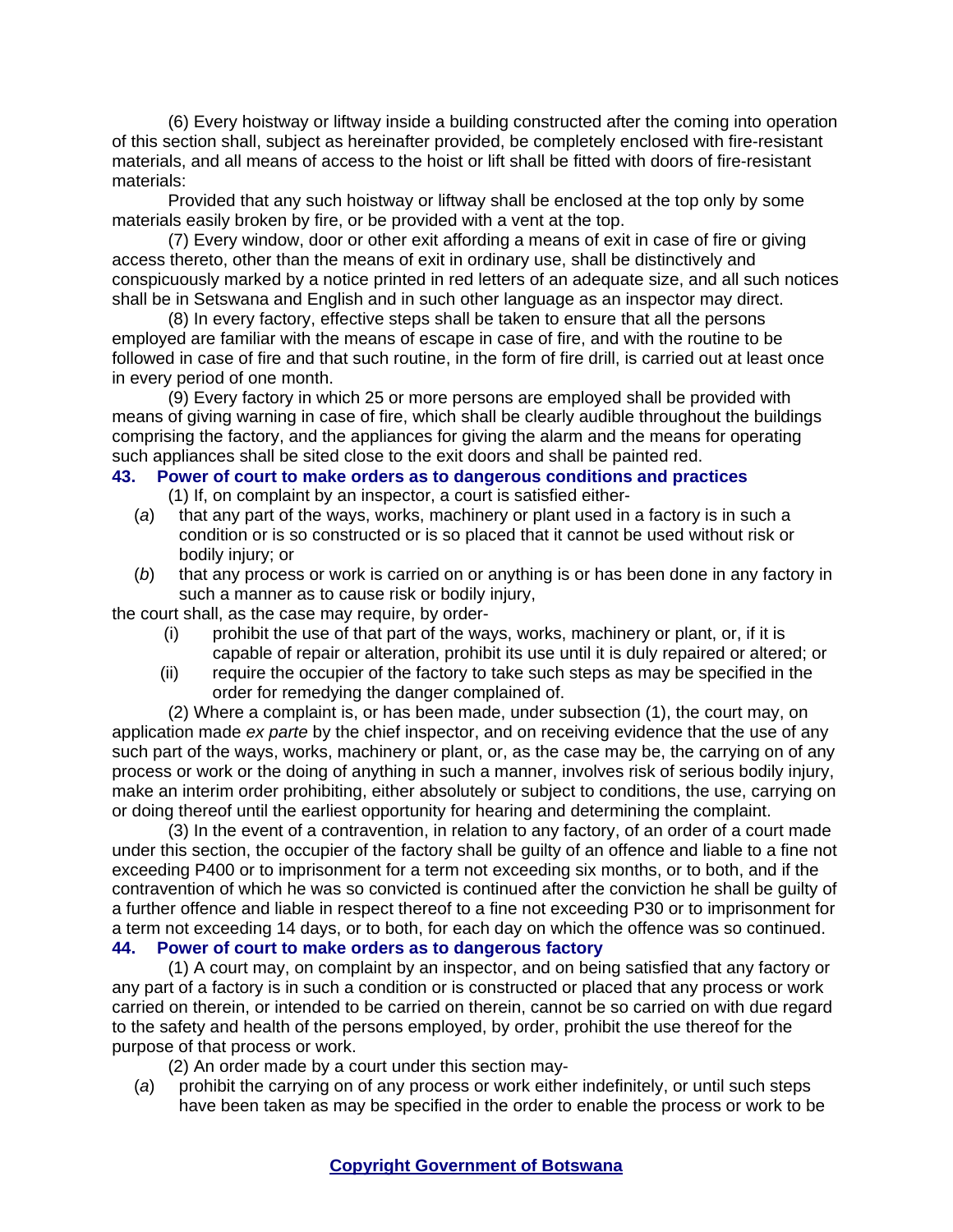(6) Every hoistway or liftway inside a building constructed after the coming into operation of this section shall, subject as hereinafter provided, be completely enclosed with fire-resistant materials, and all means of access to the hoist or lift shall be fitted with doors of fire-resistant materials:

Provided that any such hoistway or liftway shall be enclosed at the top only by some materials easily broken by fire, or be provided with a vent at the top.

(7) Every window, door or other exit affording a means of exit in case of fire or giving access thereto, other than the means of exit in ordinary use, shall be distinctively and conspicuously marked by a notice printed in red letters of an adequate size, and all such notices shall be in Setswana and English and in such other language as an inspector may direct.

(8) In every factory, effective steps shall be taken to ensure that all the persons employed are familiar with the means of escape in case of fire, and with the routine to be followed in case of fire and that such routine, in the form of fire drill, is carried out at least once in every period of one month.

(9) Every factory in which 25 or more persons are employed shall be provided with means of giving warning in case of fire, which shall be clearly audible throughout the buildings comprising the factory, and the appliances for giving the alarm and the means for operating such appliances shall be sited close to the exit doors and shall be painted red.

### **43. Power of court to make orders as to dangerous conditions and practices**

- (1) If, on complaint by an inspector, a court is satisfied either-
- (*a*) that any part of the ways, works, machinery or plant used in a factory is in such a condition or is so constructed or is so placed that it cannot be used without risk or bodily injury; or
- (*b*) that any process or work is carried on or anything is or has been done in any factory in such a manner as to cause risk or bodily injury,

the court shall, as the case may require, by order-

- (i) prohibit the use of that part of the ways, works, machinery or plant, or, if it is capable of repair or alteration, prohibit its use until it is duly repaired or altered; or
- (ii) require the occupier of the factory to take such steps as may be specified in the order for remedying the danger complained of.

(2) Where a complaint is, or has been made, under subsection (1), the court may, on application made *ex parte* by the chief inspector, and on receiving evidence that the use of any such part of the ways, works, machinery or plant, or, as the case may be, the carrying on of any process or work or the doing of anything in such a manner, involves risk of serious bodily injury, make an interim order prohibiting, either absolutely or subject to conditions, the use, carrying on or doing thereof until the earliest opportunity for hearing and determining the complaint.

(3) In the event of a contravention, in relation to any factory, of an order of a court made under this section, the occupier of the factory shall be guilty of an offence and liable to a fine not exceeding P400 or to imprisonment for a term not exceeding six months, or to both, and if the contravention of which he was so convicted is continued after the conviction he shall be guilty of a further offence and liable in respect thereof to a fine not exceeding P30 or to imprisonment for a term not exceeding 14 days, or to both, for each day on which the offence was so continued.

## **44. Power of court to make orders as to dangerous factory**

(1) A court may, on complaint by an inspector, and on being satisfied that any factory or any part of a factory is in such a condition or is constructed or placed that any process or work carried on therein, or intended to be carried on therein, cannot be so carried on with due regard to the safety and health of the persons employed, by order, prohibit the use thereof for the purpose of that process or work.

(2) An order made by a court under this section may-

(*a*) prohibit the carrying on of any process or work either indefinitely, or until such steps have been taken as may be specified in the order to enable the process or work to be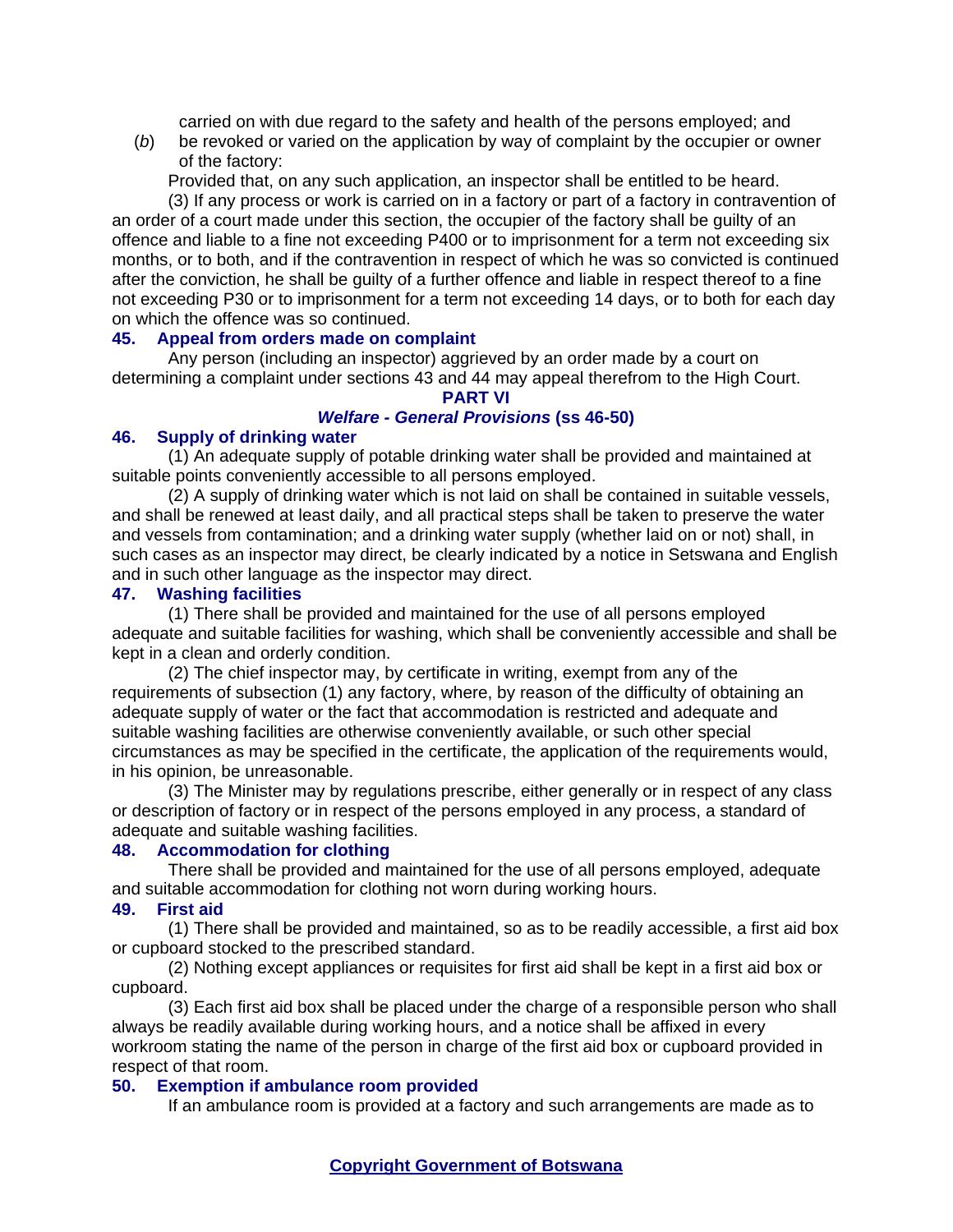carried on with due regard to the safety and health of the persons employed; and

(*b*) be revoked or varied on the application by way of complaint by the occupier or owner of the factory:

Provided that, on any such application, an inspector shall be entitled to be heard.

(3) If any process or work is carried on in a factory or part of a factory in contravention of an order of a court made under this section, the occupier of the factory shall be guilty of an offence and liable to a fine not exceeding P400 or to imprisonment for a term not exceeding six months, or to both, and if the contravention in respect of which he was so convicted is continued after the conviction, he shall be guilty of a further offence and liable in respect thereof to a fine not exceeding P30 or to imprisonment for a term not exceeding 14 days, or to both for each day on which the offence was so continued.

## **45. Appeal from orders made on complaint**

Any person (including an inspector) aggrieved by an order made by a court on determining a complaint under sections 43 and 44 may appeal therefrom to the High Court.

### **PART VI**

### *Welfare - General Provisions* **(ss 46-50)**

### **46. Supply of drinking water**

(1) An adequate supply of potable drinking water shall be provided and maintained at suitable points conveniently accessible to all persons employed.

(2) A supply of drinking water which is not laid on shall be contained in suitable vessels, and shall be renewed at least daily, and all practical steps shall be taken to preserve the water and vessels from contamination; and a drinking water supply (whether laid on or not) shall, in such cases as an inspector may direct, be clearly indicated by a notice in Setswana and English and in such other language as the inspector may direct.

### **47. Washing facilities**

(1) There shall be provided and maintained for the use of all persons employed adequate and suitable facilities for washing, which shall be conveniently accessible and shall be kept in a clean and orderly condition.

(2) The chief inspector may, by certificate in writing, exempt from any of the requirements of subsection (1) any factory, where, by reason of the difficulty of obtaining an adequate supply of water or the fact that accommodation is restricted and adequate and suitable washing facilities are otherwise conveniently available, or such other special circumstances as may be specified in the certificate, the application of the requirements would, in his opinion, be unreasonable.

(3) The Minister may by regulations prescribe, either generally or in respect of any class or description of factory or in respect of the persons employed in any process, a standard of adequate and suitable washing facilities.

## **48. Accommodation for clothing**

There shall be provided and maintained for the use of all persons employed, adequate and suitable accommodation for clothing not worn during working hours.

### **49. First aid**

(1) There shall be provided and maintained, so as to be readily accessible, a first aid box or cupboard stocked to the prescribed standard.

(2) Nothing except appliances or requisites for first aid shall be kept in a first aid box or cupboard.

(3) Each first aid box shall be placed under the charge of a responsible person who shall always be readily available during working hours, and a notice shall be affixed in every workroom stating the name of the person in charge of the first aid box or cupboard provided in respect of that room.

## **50. Exemption if ambulance room provided**

If an ambulance room is provided at a factory and such arrangements are made as to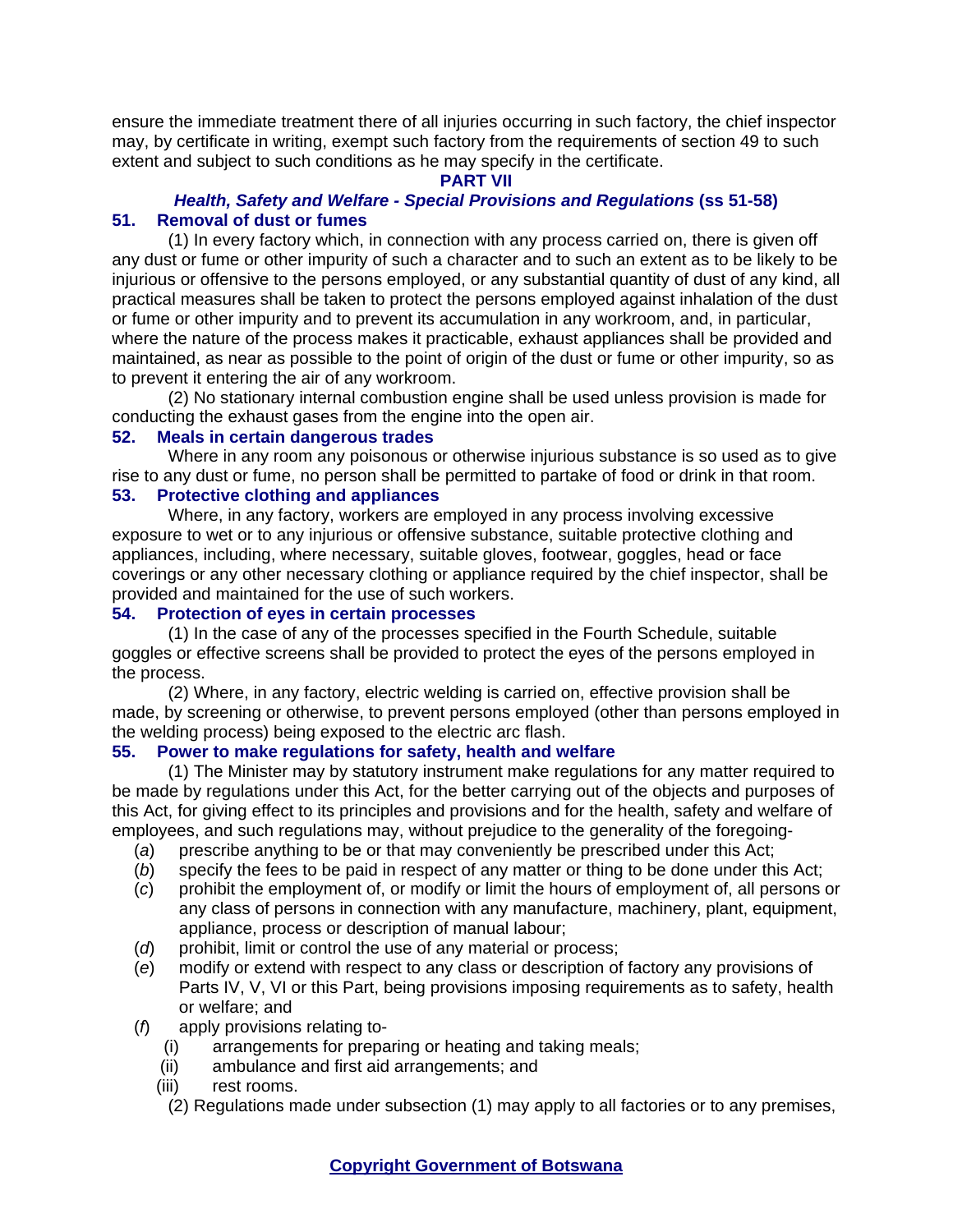ensure the immediate treatment there of all injuries occurring in such factory, the chief inspector may, by certificate in writing, exempt such factory from the requirements of section 49 to such extent and subject to such conditions as he may specify in the certificate.

## **PART VII**

## *Health, Safety and Welfare - Special Provisions and Regulations* **(ss 51-58) 51. Removal of dust or fumes**

(1) In every factory which, in connection with any process carried on, there is given off any dust or fume or other impurity of such a character and to such an extent as to be likely to be injurious or offensive to the persons employed, or any substantial quantity of dust of any kind, all practical measures shall be taken to protect the persons employed against inhalation of the dust or fume or other impurity and to prevent its accumulation in any workroom, and, in particular, where the nature of the process makes it practicable, exhaust appliances shall be provided and maintained, as near as possible to the point of origin of the dust or fume or other impurity, so as to prevent it entering the air of any workroom.

(2) No stationary internal combustion engine shall be used unless provision is made for conducting the exhaust gases from the engine into the open air.

### **52. Meals in certain dangerous trades**

Where in any room any poisonous or otherwise injurious substance is so used as to give rise to any dust or fume, no person shall be permitted to partake of food or drink in that room.

### **53. Protective clothing and appliances**

Where, in any factory, workers are employed in any process involving excessive exposure to wet or to any injurious or offensive substance, suitable protective clothing and appliances, including, where necessary, suitable gloves, footwear, goggles, head or face coverings or any other necessary clothing or appliance required by the chief inspector, shall be provided and maintained for the use of such workers.

#### **54. Protection of eyes in certain processes**

(1) In the case of any of the processes specified in the Fourth Schedule, suitable goggles or effective screens shall be provided to protect the eyes of the persons employed in the process.

(2) Where, in any factory, electric welding is carried on, effective provision shall be made, by screening or otherwise, to prevent persons employed (other than persons employed in the welding process) being exposed to the electric arc flash.

### **55. Power to make regulations for safety, health and welfare**

(1) The Minister may by statutory instrument make regulations for any matter required to be made by regulations under this Act, for the better carrying out of the objects and purposes of this Act, for giving effect to its principles and provisions and for the health, safety and welfare of employees, and such regulations may, without prejudice to the generality of the foregoing-

- (*a*) prescribe anything to be or that may conveniently be prescribed under this Act;
- (*b*) specify the fees to be paid in respect of any matter or thing to be done under this Act;
- (*c*) prohibit the employment of, or modify or limit the hours of employment of, all persons or any class of persons in connection with any manufacture, machinery, plant, equipment, appliance, process or description of manual labour;
- (*d*) prohibit, limit or control the use of any material or process;
- (*e*) modify or extend with respect to any class or description of factory any provisions of Parts IV, V, VI or this Part, being provisions imposing requirements as to safety, health or welfare; and
- (*f*) apply provisions relating to-
	- (i) arrangements for preparing or heating and taking meals;
	- (ii) ambulance and first aid arrangements; and
	- (iii) rest rooms.

(2) Regulations made under subsection (1) may apply to all factories or to any premises,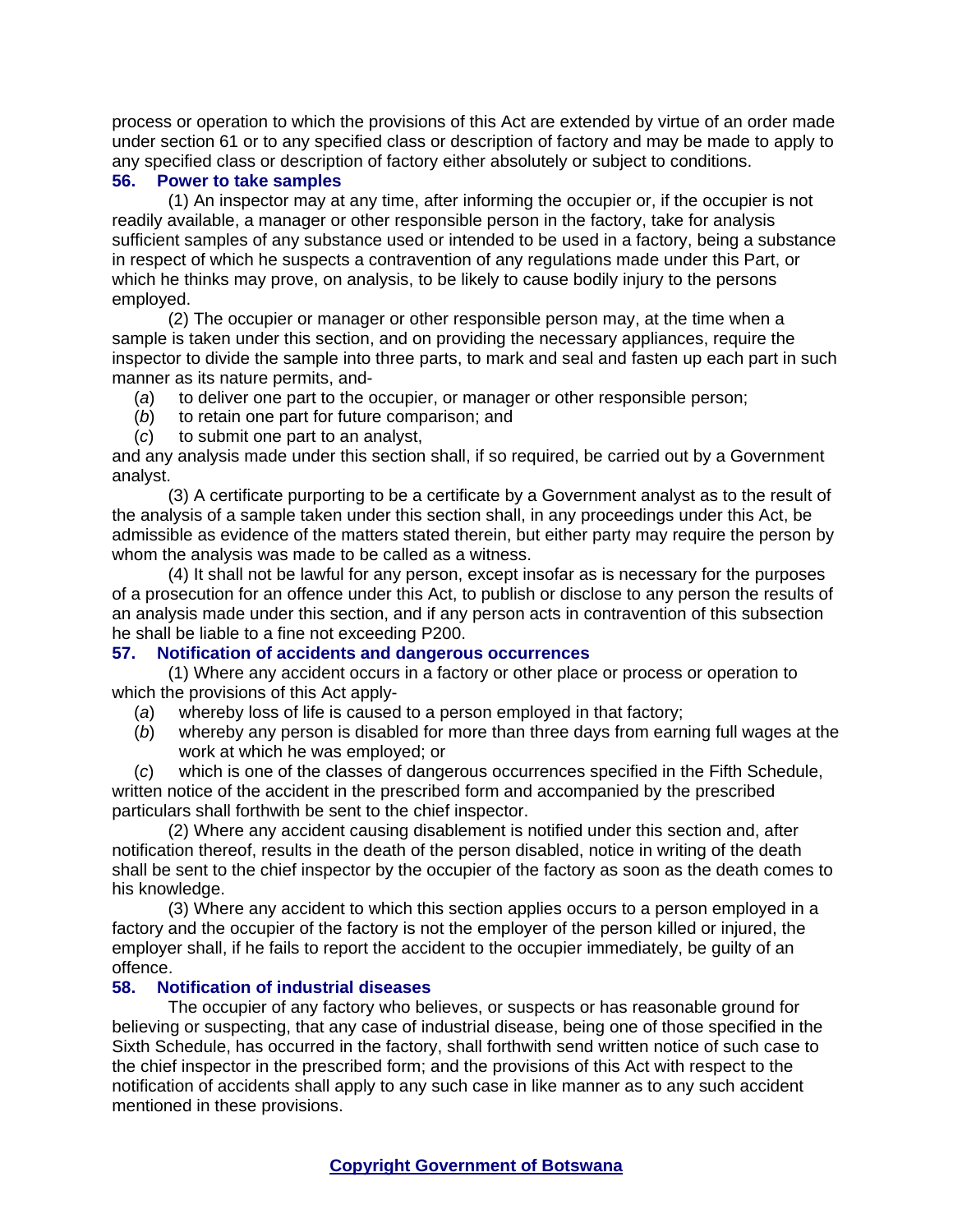process or operation to which the provisions of this Act are extended by virtue of an order made under section 61 or to any specified class or description of factory and may be made to apply to any specified class or description of factory either absolutely or subject to conditions.

### **56. Power to take samples**

(1) An inspector may at any time, after informing the occupier or, if the occupier is not readily available, a manager or other responsible person in the factory, take for analysis sufficient samples of any substance used or intended to be used in a factory, being a substance in respect of which he suspects a contravention of any regulations made under this Part, or which he thinks may prove, on analysis, to be likely to cause bodily injury to the persons employed.

(2) The occupier or manager or other responsible person may, at the time when a sample is taken under this section, and on providing the necessary appliances, require the inspector to divide the sample into three parts, to mark and seal and fasten up each part in such manner as its nature permits, and-

- (*a*) to deliver one part to the occupier, or manager or other responsible person;
- (*b*) to retain one part for future comparison; and
- (*c*) to submit one part to an analyst,

and any analysis made under this section shall, if so required, be carried out by a Government analyst.

(3) A certificate purporting to be a certificate by a Government analyst as to the result of the analysis of a sample taken under this section shall, in any proceedings under this Act, be admissible as evidence of the matters stated therein, but either party may require the person by whom the analysis was made to be called as a witness.

(4) It shall not be lawful for any person, except insofar as is necessary for the purposes of a prosecution for an offence under this Act, to publish or disclose to any person the results of an analysis made under this section, and if any person acts in contravention of this subsection he shall be liable to a fine not exceeding P200.

## **57. Notification of accidents and dangerous occurrences**

(1) Where any accident occurs in a factory or other place or process or operation to which the provisions of this Act apply-

- (*a*) whereby loss of life is caused to a person employed in that factory;
- (*b*) whereby any person is disabled for more than three days from earning full wages at the work at which he was employed; or

(*c*) which is one of the classes of dangerous occurrences specified in the Fifth Schedule, written notice of the accident in the prescribed form and accompanied by the prescribed particulars shall forthwith be sent to the chief inspector.

(2) Where any accident causing disablement is notified under this section and, after notification thereof, results in the death of the person disabled, notice in writing of the death shall be sent to the chief inspector by the occupier of the factory as soon as the death comes to his knowledge.

(3) Where any accident to which this section applies occurs to a person employed in a factory and the occupier of the factory is not the employer of the person killed or injured, the employer shall, if he fails to report the accident to the occupier immediately, be guilty of an offence.

## **58. Notification of industrial diseases**

The occupier of any factory who believes, or suspects or has reasonable ground for believing or suspecting, that any case of industrial disease, being one of those specified in the Sixth Schedule, has occurred in the factory, shall forthwith send written notice of such case to the chief inspector in the prescribed form; and the provisions of this Act with respect to the notification of accidents shall apply to any such case in like manner as to any such accident mentioned in these provisions.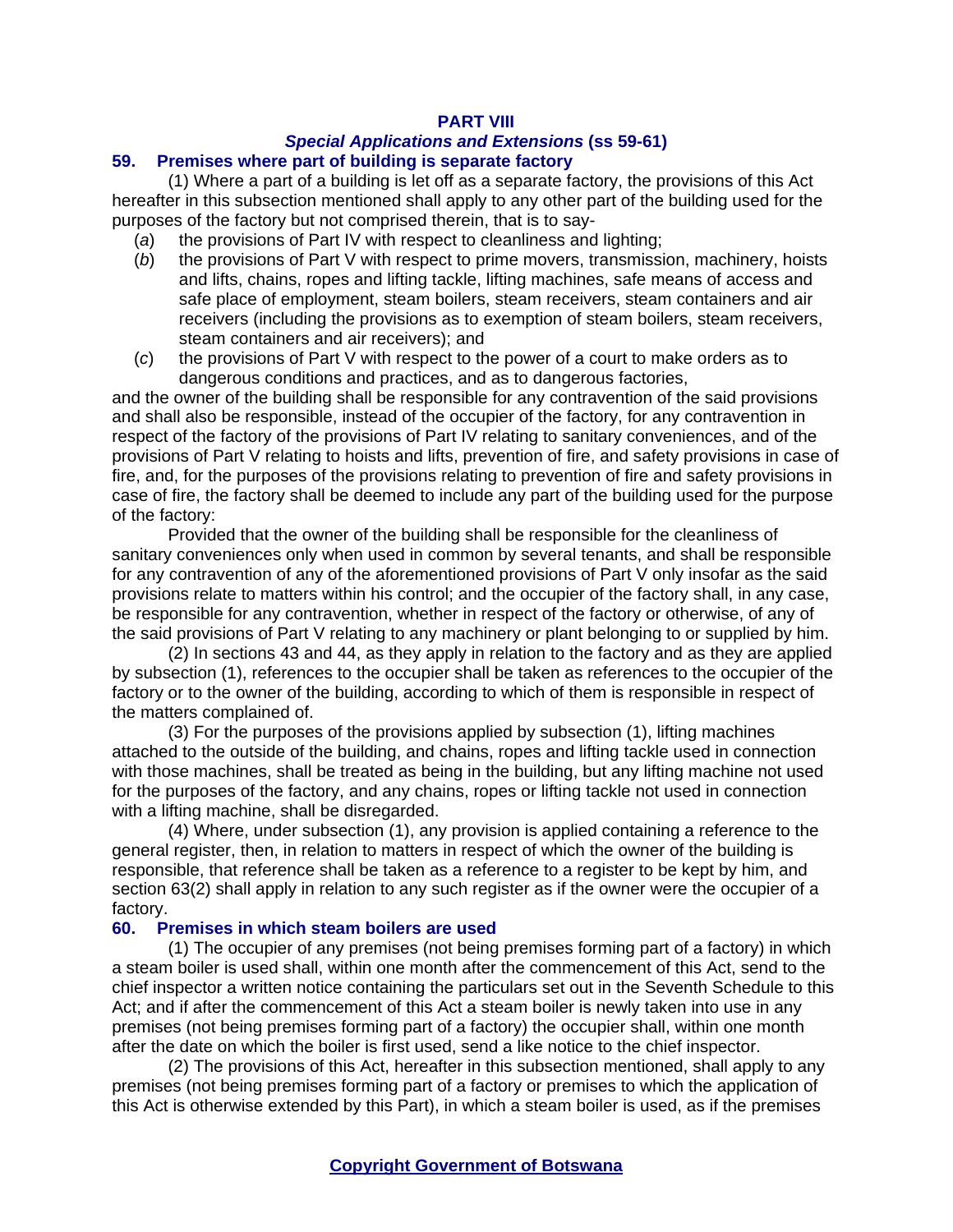### **PART VIII**

#### *Special Applications and Extensions* **(ss 59-61) 59. Premises where part of building is separate factory**

(1) Where a part of a building is let off as a separate factory, the provisions of this Act hereafter in this subsection mentioned shall apply to any other part of the building used for the purposes of the factory but not comprised therein, that is to say-

- (*a*) the provisions of Part IV with respect to cleanliness and lighting;
- (*b*) the provisions of Part V with respect to prime movers, transmission, machinery, hoists and lifts, chains, ropes and lifting tackle, lifting machines, safe means of access and safe place of employment, steam boilers, steam receivers, steam containers and air receivers (including the provisions as to exemption of steam boilers, steam receivers, steam containers and air receivers); and
- (*c*) the provisions of Part V with respect to the power of a court to make orders as to dangerous conditions and practices, and as to dangerous factories,

and the owner of the building shall be responsible for any contravention of the said provisions and shall also be responsible, instead of the occupier of the factory, for any contravention in respect of the factory of the provisions of Part IV relating to sanitary conveniences, and of the provisions of Part V relating to hoists and lifts, prevention of fire, and safety provisions in case of fire, and, for the purposes of the provisions relating to prevention of fire and safety provisions in case of fire, the factory shall be deemed to include any part of the building used for the purpose of the factory:

Provided that the owner of the building shall be responsible for the cleanliness of sanitary conveniences only when used in common by several tenants, and shall be responsible for any contravention of any of the aforementioned provisions of Part V only insofar as the said provisions relate to matters within his control; and the occupier of the factory shall, in any case, be responsible for any contravention, whether in respect of the factory or otherwise, of any of the said provisions of Part V relating to any machinery or plant belonging to or supplied by him.

(2) In sections 43 and 44, as they apply in relation to the factory and as they are applied by subsection (1), references to the occupier shall be taken as references to the occupier of the factory or to the owner of the building, according to which of them is responsible in respect of the matters complained of.

(3) For the purposes of the provisions applied by subsection (1), lifting machines attached to the outside of the building, and chains, ropes and lifting tackle used in connection with those machines, shall be treated as being in the building, but any lifting machine not used for the purposes of the factory, and any chains, ropes or lifting tackle not used in connection with a lifting machine, shall be disregarded.

(4) Where, under subsection (1), any provision is applied containing a reference to the general register, then, in relation to matters in respect of which the owner of the building is responsible, that reference shall be taken as a reference to a register to be kept by him, and section 63(2) shall apply in relation to any such register as if the owner were the occupier of a factory.

### **60. Premises in which steam boilers are used**

(1) The occupier of any premises (not being premises forming part of a factory) in which a steam boiler is used shall, within one month after the commencement of this Act, send to the chief inspector a written notice containing the particulars set out in the Seventh Schedule to this Act; and if after the commencement of this Act a steam boiler is newly taken into use in any premises (not being premises forming part of a factory) the occupier shall, within one month after the date on which the boiler is first used, send a like notice to the chief inspector.

(2) The provisions of this Act, hereafter in this subsection mentioned, shall apply to any premises (not being premises forming part of a factory or premises to which the application of this Act is otherwise extended by this Part), in which a steam boiler is used, as if the premises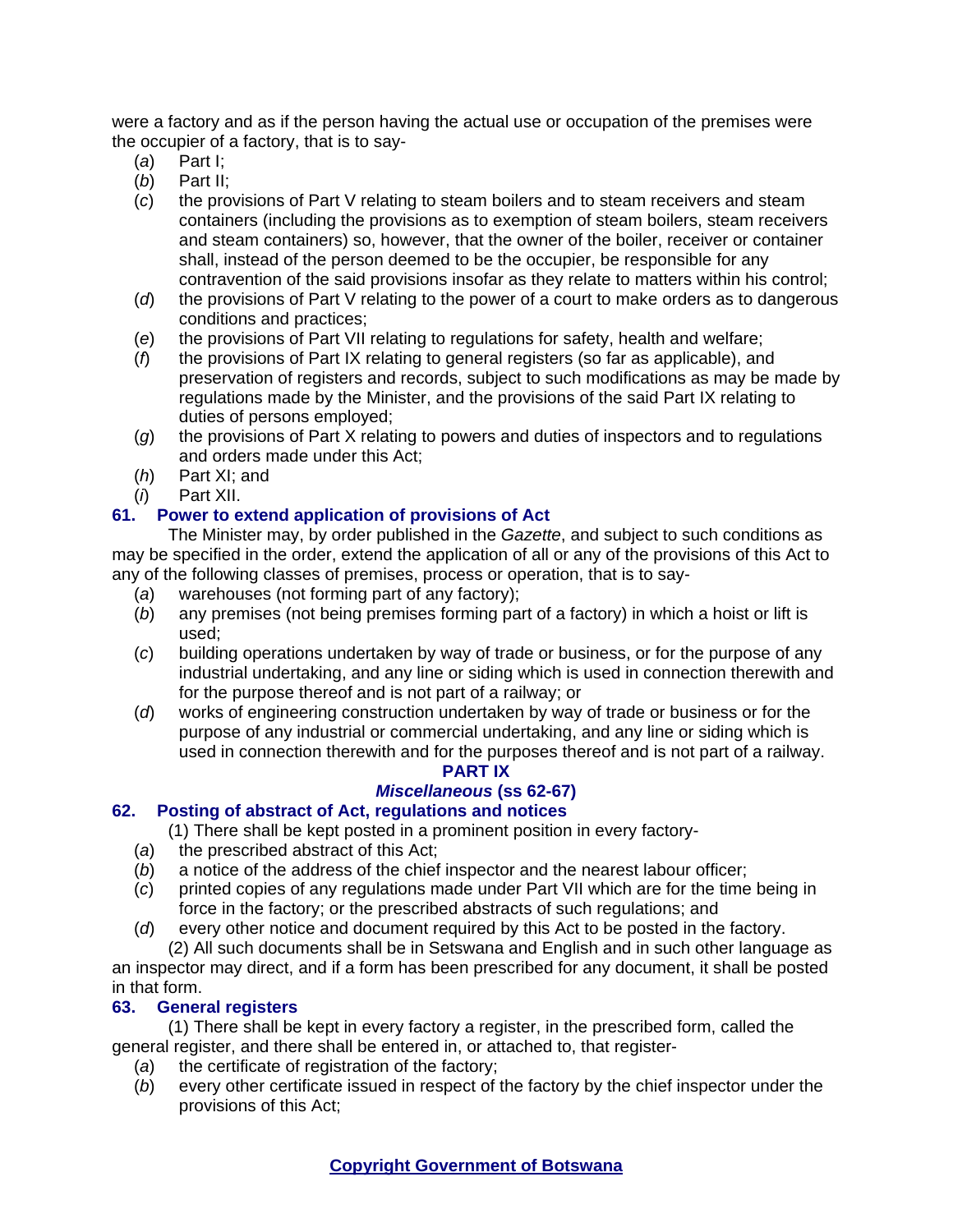were a factory and as if the person having the actual use or occupation of the premises were the occupier of a factory, that is to say-

- (*a*) Part I;
- (*b*) Part II;
- (*c*) the provisions of Part V relating to steam boilers and to steam receivers and steam containers (including the provisions as to exemption of steam boilers, steam receivers and steam containers) so, however, that the owner of the boiler, receiver or container shall, instead of the person deemed to be the occupier, be responsible for any contravention of the said provisions insofar as they relate to matters within his control;
- (*d*) the provisions of Part V relating to the power of a court to make orders as to dangerous conditions and practices;
- (*e*) the provisions of Part VII relating to regulations for safety, health and welfare;
- (*f*) the provisions of Part IX relating to general registers (so far as applicable), and preservation of registers and records, subject to such modifications as may be made by regulations made by the Minister, and the provisions of the said Part IX relating to duties of persons employed;
- (*g*) the provisions of Part X relating to powers and duties of inspectors and to regulations and orders made under this Act;
- (*h*) Part XI; and
- (*i*) Part XII.

## **61. Power to extend application of provisions of Act**

The Minister may, by order published in the *Gazette*, and subject to such conditions as may be specified in the order, extend the application of all or any of the provisions of this Act to any of the following classes of premises, process or operation, that is to say-

- (*a*) warehouses (not forming part of any factory);
- (*b*) any premises (not being premises forming part of a factory) in which a hoist or lift is used;
- (*c*) building operations undertaken by way of trade or business, or for the purpose of any industrial undertaking, and any line or siding which is used in connection therewith and for the purpose thereof and is not part of a railway; or
- (*d*) works of engineering construction undertaken by way of trade or business or for the purpose of any industrial or commercial undertaking, and any line or siding which is used in connection therewith and for the purposes thereof and is not part of a railway.

# **PART IX**

# *Miscellaneous* **(ss 62-67)**

## **62. Posting of abstract of Act, regulations and notices**

(1) There shall be kept posted in a prominent position in every factory-

- (*a*) the prescribed abstract of this Act;
- (*b*) a notice of the address of the chief inspector and the nearest labour officer;
- (*c*) printed copies of any regulations made under Part VII which are for the time being in force in the factory; or the prescribed abstracts of such regulations; and
- (*d*) every other notice and document required by this Act to be posted in the factory.

(2) All such documents shall be in Setswana and English and in such other language as an inspector may direct, and if a form has been prescribed for any document, it shall be posted in that form.

## **63. General registers**

(1) There shall be kept in every factory a register, in the prescribed form, called the general register, and there shall be entered in, or attached to, that register-

- (*a*) the certificate of registration of the factory;
- (*b*) every other certificate issued in respect of the factory by the chief inspector under the provisions of this Act;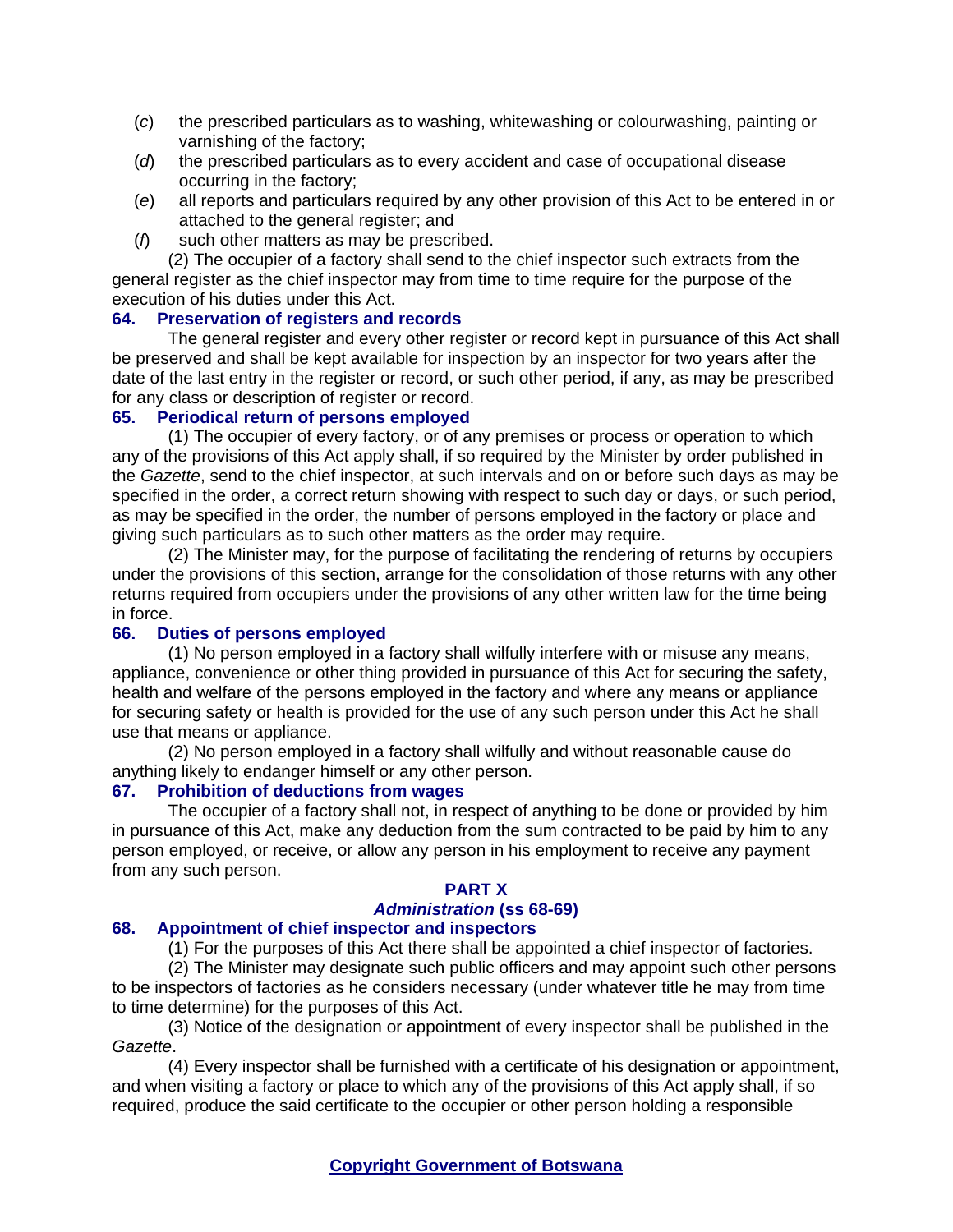- (*c*) the prescribed particulars as to washing, whitewashing or colourwashing, painting or varnishing of the factory;
- (*d*) the prescribed particulars as to every accident and case of occupational disease occurring in the factory;
- (*e*) all reports and particulars required by any other provision of this Act to be entered in or attached to the general register; and
- (*f*) such other matters as may be prescribed.

(2) The occupier of a factory shall send to the chief inspector such extracts from the general register as the chief inspector may from time to time require for the purpose of the execution of his duties under this Act.

### **64. Preservation of registers and records**

The general register and every other register or record kept in pursuance of this Act shall be preserved and shall be kept available for inspection by an inspector for two years after the date of the last entry in the register or record, or such other period, if any, as may be prescribed for any class or description of register or record.

## **65. Periodical return of persons employed**

(1) The occupier of every factory, or of any premises or process or operation to which any of the provisions of this Act apply shall, if so required by the Minister by order published in the *Gazette*, send to the chief inspector, at such intervals and on or before such days as may be specified in the order, a correct return showing with respect to such day or days, or such period, as may be specified in the order, the number of persons employed in the factory or place and giving such particulars as to such other matters as the order may require.

(2) The Minister may, for the purpose of facilitating the rendering of returns by occupiers under the provisions of this section, arrange for the consolidation of those returns with any other returns required from occupiers under the provisions of any other written law for the time being in force.

## **66. Duties of persons employed**

(1) No person employed in a factory shall wilfully interfere with or misuse any means, appliance, convenience or other thing provided in pursuance of this Act for securing the safety, health and welfare of the persons employed in the factory and where any means or appliance for securing safety or health is provided for the use of any such person under this Act he shall use that means or appliance.

(2) No person employed in a factory shall wilfully and without reasonable cause do anything likely to endanger himself or any other person.

## **67. Prohibition of deductions from wages**

The occupier of a factory shall not, in respect of anything to be done or provided by him in pursuance of this Act, make any deduction from the sum contracted to be paid by him to any person employed, or receive, or allow any person in his employment to receive any payment from any such person.

## **PART X**

### *Administration* **(ss 68-69)**

## **68. Appointment of chief inspector and inspectors**

(1) For the purposes of this Act there shall be appointed a chief inspector of factories.

(2) The Minister may designate such public officers and may appoint such other persons to be inspectors of factories as he considers necessary (under whatever title he may from time to time determine) for the purposes of this Act.

(3) Notice of the designation or appointment of every inspector shall be published in the *Gazette*.

(4) Every inspector shall be furnished with a certificate of his designation or appointment, and when visiting a factory or place to which any of the provisions of this Act apply shall, if so required, produce the said certificate to the occupier or other person holding a responsible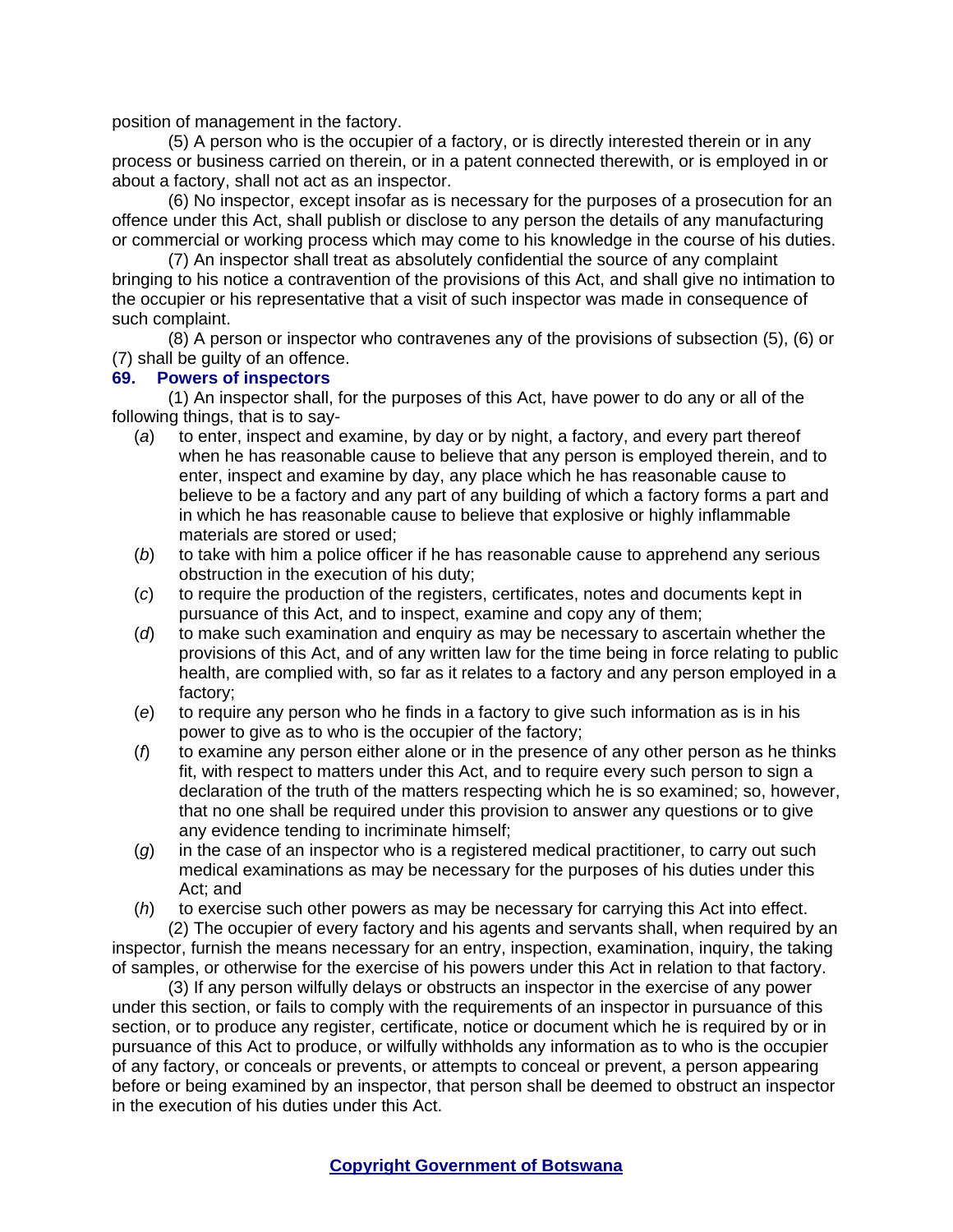position of management in the factory.

(5) A person who is the occupier of a factory, or is directly interested therein or in any process or business carried on therein, or in a patent connected therewith, or is employed in or about a factory, shall not act as an inspector.

(6) No inspector, except insofar as is necessary for the purposes of a prosecution for an offence under this Act, shall publish or disclose to any person the details of any manufacturing or commercial or working process which may come to his knowledge in the course of his duties.

(7) An inspector shall treat as absolutely confidential the source of any complaint bringing to his notice a contravention of the provisions of this Act, and shall give no intimation to the occupier or his representative that a visit of such inspector was made in consequence of such complaint.

(8) A person or inspector who contravenes any of the provisions of subsection (5), (6) or (7) shall be guilty of an offence.

## **69. Powers of inspectors**

(1) An inspector shall, for the purposes of this Act, have power to do any or all of the following things, that is to say-

- (*a*) to enter, inspect and examine, by day or by night, a factory, and every part thereof when he has reasonable cause to believe that any person is employed therein, and to enter, inspect and examine by day, any place which he has reasonable cause to believe to be a factory and any part of any building of which a factory forms a part and in which he has reasonable cause to believe that explosive or highly inflammable materials are stored or used;
- (*b*) to take with him a police officer if he has reasonable cause to apprehend any serious obstruction in the execution of his duty;
- (*c*) to require the production of the registers, certificates, notes and documents kept in pursuance of this Act, and to inspect, examine and copy any of them;
- (*d*) to make such examination and enquiry as may be necessary to ascertain whether the provisions of this Act, and of any written law for the time being in force relating to public health, are complied with, so far as it relates to a factory and any person employed in a factory;
- (*e*) to require any person who he finds in a factory to give such information as is in his power to give as to who is the occupier of the factory;
- (*f*) to examine any person either alone or in the presence of any other person as he thinks fit, with respect to matters under this Act, and to require every such person to sign a declaration of the truth of the matters respecting which he is so examined; so, however, that no one shall be required under this provision to answer any questions or to give any evidence tending to incriminate himself;
- (*g*) in the case of an inspector who is a registered medical practitioner, to carry out such medical examinations as may be necessary for the purposes of his duties under this Act; and
- (*h*) to exercise such other powers as may be necessary for carrying this Act into effect.

(2) The occupier of every factory and his agents and servants shall, when required by an inspector, furnish the means necessary for an entry, inspection, examination, inquiry, the taking of samples, or otherwise for the exercise of his powers under this Act in relation to that factory.

(3) If any person wilfully delays or obstructs an inspector in the exercise of any power under this section, or fails to comply with the requirements of an inspector in pursuance of this section, or to produce any register, certificate, notice or document which he is required by or in pursuance of this Act to produce, or wilfully withholds any information as to who is the occupier of any factory, or conceals or prevents, or attempts to conceal or prevent, a person appearing before or being examined by an inspector, that person shall be deemed to obstruct an inspector in the execution of his duties under this Act.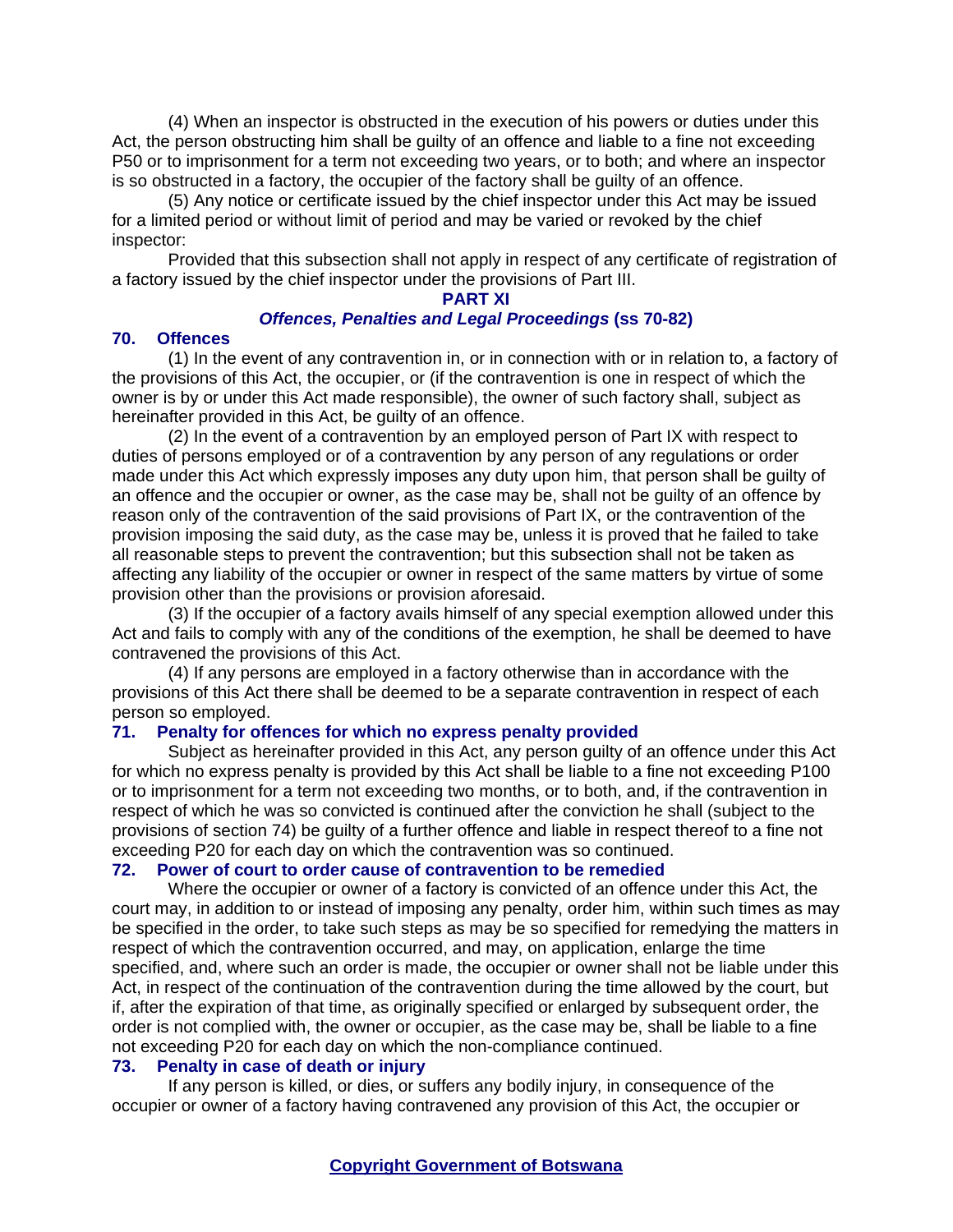(4) When an inspector is obstructed in the execution of his powers or duties under this Act, the person obstructing him shall be guilty of an offence and liable to a fine not exceeding P50 or to imprisonment for a term not exceeding two years, or to both; and where an inspector is so obstructed in a factory, the occupier of the factory shall be guilty of an offence.

(5) Any notice or certificate issued by the chief inspector under this Act may be issued for a limited period or without limit of period and may be varied or revoked by the chief inspector:

Provided that this subsection shall not apply in respect of any certificate of registration of a factory issued by the chief inspector under the provisions of Part III.

#### **PART XI**

#### *Offences, Penalties and Legal Proceedings* **(ss 70-82)**

#### **70. Offences**

(1) In the event of any contravention in, or in connection with or in relation to, a factory of the provisions of this Act, the occupier, or (if the contravention is one in respect of which the owner is by or under this Act made responsible), the owner of such factory shall, subject as hereinafter provided in this Act, be guilty of an offence.

(2) In the event of a contravention by an employed person of Part IX with respect to duties of persons employed or of a contravention by any person of any regulations or order made under this Act which expressly imposes any duty upon him, that person shall be guilty of an offence and the occupier or owner, as the case may be, shall not be guilty of an offence by reason only of the contravention of the said provisions of Part IX, or the contravention of the provision imposing the said duty, as the case may be, unless it is proved that he failed to take all reasonable steps to prevent the contravention; but this subsection shall not be taken as affecting any liability of the occupier or owner in respect of the same matters by virtue of some provision other than the provisions or provision aforesaid.

(3) If the occupier of a factory avails himself of any special exemption allowed under this Act and fails to comply with any of the conditions of the exemption, he shall be deemed to have contravened the provisions of this Act.

(4) If any persons are employed in a factory otherwise than in accordance with the provisions of this Act there shall be deemed to be a separate contravention in respect of each person so employed.

#### **71. Penalty for offences for which no express penalty provided**

Subject as hereinafter provided in this Act, any person guilty of an offence under this Act for which no express penalty is provided by this Act shall be liable to a fine not exceeding P100 or to imprisonment for a term not exceeding two months, or to both, and, if the contravention in respect of which he was so convicted is continued after the conviction he shall (subject to the provisions of section 74) be guilty of a further offence and liable in respect thereof to a fine not exceeding P20 for each day on which the contravention was so continued.

### **72. Power of court to order cause of contravention to be remedied**

Where the occupier or owner of a factory is convicted of an offence under this Act, the court may, in addition to or instead of imposing any penalty, order him, within such times as may be specified in the order, to take such steps as may be so specified for remedying the matters in respect of which the contravention occurred, and may, on application, enlarge the time specified, and, where such an order is made, the occupier or owner shall not be liable under this Act, in respect of the continuation of the contravention during the time allowed by the court, but if, after the expiration of that time, as originally specified or enlarged by subsequent order, the order is not complied with, the owner or occupier, as the case may be, shall be liable to a fine not exceeding P20 for each day on which the non-compliance continued.

### **73. Penalty in case of death or injury**

If any person is killed, or dies, or suffers any bodily injury, in consequence of the occupier or owner of a factory having contravened any provision of this Act, the occupier or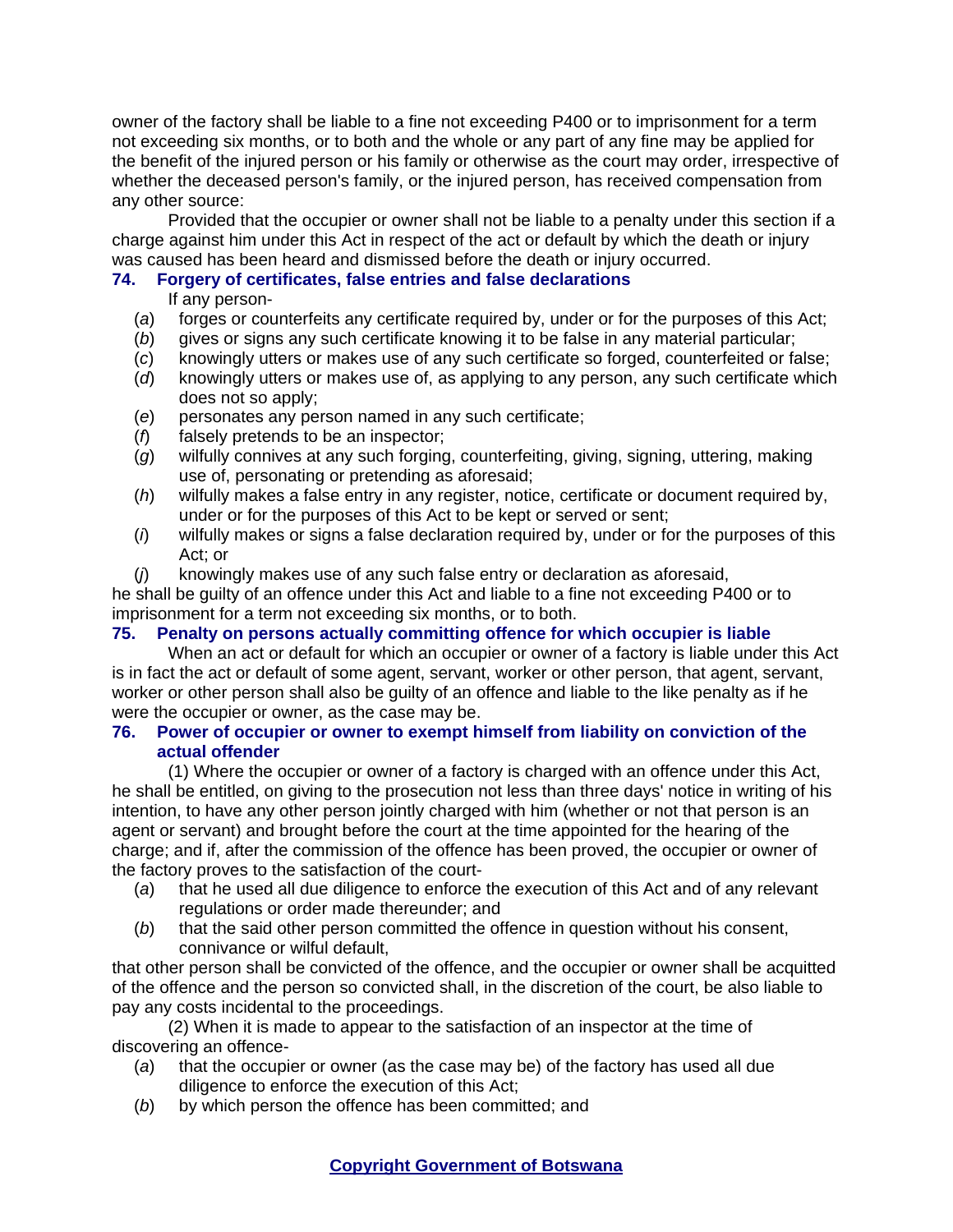owner of the factory shall be liable to a fine not exceeding P400 or to imprisonment for a term not exceeding six months, or to both and the whole or any part of any fine may be applied for the benefit of the injured person or his family or otherwise as the court may order, irrespective of whether the deceased person's family, or the injured person, has received compensation from any other source:

Provided that the occupier or owner shall not be liable to a penalty under this section if a charge against him under this Act in respect of the act or default by which the death or injury was caused has been heard and dismissed before the death or injury occurred.

## **74. Forgery of certificates, false entries and false declarations**

If any person-

- (*a*) forges or counterfeits any certificate required by, under or for the purposes of this Act;
- (*b*) gives or signs any such certificate knowing it to be false in any material particular;
- (*c*) knowingly utters or makes use of any such certificate so forged, counterfeited or false;
- (*d*) knowingly utters or makes use of, as applying to any person, any such certificate which does not so apply;
- (*e*) personates any person named in any such certificate;
- (*f*) falsely pretends to be an inspector;
- (*g*) wilfully connives at any such forging, counterfeiting, giving, signing, uttering, making use of, personating or pretending as aforesaid;
- (*h*) wilfully makes a false entry in any register, notice, certificate or document required by, under or for the purposes of this Act to be kept or served or sent;
- (*i*) wilfully makes or signs a false declaration required by, under or for the purposes of this Act; or
- (*j*) knowingly makes use of any such false entry or declaration as aforesaid,

he shall be guilty of an offence under this Act and liable to a fine not exceeding P400 or to imprisonment for a term not exceeding six months, or to both.

## **75. Penalty on persons actually committing offence for which occupier is liable**

When an act or default for which an occupier or owner of a factory is liable under this Act is in fact the act or default of some agent, servant, worker or other person, that agent, servant, worker or other person shall also be guilty of an offence and liable to the like penalty as if he were the occupier or owner, as the case may be.

### **76. Power of occupier or owner to exempt himself from liability on conviction of the actual offender**

(1) Where the occupier or owner of a factory is charged with an offence under this Act, he shall be entitled, on giving to the prosecution not less than three days' notice in writing of his intention, to have any other person jointly charged with him (whether or not that person is an agent or servant) and brought before the court at the time appointed for the hearing of the charge; and if, after the commission of the offence has been proved, the occupier or owner of the factory proves to the satisfaction of the court-

- (*a*) that he used all due diligence to enforce the execution of this Act and of any relevant regulations or order made thereunder; and
- (*b*) that the said other person committed the offence in question without his consent, connivance or wilful default,

that other person shall be convicted of the offence, and the occupier or owner shall be acquitted of the offence and the person so convicted shall, in the discretion of the court, be also liable to pay any costs incidental to the proceedings.

(2) When it is made to appear to the satisfaction of an inspector at the time of discovering an offence-

- (*a*) that the occupier or owner (as the case may be) of the factory has used all due diligence to enforce the execution of this Act;
- (*b*) by which person the offence has been committed; and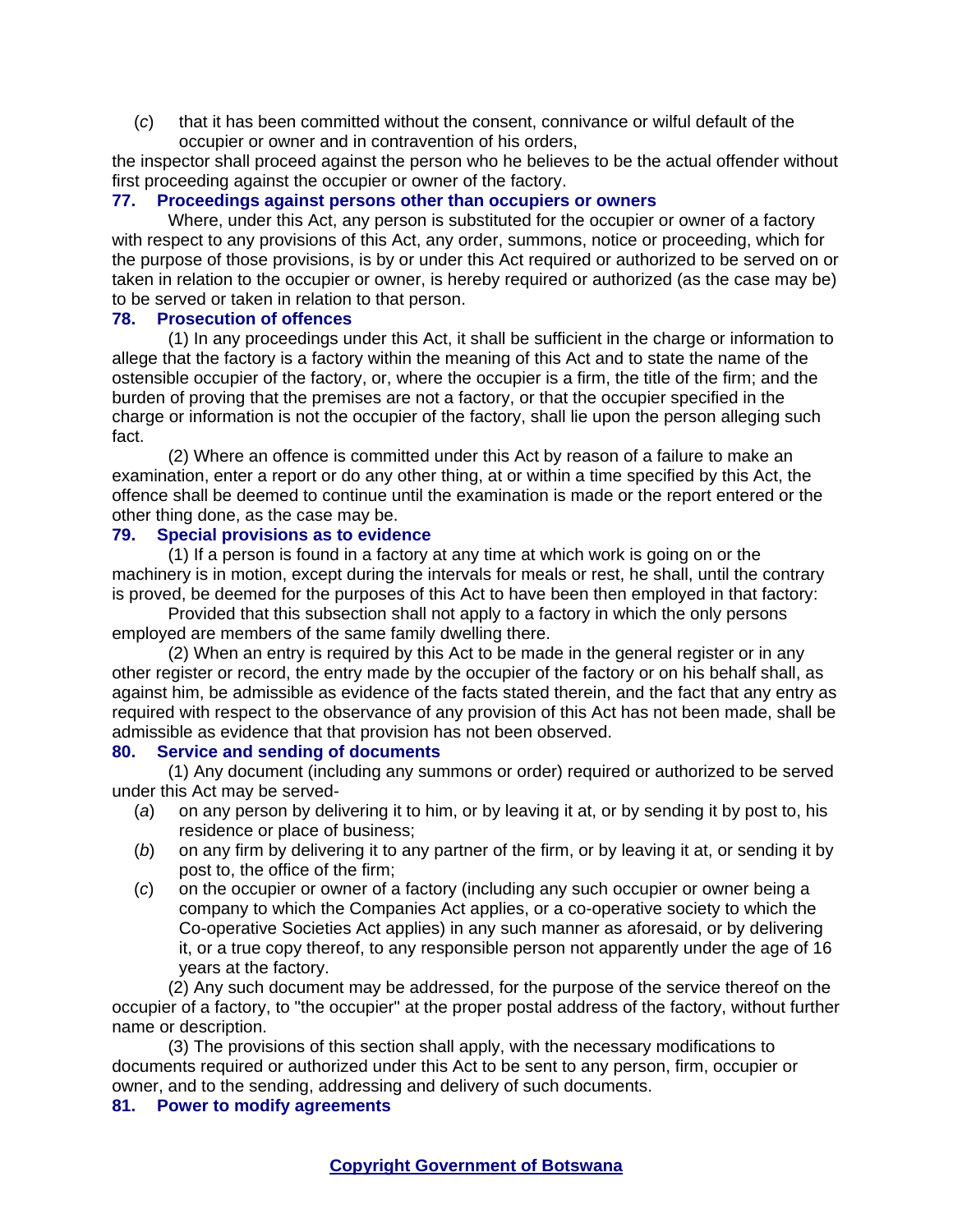(*c*) that it has been committed without the consent, connivance or wilful default of the occupier or owner and in contravention of his orders,

the inspector shall proceed against the person who he believes to be the actual offender without first proceeding against the occupier or owner of the factory.

### **77. Proceedings against persons other than occupiers or owners**

Where, under this Act, any person is substituted for the occupier or owner of a factory with respect to any provisions of this Act, any order, summons, notice or proceeding, which for the purpose of those provisions, is by or under this Act required or authorized to be served on or taken in relation to the occupier or owner, is hereby required or authorized (as the case may be) to be served or taken in relation to that person.

### **78. Prosecution of offences**

(1) In any proceedings under this Act, it shall be sufficient in the charge or information to allege that the factory is a factory within the meaning of this Act and to state the name of the ostensible occupier of the factory, or, where the occupier is a firm, the title of the firm; and the burden of proving that the premises are not a factory, or that the occupier specified in the charge or information is not the occupier of the factory, shall lie upon the person alleging such fact.

(2) Where an offence is committed under this Act by reason of a failure to make an examination, enter a report or do any other thing, at or within a time specified by this Act, the offence shall be deemed to continue until the examination is made or the report entered or the other thing done, as the case may be.

### **79. Special provisions as to evidence**

(1) If a person is found in a factory at any time at which work is going on or the machinery is in motion, except during the intervals for meals or rest, he shall, until the contrary is proved, be deemed for the purposes of this Act to have been then employed in that factory:

Provided that this subsection shall not apply to a factory in which the only persons employed are members of the same family dwelling there.

(2) When an entry is required by this Act to be made in the general register or in any other register or record, the entry made by the occupier of the factory or on his behalf shall, as against him, be admissible as evidence of the facts stated therein, and the fact that any entry as required with respect to the observance of any provision of this Act has not been made, shall be admissible as evidence that that provision has not been observed.

### **80. Service and sending of documents**

(1) Any document (including any summons or order) required or authorized to be served under this Act may be served-

- (*a*) on any person by delivering it to him, or by leaving it at, or by sending it by post to, his residence or place of business;
- (*b*) on any firm by delivering it to any partner of the firm, or by leaving it at, or sending it by post to, the office of the firm;
- (*c*) on the occupier or owner of a factory (including any such occupier or owner being a company to which the Companies Act applies, or a co-operative society to which the Co-operative Societies Act applies) in any such manner as aforesaid, or by delivering it, or a true copy thereof, to any responsible person not apparently under the age of 16 years at the factory.

(2) Any such document may be addressed, for the purpose of the service thereof on the occupier of a factory, to "the occupier" at the proper postal address of the factory, without further name or description.

(3) The provisions of this section shall apply, with the necessary modifications to documents required or authorized under this Act to be sent to any person, firm, occupier or owner, and to the sending, addressing and delivery of such documents.

### **81. Power to modify agreements**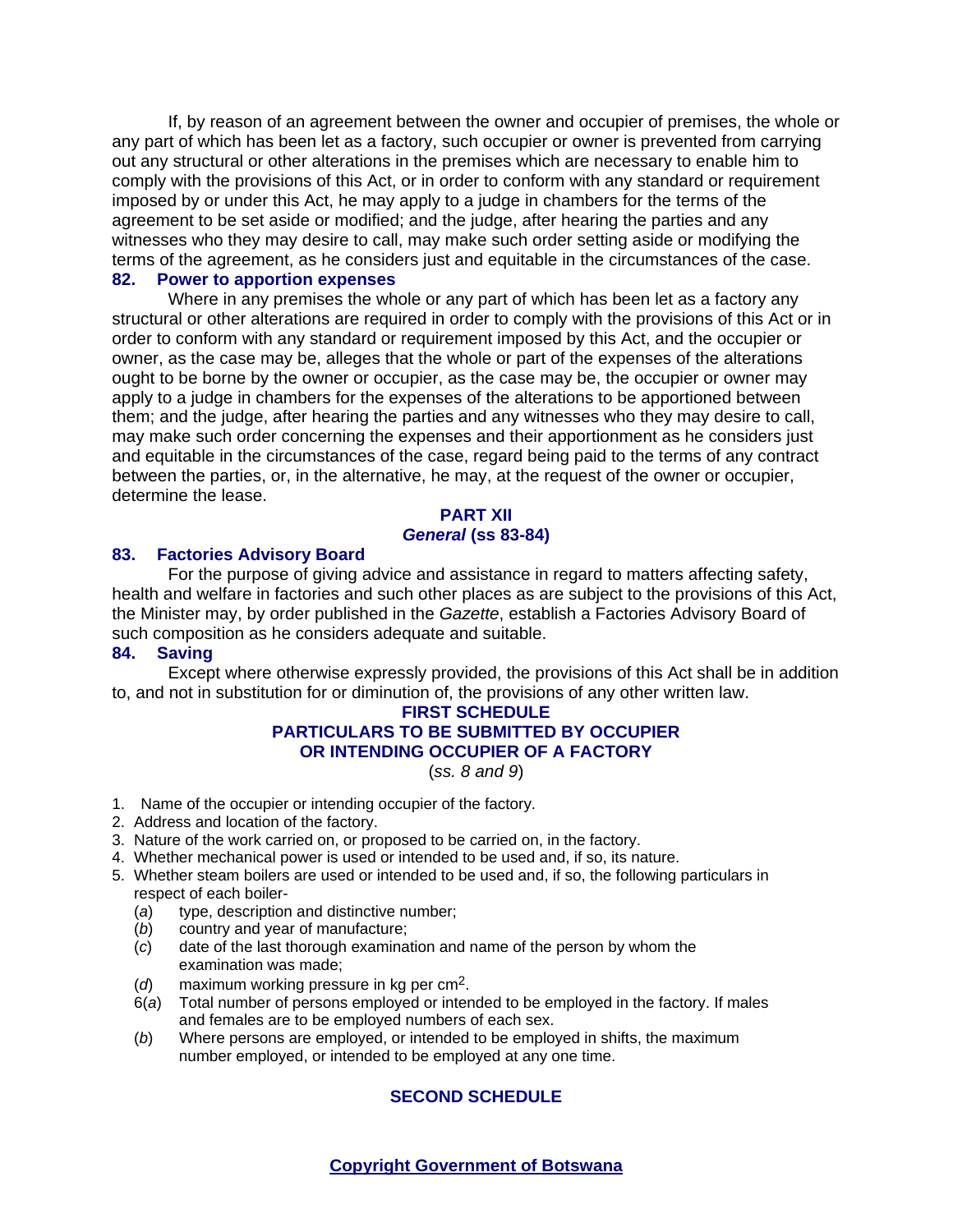If, by reason of an agreement between the owner and occupier of premises, the whole or any part of which has been let as a factory, such occupier or owner is prevented from carrying out any structural or other alterations in the premises which are necessary to enable him to comply with the provisions of this Act, or in order to conform with any standard or requirement imposed by or under this Act, he may apply to a judge in chambers for the terms of the agreement to be set aside or modified; and the judge, after hearing the parties and any witnesses who they may desire to call, may make such order setting aside or modifying the terms of the agreement, as he considers just and equitable in the circumstances of the case.

### **82. Power to apportion expenses**

Where in any premises the whole or any part of which has been let as a factory any structural or other alterations are required in order to comply with the provisions of this Act or in order to conform with any standard or requirement imposed by this Act, and the occupier or owner, as the case may be, alleges that the whole or part of the expenses of the alterations ought to be borne by the owner or occupier, as the case may be, the occupier or owner may apply to a judge in chambers for the expenses of the alterations to be apportioned between them; and the judge, after hearing the parties and any witnesses who they may desire to call, may make such order concerning the expenses and their apportionment as he considers just and equitable in the circumstances of the case, regard being paid to the terms of any contract between the parties, or, in the alternative, he may, at the request of the owner or occupier, determine the lease.

# **PART XII**  *General* **(ss 83-84)**

### **83. Factories Advisory Board**

For the purpose of giving advice and assistance in regard to matters affecting safety, health and welfare in factories and such other places as are subject to the provisions of this Act, the Minister may, by order published in the *Gazette*, establish a Factories Advisory Board of such composition as he considers adequate and suitable.

### **84. Saving**

Except where otherwise expressly provided, the provisions of this Act shall be in addition to, and not in substitution for or diminution of, the provisions of any other written law.

#### **FIRST SCHEDULE PARTICULARS TO BE SUBMITTED BY OCCUPIER**

## **OR INTENDING OCCUPIER OF A FACTORY**

(*ss. 8 and 9*)

- 1. Name of the occupier or intending occupier of the factory.
- 2. Address and location of the factory.
- 3. Nature of the work carried on, or proposed to be carried on, in the factory.
- 4. Whether mechanical power is used or intended to be used and, if so, its nature.
- 5. Whether steam boilers are used or intended to be used and, if so, the following particulars in respect of each boiler-
	- (*a*) type, description and distinctive number;
	- (*b*) country and year of manufacture;
	- (*c*) date of the last thorough examination and name of the person by whom the examination was made;
	- (*d*) maximum working pressure in kg per cm2.
	- 6(*a*) Total number of persons employed or intended to be employed in the factory. If males and females are to be employed numbers of each sex.
	- (*b*) Where persons are employed, or intended to be employed in shifts, the maximum number employed, or intended to be employed at any one time.

## **SECOND SCHEDULE**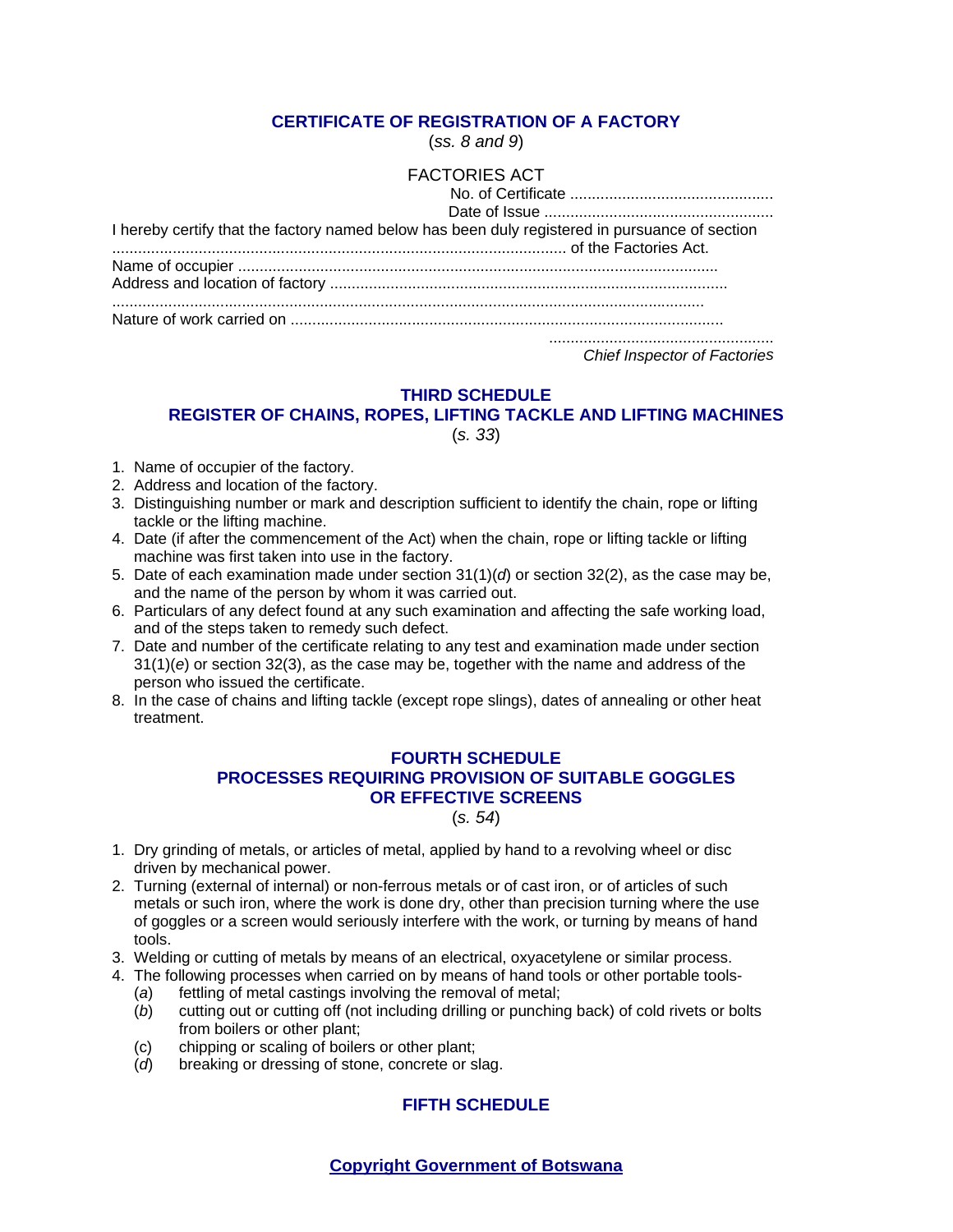## **CERTIFICATE OF REGISTRATION OF A FACTORY**

(*ss. 8 and 9*)

## FACTORIES ACT

| I hereby certify that the factory named below has been duly registered in pursuance of section |  |
|------------------------------------------------------------------------------------------------|--|
|                                                                                                |  |
|                                                                                                |  |

*Chief Inspector of Factories*

....................................................

### **THIRD SCHEDULE**

**REGISTER OF CHAINS, ROPES, LIFTING TACKLE AND LIFTING MACHINES** 

(*s. 33*)

- 1. Name of occupier of the factory.
- 2. Address and location of the factory.
- 3. Distinguishing number or mark and description sufficient to identify the chain, rope or lifting tackle or the lifting machine.
- 4. Date (if after the commencement of the Act) when the chain, rope or lifting tackle or lifting machine was first taken into use in the factory.
- 5. Date of each examination made under section 31(1)(*d*) or section 32(2), as the case may be, and the name of the person by whom it was carried out.
- 6. Particulars of any defect found at any such examination and affecting the safe working load, and of the steps taken to remedy such defect.
- 7. Date and number of the certificate relating to any test and examination made under section 31(1)(*e*) or section 32(3), as the case may be, together with the name and address of the person who issued the certificate.
- 8. In the case of chains and lifting tackle (except rope slings), dates of annealing or other heat treatment.

#### **FOURTH SCHEDULE**

# **PROCESSES REQUIRING PROVISION OF SUITABLE GOGGLES OR EFFECTIVE SCREENS**

(*s. 54*)

- 1. Dry grinding of metals, or articles of metal, applied by hand to a revolving wheel or disc driven by mechanical power.
- 2. Turning (external of internal) or non-ferrous metals or of cast iron, or of articles of such metals or such iron, where the work is done dry, other than precision turning where the use of goggles or a screen would seriously interfere with the work, or turning by means of hand tools.
- 3. Welding or cutting of metals by means of an electrical, oxyacetylene or similar process.
- 4. The following processes when carried on by means of hand tools or other portable tools-
	- (*a*) fettling of metal castings involving the removal of metal;
	- (*b*) cutting out or cutting off (not including drilling or punching back) of cold rivets or bolts from boilers or other plant;
	- (c) chipping or scaling of boilers or other plant;
	- (*d*) breaking or dressing of stone, concrete or slag.

## **FIFTH SCHEDULE**

**Copyright Government of Botswana**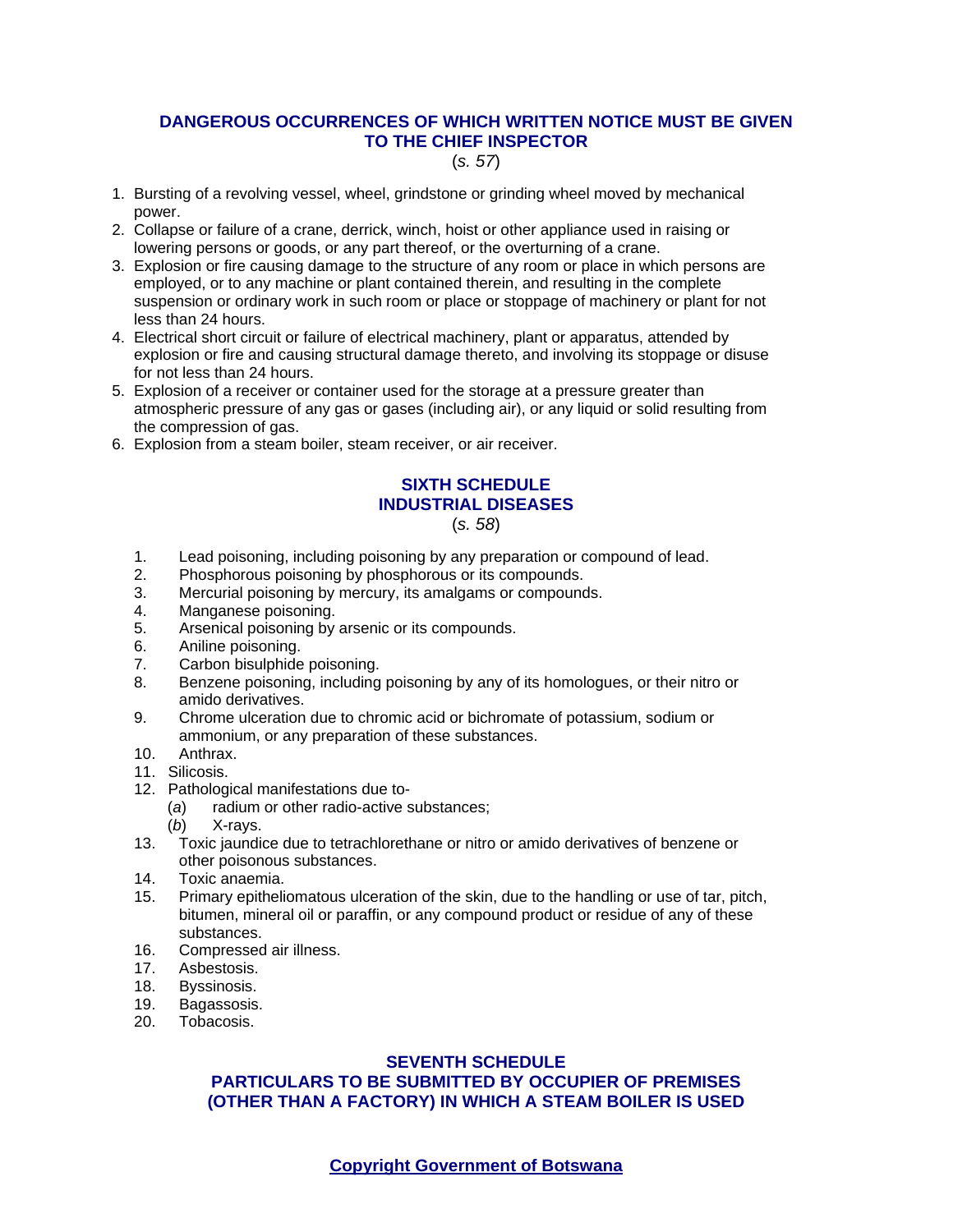# **DANGEROUS OCCURRENCES OF WHICH WRITTEN NOTICE MUST BE GIVEN TO THE CHIEF INSPECTOR**

(*s. 57*)

- 1. Bursting of a revolving vessel, wheel, grindstone or grinding wheel moved by mechanical power.
- 2. Collapse or failure of a crane, derrick, winch, hoist or other appliance used in raising or lowering persons or goods, or any part thereof, or the overturning of a crane.
- 3. Explosion or fire causing damage to the structure of any room or place in which persons are employed, or to any machine or plant contained therein, and resulting in the complete suspension or ordinary work in such room or place or stoppage of machinery or plant for not less than 24 hours.
- 4. Electrical short circuit or failure of electrical machinery, plant or apparatus, attended by explosion or fire and causing structural damage thereto, and involving its stoppage or disuse for not less than 24 hours.
- 5. Explosion of a receiver or container used for the storage at a pressure greater than atmospheric pressure of any gas or gases (including air), or any liquid or solid resulting from the compression of gas.
- 6. Explosion from a steam boiler, steam receiver, or air receiver.

# **SIXTH SCHEDULE INDUSTRIAL DISEASES**

(*s. 58*)

- 1. Lead poisoning, including poisoning by any preparation or compound of lead.
- 2. Phosphorous poisoning by phosphorous or its compounds.
- 3. Mercurial poisoning by mercury, its amalgams or compounds.
- 4. Manganese poisoning.
- 5. Arsenical poisoning by arsenic or its compounds.
- 6. Aniline poisoning.
- 7. Carbon bisulphide poisoning.
- 8. Benzene poisoning, including poisoning by any of its homologues, or their nitro or amido derivatives.
- 9. Chrome ulceration due to chromic acid or bichromate of potassium, sodium or ammonium, or any preparation of these substances.
- 10. Anthrax.
- 11. Silicosis.
- 12. Pathological manifestations due to-
	- (*a*) radium or other radio-active substances;
	- (*b*) X-rays.
- 13. Toxic jaundice due to tetrachlorethane or nitro or amido derivatives of benzene or other poisonous substances.
- 14. Toxic anaemia.
- 15. Primary epitheliomatous ulceration of the skin, due to the handling or use of tar, pitch, bitumen, mineral oil or paraffin, or any compound product or residue of any of these substances.
- 16. Compressed air illness.
- 17. Asbestosis.<br>18. Byssinosis.
- Byssinosis.
- 19. Bagassosis.
- 20. Tobacosis.

### **SEVENTH SCHEDULE PARTICULARS TO BE SUBMITTED BY OCCUPIER OF PREMISES (OTHER THAN A FACTORY) IN WHICH A STEAM BOILER IS USED**

### **Copyright Government of Botswana**